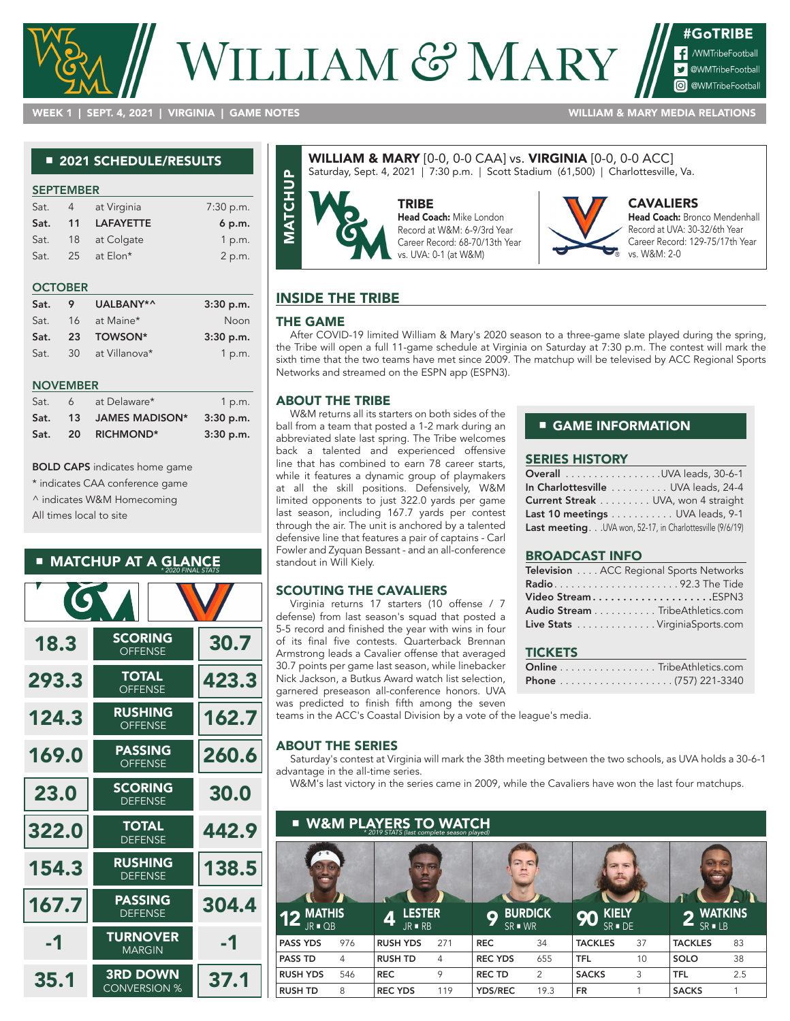# VILLIAM & MARY

#GoTRIBE MMTribeFootball **V** @WMTribeFootball **o** @WMTribeFootbal

WEEK 1 | SEPT. 4, 2021 | VIRGINIA | GAME NOTES WILLIAM & MARY MEDIA RELATIONS

#### ■ 2021 SCHEDULE/RESULTS

| <b>SEPTEMBER</b> |    |                  |           |  |  |  |  |  |
|------------------|----|------------------|-----------|--|--|--|--|--|
| Sat.             | 4  | at Virginia      | 7:30 p.m. |  |  |  |  |  |
| Sat.             | 11 | <b>LAFAYETTE</b> | 6 p.m.    |  |  |  |  |  |
| Sat.             | 18 | at Colgate       | 1 p.m.    |  |  |  |  |  |
| Sat.             | 25 | at Elon*         | 2 p.m.    |  |  |  |  |  |

#### **OCTOBER**

| Sat. | 9 | UALBANY*^        | $3:30$ p.m. |
|------|---|------------------|-------------|
| Sat. |   | 16 at Maine*     | Noon        |
| Sat. |   | 23 TOWSON*       | 3:30 p.m.   |
| Sat. |   | 30 at Villanova* | 1 p.m.      |

#### NOVEMBER

| Sat. | 6         | at Delaware*     | 1 p.m.      |
|------|-----------|------------------|-------------|
| Sat. | 13        | JAMES MADISON*   | $3:30$ p.m. |
| Sat. | <b>20</b> | <b>RICHMOND*</b> | 3:30 p.m.   |

BOLD CAPS indicates home game

\* indicates CAA conference game

^ indicates W&M Homecoming

All times local to site

#### ■ MATCHUP AT A GLANCE *\* 2020 FINAL STATS*

| <b>IG</b> |                                        |       |
|-----------|----------------------------------------|-------|
| 18.3      | <b>SCORING</b><br><b>OFFENSE</b>       | 30.7  |
| 293.3     | <b>TOTAL</b><br><b>OFFENSE</b>         | 423.3 |
| 124.3     | <b>RUSHING</b><br><b>OFFENSE</b>       | 162.7 |
| 169.0     | <b>PASSING</b><br><b>OFFENSE</b>       | 260.6 |
| 23.0      | <b>SCORING</b><br><b>DEFENSE</b>       | 30.0  |
| 322.0     | <b>TOTAL</b><br><b>DEFENSE</b>         | 442.9 |
| 154.3     | <b>RUSHING</b><br><b>DEFENSE</b>       | 138.5 |
| 167.7     | <b>PASSING</b><br><b>DEFENSE</b>       | 304.4 |
| -1        | <b>TURNOVER</b><br><b>MARGIN</b>       | -1    |
| 35.1      | <b>3RD DOWN</b><br><b>CONVERSION %</b> | 37.1  |

#### WILLIAM & MARY [0-0, 0-0 CAA] vs. VIRGINIA [0-0, 0-0 ACC] Saturday, Sept. 4, 2021 | 7:30 p.m. | Scott Stadium (61,500) | Charlottesville, Va.



#### Head Coach: Mike London Record at W&M: 6-9/3rd Year Career Record: 68-70/13th Year

vs. UVA: 0-1 (at W&M)



#### CAVALIERS

Head Coach: Bronco Mendenhall Record at UVA: 30-32/6th Year Career Record: 129-75/17th Year vs. W&M: 2-0

## INSIDE THE TRIBE

#### THE GAME

After COVID-19 limited William & Mary's 2020 season to a three-game slate played during the spring, the Tribe will open a full 11-game schedule at Virginia on Saturday at 7:30 p.m. The contest will mark the sixth time that the two teams have met since 2009. The matchup will be televised by ACC Regional Sports Networks and streamed on the ESPN app (ESPN3).

#### ABOUT THE TRIBE

W&M returns all its starters on both sides of the ball from a team that posted a 1-2 mark during an abbreviated slate last spring. The Tribe welcomes back a talented and experienced offensive line that has combined to earn 78 career starts, while it features a dynamic group of playmakers at all the skill positions. Defensively, W&M limited opponents to just 322.0 yards per game last season, including 167.7 yards per contest through the air. The unit is anchored by a talented defensive line that features a pair of captains - Carl Fowler and Zyquan Bessant - and an all-conference standout in Will Kiely.

#### SCOUTING THE CAVALIERS

Virginia returns 17 starters (10 offense / 7 defense) from last season's squad that posted a 5-5 record and finished the year with wins in four of its final five contests. Quarterback Brennan Armstrong leads a Cavalier offense that averaged 30.7 points per game last season, while linebacker Nick Jackson, a Butkus Award watch list selection, garnered preseason all-conference honors. UVA was predicted to finish fifth among the seven

#### ■ GAME INFORMATION

#### SERIES HISTORY

| <b>Overall</b> UVA leads, 30-6-1                          |  |
|-----------------------------------------------------------|--|
| In Charlottesville  UVA leads, 24-4                       |  |
| Current Streak UVA, won 4 straight                        |  |
| Last 10 meetings UVA leads, 9-1                           |  |
| Last meeting. UVA won, 52-17, in Charlottesville (9/6/19) |  |

#### BROADCAST INFO

| Television ACC Regional Sports Networks |  |
|-----------------------------------------|--|
|                                         |  |
|                                         |  |
| Audio Stream TribeAthletics.com         |  |
| Live Stats VirginiaSports.com           |  |

#### **TICKETS**

|  |  |  |  |  |  |  |  |  | Online TribeAthletics.com |
|--|--|--|--|--|--|--|--|--|---------------------------|
|  |  |  |  |  |  |  |  |  |                           |

teams in the ACC's Coastal Division by a vote of the league's media.

#### ABOUT THE SERIES

Saturday's contest at Virginia will mark the 38th meeting between the two schools, as UVA holds a 30-6-1 advantage in the all-time series.

W&M's last victory in the series came in 2009, while the Cavaliers have won the last four matchups.

| п                                 |     | <b>W&amp;M PLAYERS TO WATCH</b><br>* 2019 STATS (last complete season played) |     |                             |                |                                            |    |                             |     |
|-----------------------------------|-----|-------------------------------------------------------------------------------|-----|-----------------------------|----------------|--------------------------------------------|----|-----------------------------|-----|
|                                   |     |                                                                               |     |                             | <b>K</b>       |                                            |    |                             |     |
| <b>MATHIS</b><br>$JR$ $\Box$ $OB$ |     | <b>LESTER</b><br>4<br>$JR \blacksquare RB$                                    |     | О<br>$SR$ $\blacksquare$ WR | <b>BURDICK</b> | <b>KIELY</b><br>90<br>$SR \blacksquare DE$ |    | <b>WATKINS</b><br>$SR = LB$ |     |
| <b>PASS YDS</b>                   | 976 | <b>RUSH YDS</b>                                                               | 271 | <b>REC</b>                  | 34             | <b>TACKLES</b>                             | 37 | <b>TACKLES</b>              | 83  |
| <b>PASS TD</b>                    | 4   | <b>RUSH TD</b>                                                                | 4   | <b>REC YDS</b>              | 655            | <b>TFL</b>                                 | 10 | SOLO                        | 38  |
| <b>RUSH YDS</b>                   | 546 | <b>REC</b>                                                                    | 9   | <b>RECTD</b>                | 2              | <b>SACKS</b>                               | 3  | <b>TFL</b>                  | 2.5 |
| <b>RUSH TD</b>                    | 8   | <b>REC YDS</b>                                                                | 119 | <b>YDS/REC</b>              | 19.3           | <b>FR</b>                                  |    | <b>SACKS</b>                | 1   |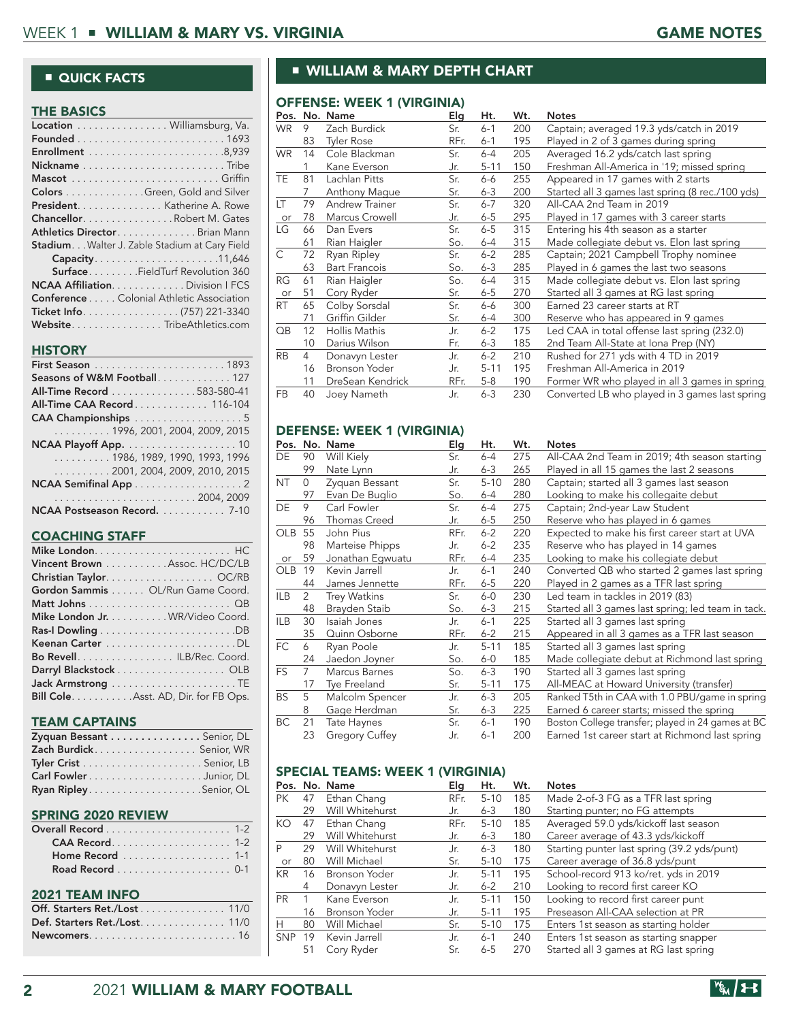#### ■ QUICK FACTS

| <b>THE BASICS</b>                                    |
|------------------------------------------------------|
| Location Williamsburg, Va.                           |
|                                                      |
|                                                      |
|                                                      |
|                                                      |
| <b>Colors</b> Green, Gold and Silver                 |
| <b>President.</b> Katherine A. Rowe                  |
| <b>Chancellor</b> Robert M. Gates                    |
| <b>Athletics Director</b> Brian Mann                 |
| <b>Stadium</b> Walter J. Zable Stadium at Cary Field |
| Capacity11,646                                       |
| <b>Surface</b> FieldTurf Revolution 360              |
| <b>NCAA AffiliationDivision I FCS</b>                |
| <b>Conference</b> Colonial Athletic Association      |
|                                                      |
| Website. TribeAthletics.com                          |

#### **HISTORY**

| Seasons of W&M Football 127                         |
|-----------------------------------------------------|
| All-Time Record 583-580-41                          |
| All-Time CAA Record 116-104                         |
| CAA Championships 5                                 |
| $\ldots \ldots \ldots 1996, 2001, 2004, 2009, 2015$ |
|                                                     |
| $\ldots \ldots \ldots 1986, 1989, 1990, 1993, 1996$ |
| $\ldots \ldots \ldots 2001, 2004, 2009, 2010, 2015$ |
|                                                     |
|                                                     |
| NCAA Postseason Record. 7-10                        |

#### COACHING STAFF

| Vincent Brown Assoc. HC/DC/LB         |
|---------------------------------------|
|                                       |
| Gordon Sammis OL/Run Game Coord.      |
|                                       |
| Mike London Jr. WR/Video Coord.       |
|                                       |
|                                       |
| Bo Revell. ILB/Rec. Coord.            |
| Darryl Blackstock OLB                 |
|                                       |
| Bill Cole. Asst. AD, Dir. for FB Ops. |

#### TEAM CAPTAINS

| Zyquan Bessant Senior, DL |  |
|---------------------------|--|
| Zach Burdick Senior, WR   |  |
|                           |  |
|                           |  |
|                           |  |

#### SPRING 2020 REVIEW

| Home Record 1-1              |
|------------------------------|
|                              |
| <b>2021 TEAM INFO</b>        |
| Off. Starters Ret./Lost 11/0 |
| Def. Starters Ret./Lost 11/0 |
|                              |

# ■ WILLIAM & MARY DEPTH CHART

#### OFFENSE: WEEK 1 (VIRGINIA)

|     |                | Pos. No. Name        | Elg  | Ht.      | Wt. | <b>Notes</b>                                     |
|-----|----------------|----------------------|------|----------|-----|--------------------------------------------------|
| WR. | 9              | Zach Burdick         | Sr.  | $6 - 1$  | 200 | Captain; averaged 19.3 yds/catch in 2019         |
|     | 83             | <b>Tyler Rose</b>    | RFr. | $6 - 1$  | 195 | Played in 2 of 3 games during spring             |
| WR. | 14             | Cole Blackman        | Sr.  | 6-4      | 205 | Averaged 16.2 yds/catch last spring              |
|     | 1              | Kane Everson         | Jr.  | $5 - 11$ | 150 | Freshman All-America in '19; missed spring       |
| TE  | 81             | Lachlan Pitts        | Sr.  | 6-6      | 255 | Appeared in 17 games with 2 starts               |
|     | 7              | Anthony Mague        | Sr.  | $6 - 3$  | 200 | Started all 3 games last spring (8 rec./100 yds) |
| LΤ  | 79             | Andrew Trainer       | Sr.  | $6 - 7$  | 320 | All-CAA 2nd Team in 2019                         |
| or  | 78             | Marcus Crowell       | Jr.  | $6 - 5$  | 295 | Played in 17 games with 3 career starts          |
| LG  | 66             | Dan Evers            | Sr.  | $6-5$    | 315 | Entering his 4th season as a starter             |
|     | 61             | Rian Haigler         | So.  | $6-4$    | 315 | Made collegiate debut vs. Elon last spring       |
| C   | 72             | Ryan Ripley          | Sr.  | $6 - 2$  | 285 | Captain; 2021 Campbell Trophy nominee            |
|     | 63             | <b>Bart Francois</b> | So.  | $6 - 3$  | 285 | Played in 6 games the last two seasons           |
| RG  | 61             | Rian Haigler         | So.  | $6-4$    | 315 | Made collegiate debut vs. Elon last spring       |
| or  | 51             | Cory Ryder           | Sr.  | $6 - 5$  | 270 | Started all 3 games at RG last spring            |
| RT  | 65             | Colby Sorsdal        | Sr.  | $6-6$    | 300 | Earned 23 career starts at RT                    |
|     | 71             | Griffin Gilder       | Sr.  | 6-4      | 300 | Reserve who has appeared in 9 games              |
| QB  | 12             | Hollis Mathis        | Jr.  | $6 - 2$  | 175 | Led CAA in total offense last spring (232.0)     |
|     | 10             | Darius Wilson        | Fr.  | $6 - 3$  | 185 | 2nd Team All-State at Iona Prep (NY)             |
| RB  | $\overline{4}$ | Donavyn Lester       | Jr.  | $6 - 2$  | 210 | Rushed for 271 yds with 4 TD in 2019             |
|     | 16             | Bronson Yoder        | Jr.  | $5 - 11$ | 195 | Freshman All-America in 2019                     |
|     | 11             | DreSean Kendrick     | RFr. | $5-8$    | 190 | Former WR who played in all 3 games in spring    |
| FB  | 40             | Joey Nameth          | Jr.  | $6 - 3$  | 230 | Converted LB who played in 3 games last spring   |

#### DEFENSE: WEEK 1 (VIRGINIA)

|            |                | Pos. No. Name         | Elg  | Ht.      | Wt. | <b>Notes</b>                                       |
|------------|----------------|-----------------------|------|----------|-----|----------------------------------------------------|
| DE         | 90             | Will Kiely            | Sr.  | $6-4$    | 275 | All-CAA 2nd Team in 2019; 4th season starting      |
|            | 99             | Nate Lynn             | Jr.  | $6 - 3$  | 265 | Played in all 15 games the last 2 seasons          |
| <b>NT</b>  | 0              | Zyquan Bessant        | Sr.  | $5 - 10$ | 280 | Captain; started all 3 games last season           |
|            | 97             | Evan De Buglio        | So.  | 6-4      | 280 | Looking to make his collegaite debut               |
| DE         | 9              | Carl Fowler           | Sr.  | $6-4$    | 275 | Captain; 2nd-year Law Student                      |
|            | 96             | <b>Thomas Creed</b>   | Jr.  | $6-5$    | 250 | Reserve who has played in 6 games                  |
| <b>OLB</b> | 55             | John Pius             | RFr. | $6 - 2$  | 220 | Expected to make his first career start at UVA     |
|            | 98             | Marteise Phipps       | Jr.  | $6 - 2$  | 235 | Reserve who has played in 14 games                 |
| or         | 59             | Jonathan Eqwuatu      | RFr. | $6-4$    | 235 | Looking to make his collegiate debut               |
| <b>OLB</b> | 19             | Kevin Jarrell         | Jr.  | 6-1      | 240 | Converted QB who started 2 games last spring       |
|            | 44             | James Jennette        | RFr. | $6-5$    | 220 | Played in 2 games as a TFR last spring             |
| <b>ILB</b> | 2              | <b>Trey Watkins</b>   | Sr.  | $6-0$    | 230 | Led team in tackles in 2019 (83)                   |
|            | 48             | Brayden Staib         | So.  | $6 - 3$  | 215 | Started all 3 games last spring; led team in tack. |
| <b>ILB</b> | 30             | Isaiah Jones          | Jr.  | $6 - 1$  | 225 | Started all 3 games last spring                    |
|            | 35             | Quinn Osborne         | RFr. | $6 - 2$  | 215 | Appeared in all 3 games as a TFR last season       |
| FC         | 6              | Ryan Poole            | Jr.  | $5 - 11$ | 185 | Started all 3 games last spring                    |
|            | 24             | Jaedon Joyner         | So.  | $6-0$    | 185 | Made collegiate debut at Richmond last spring      |
| <b>FS</b>  | $\overline{7}$ | Marcus Barnes         | So.  | $6 - 3$  | 190 | Started all 3 games last spring                    |
|            | 17             | <b>Tye Freeland</b>   | Sr.  | $5 - 11$ | 175 | All-MEAC at Howard University (transfer)           |
| <b>BS</b>  | 5              | Malcolm Spencer       | Jr.  | $6 - 3$  | 205 | Ranked T5th in CAA with 1.0 PBU/game in spring     |
|            | 8              | Gage Herdman          | Sr.  | $6 - 3$  | 225 | Earned 6 career starts; missed the spring          |
| BC         | 21             | Tate Haynes           | Sr.  | $6 - 1$  | 190 | Boston College transfer; played in 24 games at BC  |
|            | 23             | <b>Gregory Cuffey</b> | Jr.  | $6 - 1$  | 200 | Earned 1st career start at Richmond last spring    |

#### SPECIAL TEAMS: WEEK 1 (VIRGINIA)

|            |    | Pos. No. Name        | Elq  | Ht.      | Wt. | <b>Notes</b>                                |
|------------|----|----------------------|------|----------|-----|---------------------------------------------|
| PК         | 47 | Ethan Chang          | RFr. | $5 - 10$ | 185 | Made 2-of-3 FG as a TFR last spring         |
|            | 29 | Will Whitehurst      | Jr.  | $6 - 3$  | 180 | Starting punter; no FG attempts             |
| KO.        | 47 | Ethan Chang          | RFr. | $5 - 10$ | 185 | Averaged 59.0 yds/kickoff last season       |
|            | 29 | Will Whitehurst      | Jr.  | $6 - 3$  | 180 | Career average of 43.3 yds/kickoff          |
| P          | 29 | Will Whitehurst      | Jr.  | $6 - 3$  | 180 | Starting punter last spring (39.2 yds/punt) |
| or         | 80 | Will Michael         | Sr.  | $5 - 10$ | 175 | Career average of 36.8 yds/punt             |
| KR.        | 16 | <b>Bronson Yoder</b> | Jr.  | $5 - 11$ | 195 | School-record 913 ko/ret. yds in 2019       |
|            | 4  | Donavyn Lester       | Jr.  | $6 - 2$  | 210 | Looking to record first career KO           |
| <b>PR</b>  |    | Kane Everson         | .Jr. | $5 - 11$ | 150 | Looking to record first career punt         |
|            | 16 | Bronson Yoder        | Jr.  | $5 - 11$ | 195 | Preseason All-CAA selection at PR           |
| н          | 80 | Will Michael         | Sr.  | $5 - 10$ | 175 | Enters 1st season as starting holder        |
| <b>SNP</b> | 19 | Kevin Jarrell        | .Jr. | $6-1$    | 240 | Enters 1st season as starting snapper       |
|            | 51 | Cory Ryder           | Sr.  | $6 - 5$  | 270 | Started all 3 games at RG last spring       |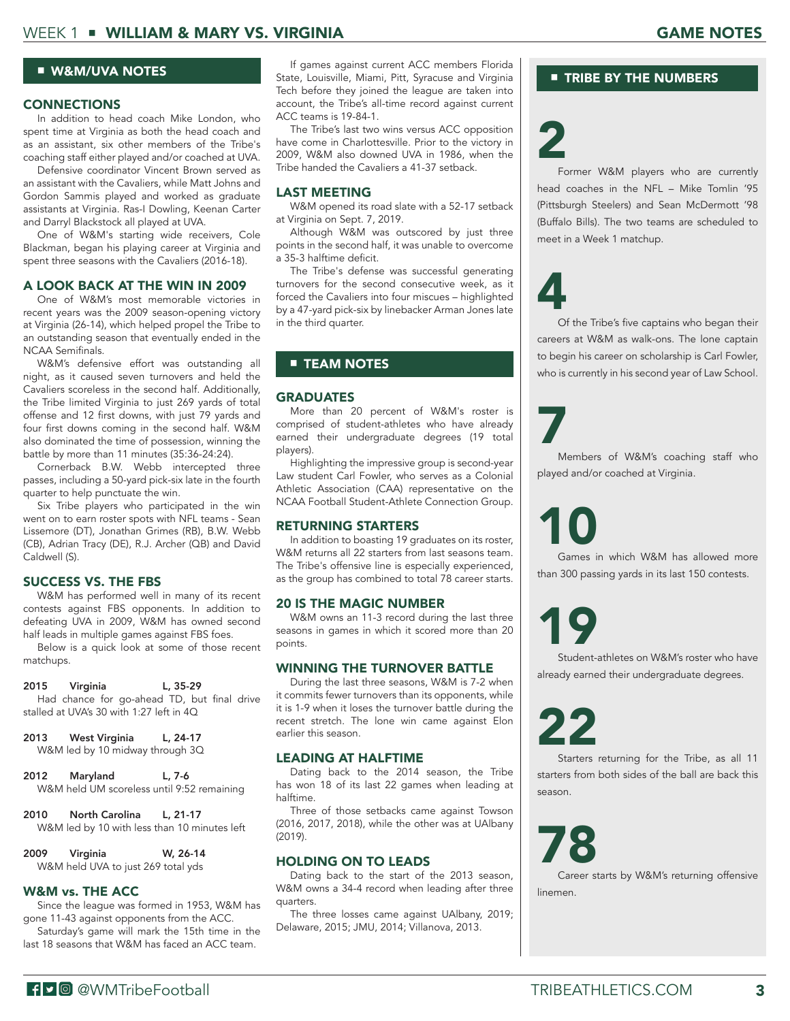#### ■ W&M/UVA NOTES

#### **CONNECTIONS**

In addition to head coach Mike London, who spent time at Virginia as both the head coach and as an assistant, six other members of the Tribe's coaching staff either played and/or coached at UVA.

Defensive coordinator Vincent Brown served as an assistant with the Cavaliers, while Matt Johns and Gordon Sammis played and worked as graduate assistants at Virginia. Ras-I Dowling, Keenan Carter and Darryl Blackstock all played at UVA.

One of W&M's starting wide receivers, Cole Blackman, began his playing career at Virginia and spent three seasons with the Cavaliers (2016-18).

#### A LOOK BACK AT THE WIN IN 2009

One of W&M's most memorable victories in recent years was the 2009 season-opening victory at Virginia (26-14), which helped propel the Tribe to an outstanding season that eventually ended in the NCAA Semifinals.

W&M's defensive effort was outstanding all night, as it caused seven turnovers and held the Cavaliers scoreless in the second half. Additionally, the Tribe limited Virginia to just 269 yards of total offense and 12 first downs, with just 79 yards and four first downs coming in the second half. W&M also dominated the time of possession, winning the battle by more than 11 minutes (35:36-24:24).

Cornerback B.W. Webb intercepted three passes, including a 50-yard pick-six late in the fourth quarter to help punctuate the win.

Six Tribe players who participated in the win went on to earn roster spots with NFL teams - Sean Lissemore (DT), Jonathan Grimes (RB), B.W. Webb (CB), Adrian Tracy (DE), R.J. Archer (QB) and David Caldwell (S).

#### SUCCESS VS. THE FBS

W&M has performed well in many of its recent contests against FBS opponents. In addition to defeating UVA in 2009, W&M has owned second half leads in multiple games against FBS foes.

Below is a quick look at some of those recent matchups.

#### 2015 Virginia L, 35-29

Had chance for go-ahead TD, but final drive stalled at UVA's 30 with 1:27 left in 4Q

2013 West Virginia L, 24-17

W&M led by 10 midway through 3Q

2012 Maryland L, 7-6 W&M held UM scoreless until 9:52 remaining

2010 North Carolina L, 21-17 W&M led by 10 with less than 10 minutes left

2009 Virginia W, 26-14 W&M held UVA to just 269 total yds

# W&M vs. THE ACC

Since the league was formed in 1953, W&M has gone 11-43 against opponents from the ACC.

Saturday's game will mark the 15th time in the last 18 seasons that W&M has faced an ACC team.

If games against current ACC members Florida State, Louisville, Miami, Pitt, Syracuse and Virginia Tech before they joined the league are taken into account, the Tribe's all-time record against current ACC teams is 19-84-1.

The Tribe's last two wins versus ACC opposition have come in Charlottesville. Prior to the victory in 2009, W&M also downed UVA in 1986, when the Tribe handed the Cavaliers a 41-37 setback.

### LAST MEETING

W&M opened its road slate with a 52-17 setback at Virginia on Sept. 7, 2019.

Although W&M was outscored by just three points in the second half, it was unable to overcome a 35-3 halftime deficit.

The Tribe's defense was successful generating turnovers for the second consecutive week, as it forced the Cavaliers into four miscues – highlighted by a 47-yard pick-six by linebacker Arman Jones late in the third quarter.

# ■ **TEAM NOTES**

#### **GRADUATES**

More than 20 percent of W&M's roster is comprised of student-athletes who have already earned their undergraduate degrees (19 total players).

Highlighting the impressive group is second-year Law student Carl Fowler, who serves as a Colonial Athletic Association (CAA) representative on the NCAA Football Student-Athlete Connection Group.

#### RETURNING STARTERS

In addition to boasting 19 graduates on its roster, W&M returns all 22 starters from last seasons team. The Tribe's offensive line is especially experienced, as the group has combined to total 78 career starts.

## 20 IS THE MAGIC NUMBER

W&M owns an 11-3 record during the last three seasons in games in which it scored more than 20 points.

#### WINNING THE TURNOVER BATTLE

During the last three seasons, W&M is 7-2 when it commits fewer turnovers than its opponents, while it is 1-9 when it loses the turnover battle during the recent stretch. The lone win came against Elon earlier this season.

## LEADING AT HALFTIME

Dating back to the 2014 season, the Tribe has won 18 of its last 22 games when leading at halftime.

Three of those setbacks came against Towson (2016, 2017, 2018), while the other was at UAlbany (2019).

## HOLDING ON TO LEADS

Dating back to the start of the 2013 season, W&M owns a 34-4 record when leading after three quarters.

The three losses came against UAlbany, 2019; Delaware, 2015; JMU, 2014; Villanova, 2013.

# ■ TRIBE BY THE NUMBERS

# 2

Former W&M players who are currently head coaches in the NFL – Mike Tomlin '95 (Pittsburgh Steelers) and Sean McDermott '98 (Buffalo Bills). The two teams are scheduled to meet in a Week 1 matchup.

# 4

Of the Tribe's five captains who began their careers at W&M as walk-ons. The lone captain to begin his career on scholarship is Carl Fowler, who is currently in his second year of Law School.

7

Members of W&M's coaching staff who played and/or coached at Virginia.

# 10

Games in which W&M has allowed more than 300 passing yards in its last 150 contests.

19 Student-athletes on W&M's roster who have already earned their undergraduate degrees.

22

Starters returning for the Tribe, as all 11 starters from both sides of the ball are back this season.

78

Career starts by W&M's returning offensive linemen.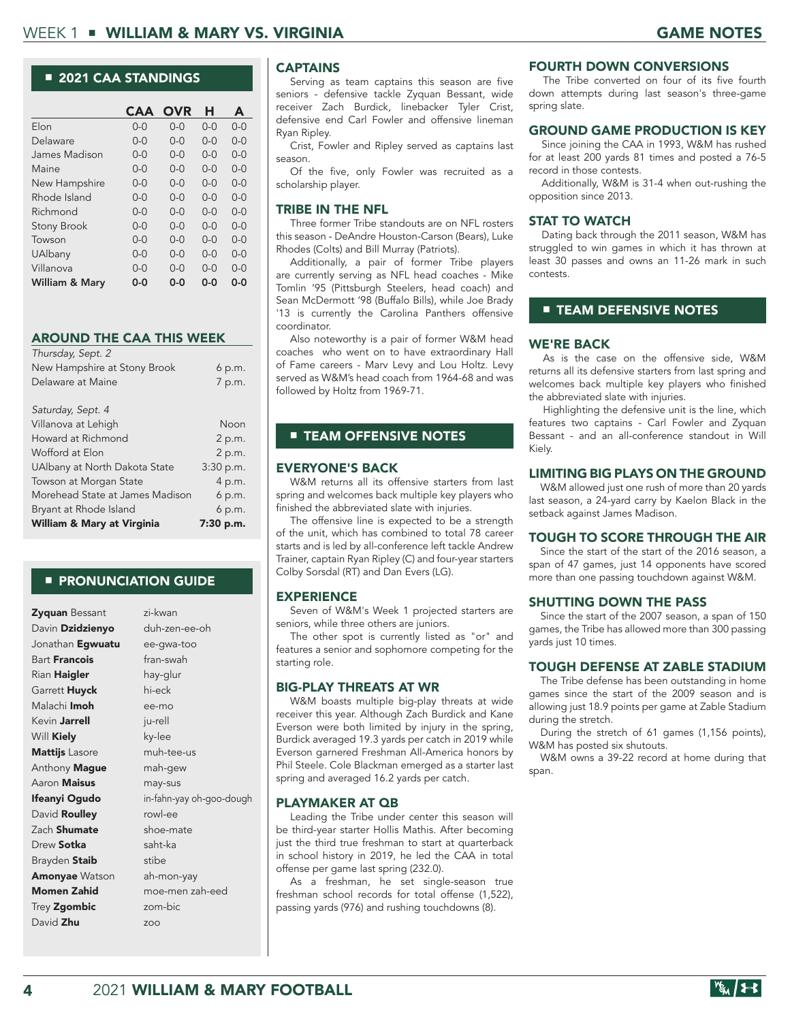#### ■ 2021 CAA STANDINGS

|                    | <b>CAA</b> | <b>OVR</b> | н       | A       |
|--------------------|------------|------------|---------|---------|
| Elon               | $0 - 0$    | $0 - 0$    | $0 - 0$ | $0 - 0$ |
| Delaware           | $0 - 0$    | $0-0$      | $0 - 0$ | $0-0$   |
| James Madison      | $0 - 0$    | N-0        | $0 - 0$ | $0 - 0$ |
| Maine              | 0-0        | 0-0        | $0 - 0$ | 0-0     |
| New Hampshire      | $0 - 0$    | $0-0$      | $0 - 0$ | $0-0$   |
| Rhode Island       | $0-0$      | $0-0$      | $0 - 0$ | $0-0$   |
| Richmond           | $0 - 0$    | N-0        | $0 - 0$ | N-0     |
| <b>Stony Brook</b> | $0-0$      | $0-0$      | $0 - 0$ | 0-0     |
| Towson             | $0 - 0$    | $0-0$      | $0 - 0$ | $0-0$   |
| UAlbany            | $0 - 0$    | $0 - 0$    | $0 - 0$ | N-0     |
| Villanova          | $0 - 0$    | N-0        | $0 - 0$ | N-0     |
| William & Mary     | ი-ი        | ი-ი        | ი-ი     | ი-ი     |

#### AROUND THE CAA THIS WEEK

| Thursday, Sept. 2               |             |
|---------------------------------|-------------|
| New Hampshire at Stony Brook    | 6 p.m.      |
| Delaware at Maine               | 7 p.m.      |
|                                 |             |
| Saturday, Sept. 4               |             |
| Villanova at Lehigh             | Noon        |
| Howard at Richmond              | 2 p.m.      |
| Wofford at Elon                 | 2 p.m.      |
| UAlbany at North Dakota State   | 3:30 p.m.   |
| Towson at Morgan State          | 4 p.m.      |
| Morehead State at James Madison | 6 p.m.      |
| Bryant at Rhode Island          | 6 p.m.      |
| William & Mary at Virginia      | $7:30$ p.m. |

#### ■ PRONUNCIATION GUIDE

| Zyquan Bessant          | zi-kwan                  |
|-------------------------|--------------------------|
| Davin Dzidzienyo        | duh-zen-ee-oh            |
| Jonathan <b>Egwuatu</b> | ee-gwa-too               |
| Bart <b>Francois</b>    | fran-swah                |
| Rian <b>Haigler</b>     | hay-glur                 |
| Garrett <b>Huyck</b>    | hi-eck                   |
| Malachi <b>Imoh</b>     | ee-mo                    |
| Kevin <b>Jarrell</b>    | ju-rell                  |
| Will Kiely              | ky-lee                   |
| Mattijs Lasore          | muh-tee-us               |
| Anthony Mague           | mah-gew                  |
| Aaron <b>Maisus</b>     | may-sus                  |
| lfeanyi Ogudo           | in-fahn-yay oh-goo-dough |
| David Roulley           | rowl-ee                  |
| Zach <b>Shumate</b>     | shoe-mate                |
| Drew <b>Sotka</b>       | saht-ka                  |
| Brayden Staib           | stibe                    |
| <b>Amonyae</b> Watson   | ah-mon-yay               |
| Momen Zahid             | moe-men zah-eed          |
| Trey Zgombic            | zom-bic                  |
| David <b>Zhu</b>        | ZOO                      |
|                         |                          |

#### CAPTAINS

Serving as team captains this season are five seniors - defensive tackle Zyquan Bessant, wide receiver Zach Burdick, linebacker Tyler Crist, defensive end Carl Fowler and offensive lineman Ryan Ripley.

Crist, Fowler and Ripley served as captains last season.

Of the five, only Fowler was recruited as a scholarship player.

#### TRIBE IN THE NFL

Three former Tribe standouts are on NFL rosters this season - DeAndre Houston-Carson (Bears), Luke Rhodes (Colts) and Bill Murray (Patriots).

Additionally, a pair of former Tribe players are currently serving as NFL head coaches - Mike Tomlin '95 (Pittsburgh Steelers, head coach) and Sean McDermott '98 (Buffalo Bills), while Joe Brady '13 is currently the Carolina Panthers offensive coordinator.

Also noteworthy is a pair of former W&M head coaches who went on to have extraordinary Hall of Fame careers - Marv Levy and Lou Holtz. Levy served as W&M's head coach from 1964-68 and was followed by Holtz from 1969-71.

#### ■ TEAM OFFENSIVE NOTES

#### EVERYONE'S BACK

W&M returns all its offensive starters from last spring and welcomes back multiple key players who finished the abbreviated slate with injuries.

The offensive line is expected to be a strength of the unit, which has combined to total 78 career starts and is led by all-conference left tackle Andrew Trainer, captain Ryan Ripley (C) and four-year starters Colby Sorsdal (RT) and Dan Evers (LG).

#### **EXPERIENCE**

Seven of W&M's Week 1 projected starters are seniors, while three others are juniors.

The other spot is currently listed as "or" and features a senior and sophomore competing for the starting role.

#### BIG-PLAY THREATS AT WR

W&M boasts multiple big-play threats at wide receiver this year. Although Zach Burdick and Kane Everson were both limited by injury in the spring, Burdick averaged 19.3 yards per catch in 2019 while Everson garnered Freshman All-America honors by Phil Steele. Cole Blackman emerged as a starter last spring and averaged 16.2 yards per catch.

#### PLAYMAKER AT QB

Leading the Tribe under center this season will be third-year starter Hollis Mathis. After becoming just the third true freshman to start at quarterback in school history in 2019, he led the CAA in total offense per game last spring (232.0).

As a freshman, he set single-season true freshman school records for total offense (1,522), passing yards (976) and rushing touchdowns (8).

#### FOURTH DOWN CONVERSIONS

The Tribe converted on four of its five fourth down attempts during last season's three-game spring slate.

#### GROUND GAME PRODUCTION IS KEY

Since joining the CAA in 1993, W&M has rushed for at least 200 yards 81 times and posted a 76-5 record in those contests.

Additionally, W&M is 31-4 when out-rushing the opposition since 2013.

#### STAT TO WATCH

Dating back through the 2011 season, W&M has struggled to win games in which it has thrown at least 30 passes and owns an 11-26 mark in such contests.

#### **E TEAM DEFENSIVE NOTES**

#### WE'RE BACK

As is the case on the offensive side, W&M returns all its defensive starters from last spring and welcomes back multiple key players who finished the abbreviated slate with injuries.

Highlighting the defensive unit is the line, which features two captains - Carl Fowler and Zyquan Bessant - and an all-conference standout in Will Kiely.

#### LIMITING BIG PLAYS ON THE GROUND

W&M allowed just one rush of more than 20 yards last season, a 24-yard carry by Kaelon Black in the setback against James Madison.

#### TOUGH TO SCORE THROUGH THE AIR

Since the start of the start of the 2016 season, a span of 47 games, just 14 opponents have scored more than one passing touchdown against W&M.

#### SHUTTING DOWN THE PASS

Since the start of the 2007 season, a span of 150 games, the Tribe has allowed more than 300 passing yards just 10 times.

#### TOUGH DEFENSE AT ZABLE STADIUM

The Tribe defense has been outstanding in home games since the start of the 2009 season and is allowing just 18.9 points per game at Zable Stadium during the stretch.

During the stretch of 61 games (1,156 points), W&M has posted six shutouts.

W&M owns a 39-22 record at home during that span.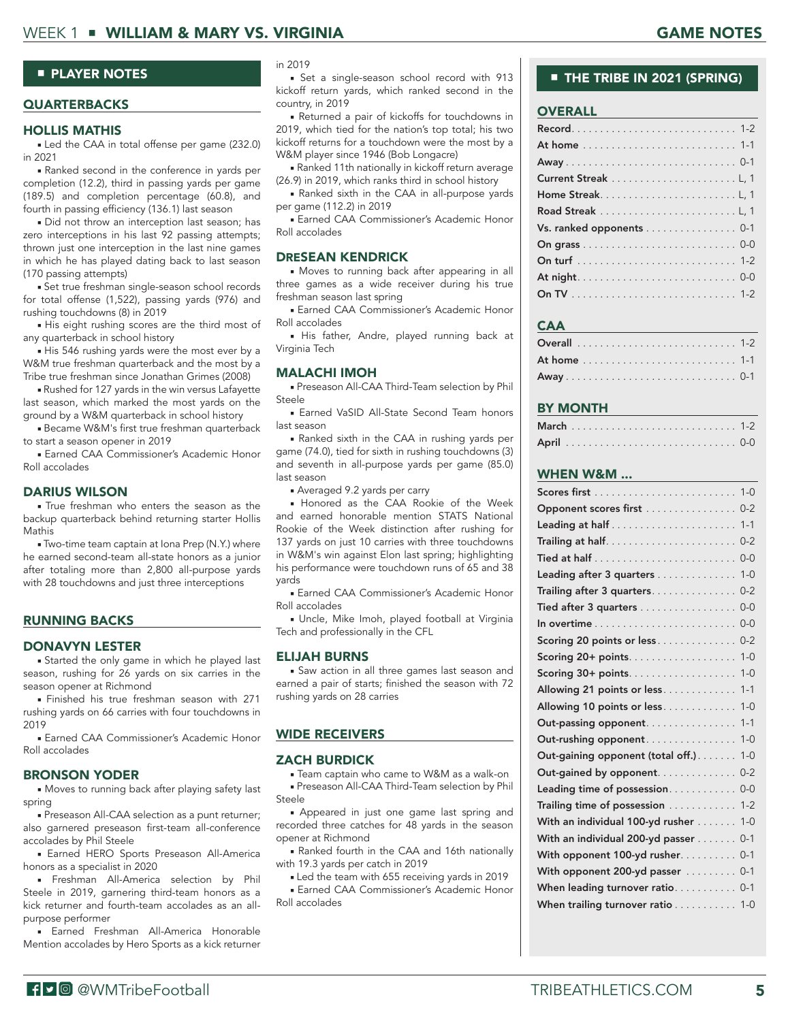#### WEEK 1 ■ WILLIAM & MARY VS. VIRGINIA GAME NOTES GAME NOTES

#### ■ PLAYER NOTES

#### **QUARTERBACKS**

#### HOLLIS MATHIS

■ Led the CAA in total offense per game (232.0) in 2021

■ Ranked second in the conference in yards per completion (12.2), third in passing yards per game (189.5) and completion percentage (60.8), and fourth in passing efficiency (136.1) last season

■ Did not throw an interception last season; has zero interceptions in his last 92 passing attempts; thrown just one interception in the last nine games in which he has played dating back to last season (170 passing attempts)

■ Set true freshman single-season school records for total offense (1,522), passing yards (976) and rushing touchdowns (8) in 2019

■ His eight rushing scores are the third most of any quarterback in school history

■ His 546 rushing yards were the most ever by a W&M true freshman quarterback and the most by a Tribe true freshman since Jonathan Grimes (2008)

■ Rushed for 127 yards in the win versus Lafayette last season, which marked the most yards on the ground by a W&M quarterback in school history

■ Became W&M's first true freshman quarterback to start a season opener in 2019

■ Earned CAA Commissioner's Academic Honor Roll accolades

#### DARIUS WILSON

■ True freshman who enters the season as the backup quarterback behind returning starter Hollis Mathis

■ Two-time team captain at Iona Prep (N.Y.) where he earned second-team all-state honors as a junior after totaling more than 2,800 all-purpose yards with 28 touchdowns and just three interceptions

#### **RUNNING BACKS**

#### DONAVYN LESTER

■ Started the only game in which he played last season, rushing for 26 yards on six carries in the season opener at Richmond

■ Finished his true freshman season with 271 rushing yards on 66 carries with four touchdowns in 2019

■ Earned CAA Commissioner's Academic Honor Roll accolades

#### BRONSON YODER

■ Moves to running back after playing safety last spring

■ Preseason All-CAA selection as a punt returner; also garnered preseason first-team all-conference accolades by Phil Steele

■ Earned HERO Sports Preseason All-America honors as a specialist in 2020

■ Freshman All-America selection by Phil Steele in 2019, garnering third-team honors as a kick returner and fourth-team accolades as an allpurpose performer

■ Earned Freshman All-America Honorable Mention accolades by Hero Sports as a kick returner in 2019

■ Set a single-season school record with 913 kickoff return yards, which ranked second in the country, in 2019

■ Returned a pair of kickoffs for touchdowns in 2019, which tied for the nation's top total; his two kickoff returns for a touchdown were the most by a W&M player since 1946 (Bob Longacre)

■ Ranked 11th nationally in kickoff return average (26.9) in 2019, which ranks third in school history

■ Ranked sixth in the CAA in all-purpose yards per game (112.2) in 2019

■ Earned CAA Commissioner's Academic Honor Roll accolades

#### DRESEAN KENDRICK

■ Moves to running back after appearing in all three games as a wide receiver during his true freshman season last spring

■ Earned CAA Commissioner's Academic Honor Roll accolades

■ His father, Andre, played running back at Virginia Tech

#### MALACHI IMOH

■ Preseason All-CAA Third-Team selection by Phil Steele

■ Earned VaSID All-State Second Team honors last season

■ Ranked sixth in the CAA in rushing yards per game (74.0), tied for sixth in rushing touchdowns (3) and seventh in all-purpose yards per game (85.0) last season

■ Averaged 9.2 yards per carry

■ Honored as the CAA Rookie of the Week and earned honorable mention STATS National Rookie of the Week distinction after rushing for 137 yards on just 10 carries with three touchdowns in W&M's win against Elon last spring; highlighting his performance were touchdown runs of 65 and 38 yards

■ Earned CAA Commissioner's Academic Honor Roll accolades

■ Uncle, Mike Imoh, played football at Virginia Tech and professionally in the CFL

#### ELIJAH BURNS

■ Saw action in all three games last season and earned a pair of starts; finished the season with 72 rushing yards on 28 carries

#### WIDE RECEIVERS

#### ZACH BURDICK

■ Team captain who came to W&M as a walk-on ■ Preseason All-CAA Third-Team selection by Phil Steele

■ Appeared in just one game last spring and recorded three catches for 48 yards in the season opener at Richmond

■ Ranked fourth in the CAA and 16th nationally with 19.3 yards per catch in 2019

■ Led the team with 655 receiving yards in 2019

■ Earned CAA Commissioner's Academic Honor Roll accolades

#### ■ THE TRIBE IN 2021 (SPRING)

#### OVERALL

| Vs. ranked opponents 0-1 |
|--------------------------|
|                          |
|                          |
|                          |
|                          |

#### **CAA**

#### BY MONTH

#### WHEN W&M ...

| Opponent scores first                                    | $0 - 2$ |
|----------------------------------------------------------|---------|
| $1 - 1$                                                  |         |
| Trailing at half<br>$0 - 2$                              |         |
|                                                          | $0 - 0$ |
| Leading after 3 quarters                                 | $1 - 0$ |
| Trailing after $3$ quarters                              | $0 - 2$ |
| Tied after 3 quarters                                    | $0 - 0$ |
|                                                          | $0 - 0$ |
| Scoring 20 points or less<br>$0 - 2$                     |         |
| Scoring 20+ points.                                      | $1 - 0$ |
| Scoring 30+ points.                                      | $1 - 0$ |
| Allowing 21 points or less                               | $1 - 1$ |
| Allowing 10 points or less                               | $1 - 0$ |
| Out-passing opponent<br>$1 - 1$                          |         |
| Out-rushing opponent                                     | $1 - 0$ |
| Out-gaining opponent (total off.). $\dots$ .             | $1 - 0$ |
| Out-gained by opponent. $\ldots$<br>$0 - 2$              |         |
| Leading time of possession                               | $0 - 0$ |
| Trailing time of possession                              | $1 - 2$ |
| With an individual 100-yd rusher $\dots\dots$            | $1 - 0$ |
| With an individual 200-yd passer<br>$0 - 1$              |         |
| With opponent 100-yd rusher<br>$0 - 1$                   |         |
| With opponent 200-yd passer $\dots\dots\dots$<br>$0 - 1$ |         |
| When leading turnover ratio 0-1                          |         |
| When trailing turnover ratio 1-0                         |         |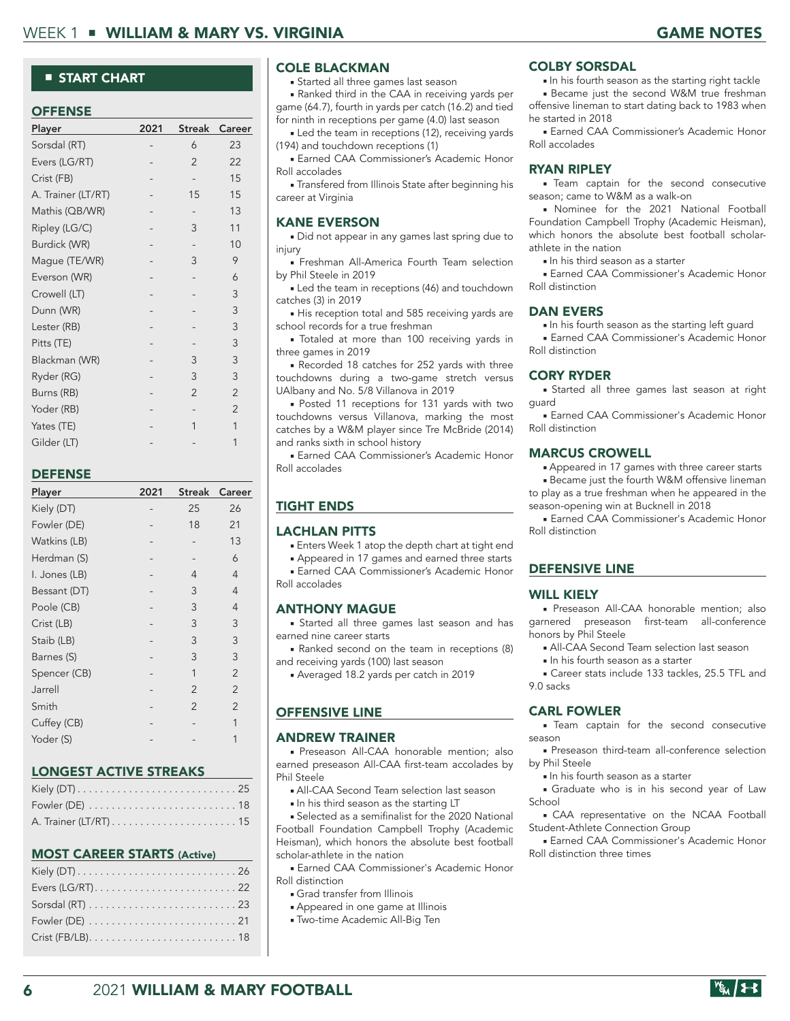#### ■ START CHART

#### **OFFENSE**

| Player             | 2021 | Streak         | Career         |
|--------------------|------|----------------|----------------|
| Sorsdal (RT)       |      | 6              | 23             |
| Evers (LG/RT)      |      | $\overline{2}$ | 22             |
| Crist (FB)         |      |                | 15             |
| A. Trainer (LT/RT) |      | 15             | 15             |
| Mathis (QB/WR)     |      |                | 13             |
| Ripley (LG/C)      |      | 3              | 11             |
| Burdick (WR)       |      |                | 10             |
| Mague (TE/WR)      |      | 3              | 9              |
| Everson (WR)       |      |                | 6              |
| Crowell (LT)       |      |                | 3              |
| Dunn (WR)          |      |                | 3              |
| Lester (RB)        |      |                | 3              |
| Pitts (TE)         |      |                | 3              |
| Blackman (WR)      |      | 3              | 3              |
| Ryder (RG)         |      | 3              | 3              |
| Burns (RB)         |      | $\overline{2}$ | $\overline{2}$ |
| Yoder (RB)         |      |                | $\overline{2}$ |
| Yates (TE)         |      | 1              | 1              |
| Gilder (LT)        |      |                | 1              |

#### DEFENSE

| Player        | 2021 | Streak         | Career         |
|---------------|------|----------------|----------------|
| Kiely (DT)    |      | 25             | 26             |
| Fowler (DE)   |      | 18             | 21             |
| Watkins (LB)  |      |                | 13             |
| Herdman (S)   |      |                | 6              |
| I. Jones (LB) |      | 4              | 4              |
| Bessant (DT)  |      | 3              | 4              |
| Poole (CB)    |      | 3              | 4              |
| Crist (LB)    |      | 3              | 3              |
| Staib (LB)    |      | 3              | 3              |
| Barnes (S)    |      | 3              | 3              |
| Spencer (CB)  |      | 1              | $\overline{2}$ |
| Jarrell       |      | $\overline{2}$ | $\mathfrak{D}$ |
| Smith         |      | $\overline{2}$ | $\overline{2}$ |
| Cuffey (CB)   |      |                | 1              |
| Yoder (S)     |      |                | 1              |
|               |      |                |                |

#### LONGEST ACTIVE STREAKS

| Fowler (DE) $\ldots \ldots \ldots \ldots \ldots \ldots \ldots \ldots 18$ |
|--------------------------------------------------------------------------|
|                                                                          |

#### MOST CAREER STARTS (Active)

#### COLE BLACKMAN

■ Started all three games last season

■ Ranked third in the CAA in receiving yards per game (64.7), fourth in yards per catch (16.2) and tied for ninth in receptions per game (4.0) last season

■ Led the team in receptions (12), receiving yards (194) and touchdown receptions (1)

■ Earned CAA Commissioner's Academic Honor Roll accolades

■ Transfered from Illinois State after beginning his career at Virginia

#### KANE EVERSON

■ Did not appear in any games last spring due to injury

■ Freshman All-America Fourth Team selection by Phil Steele in 2019

■ Led the team in receptions (46) and touchdown catches (3) in 2019

■ His reception total and 585 receiving yards are school records for a true freshman

■ Totaled at more than 100 receiving yards in three games in 2019

■ Recorded 18 catches for 252 yards with three touchdowns during a two-game stretch versus UAlbany and No. 5/8 Villanova in 2019

■ Posted 11 receptions for 131 yards with two touchdowns versus Villanova, marking the most catches by a W&M player since Tre McBride (2014) and ranks sixth in school history

**Earned CAA Commissioner's Academic Honor** Roll accolades

#### TIGHT ENDS

#### LACHLAN PITTS

■ Enters Week 1 atop the depth chart at tight end

■ Appeared in 17 games and earned three starts

**Earned CAA Commissioner's Academic Honor** Roll accolades

#### ANTHONY MAGUE

■ Started all three games last season and has earned nine career starts

■ Ranked second on the team in receptions (8) and receiving yards (100) last season

■ Averaged 18.2 yards per catch in 2019

#### OFFENSIVE LINE

#### ANDREW TRAINER

■ Preseason All-CAA honorable mention; also earned preseason All-CAA first-team accolades by Phil Steele

- All-CAA Second Team selection last season
- In his third season as the starting LT

■ Selected as a semifinalist for the 2020 National Football Foundation Campbell Trophy (Academic Heisman), which honors the absolute best football scholar-athlete in the nation

■ Earned CAA Commissioner's Academic Honor Roll distinction

- Grad transfer from Illinois
- Appeared in one game at Illinois
- Two-time Academic All-Big Ten

#### COLBY SORSDAL

■ In his fourth season as the starting right tackle

■ Became just the second W&M true freshman offensive lineman to start dating back to 1983 when he started in 2018

■ Earned CAA Commissioner's Academic Honor Roll accolades

#### RYAN RIPLEY

■ Team captain for the second consecutive season; came to W&M as a walk-on

■ Nominee for the 2021 National Football Foundation Campbell Trophy (Academic Heisman), which honors the absolute best football scholarathlete in the nation

■ In his third season as a starter

■ Earned CAA Commissioner's Academic Honor Roll distinction

#### DAN EVERS

■ In his fourth season as the starting left guard ■ Earned CAA Commissioner's Academic Honor Roll distinction

#### CORY RYDER

■ Started all three games last season at right guard

■ Earned CAA Commissioner's Academic Honor Roll distinction

#### MARCUS CROWELL

■ Appeared in 17 games with three career starts

■ Became just the fourth W&M offensive lineman to play as a true freshman when he appeared in the season-opening win at Bucknell in 2018

■ Earned CAA Commissioner's Academic Honor Roll distinction

#### DEFENSIVE LINE

#### WILL KIELY

■ Preseason All-CAA honorable mention; also garnered preseason first-team all-conference honors by Phil Steele

- All-CAA Second Team selection last season
- In his fourth season as a starter

■ Career stats include 133 tackles, 25.5 TFL and 9.0 sacks

#### CARL FOWLER

■ Team captain for the second consecutive season

■ Preseason third-team all-conference selection by Phil Steele

■ In his fourth season as a starter

■ Graduate who is in his second year of Law School

■ CAA representative on the NCAA Football Student-Athlete Connection Group

■ Earned CAA Commissioner's Academic Honor Roll distinction three times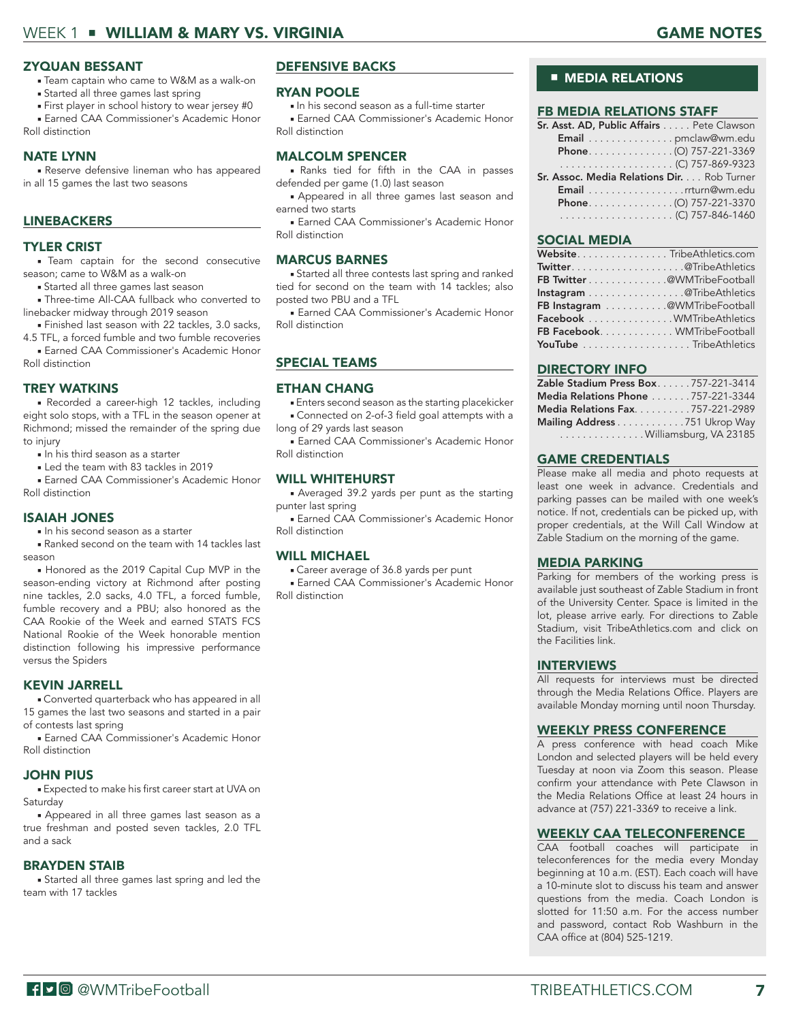### WEEK 1 ■ WILLIAM & MARY VS. VIRGINIA GAME NOTES GAME NOTES

#### ZYQUAN BESSANT

- Team captain who came to W&M as a walk-on
- Started all three games last spring
- First player in school history to wear jersey #0
- **Earned CAA Commissioner's Academic Honor** Roll distinction

#### NATE LYNN

■ Reserve defensive lineman who has appeared in all 15 games the last two seasons

#### **LINEBACKERS**

#### TYLER CRIST

■ Team captain for the second consecutive season; came to W&M as a walk-on

- Started all three games last season
- Three-time All-CAA fullback who converted to linebacker midway through 2019 season
- Finished last season with 22 tackles, 3.0 sacks, 4.5 TFL, a forced fumble and two fumble recoveries

■ Earned CAA Commissioner's Academic Honor Roll distinction

#### TREY WATKINS

■ Recorded a career-high 12 tackles, including eight solo stops, with a TFL in the season opener at Richmond; missed the remainder of the spring due to injury

- In his third season as a starter
- Led the team with 83 tackles in 2019

■ Earned CAA Commissioner's Academic Honor Roll distinction

#### ISAIAH JONES

■ In his second season as a starter

■ Ranked second on the team with 14 tackles last season

■ Honored as the 2019 Capital Cup MVP in the season-ending victory at Richmond after posting nine tackles, 2.0 sacks, 4.0 TFL, a forced fumble, fumble recovery and a PBU; also honored as the CAA Rookie of the Week and earned STATS FCS National Rookie of the Week honorable mention distinction following his impressive performance versus the Spiders

#### KEVIN JARRELL

■ Converted quarterback who has appeared in all 15 games the last two seasons and started in a pair of contests last spring

■ Earned CAA Commissioner's Academic Honor Roll distinction

#### JOHN PIUS

■ Expected to make his first career start at UVA on Saturday

■ Appeared in all three games last season as a true freshman and posted seven tackles, 2.0 TFL and a sack

#### BRAYDEN STAIB

■ Started all three games last spring and led the team with 17 tackles

#### DEFENSIVE BACKS

#### RYAN POOLE

■ In his second season as a full-time starter

■ Earned CAA Commissioner's Academic Honor Roll distinction

#### MALCOLM SPENCER

■ Ranks tied for fifth in the CAA in passes defended per game (1.0) last season

■ Appeared in all three games last season and earned two starts

■ Earned CAA Commissioner's Academic Honor Roll distinction

#### MARCUS BARNES

■ Started all three contests last spring and ranked tied for second on the team with 14 tackles; also posted two PBU and a TFL

■ Earned CAA Commissioner's Academic Honor Roll distinction

#### SPECIAL TEAMS

#### ETHAN CHANG

■ Enters second season as the starting placekicker ■ Connected on 2-of-3 field goal attempts with a

long of 29 yards last season ■ Earned CAA Commissioner's Academic Honor

Roll distinction

#### WILL WHITEHURST

■ Averaged 39.2 yards per punt as the starting punter last spring

■ Earned CAA Commissioner's Academic Honor Roll distinction

#### WILL MICHAEL

■ Career average of 36.8 yards per punt ■ Earned CAA Commissioner's Academic Honor Roll distinction

#### ■ **MEDIA RELATIONS**

#### FB MEDIA RELATIONS STAFF

| Sr. Asst. AD, Public Affairs Pete Clawson         |  |
|---------------------------------------------------|--|
| Email pmclaw@wm.edu                               |  |
| Phone. (O) 757-221-3369                           |  |
|                                                   |  |
| <b>Sr. Assoc. Media Relations Dir.</b> Rob Turner |  |
| Email rrturn@wm.edu                               |  |
| Phone(O) 757-221-3370                             |  |
|                                                   |  |
|                                                   |  |

#### SOCIAL MEDIA

| WebsiteTribeAthletics.com     |  |
|-------------------------------|--|
| Twitter@TribeAthletics        |  |
| FB Twitter @WMTribeFootball   |  |
| Instagram @ TribeAthletics    |  |
| FB Instagram @WMTribeFootball |  |
| Facebook WMTribeAthletics     |  |
| FB Facebook WMTribeFootball   |  |
| YouTube TribeAthletics        |  |

#### DIRECTORY INFO

| Zable Stadium Press Box757-221-3414    |  |
|----------------------------------------|--|
| Media Relations Phone 757-221-3344     |  |
| <b>Media Relations Fax757-221-2989</b> |  |
| Mailing Address 751 Ukrop Way          |  |
| Williamsburg, VA 23185                 |  |

#### GAME CREDENTIALS

Please make all media and photo requests at least one week in advance. Credentials and parking passes can be mailed with one week's notice. If not, credentials can be picked up, with proper credentials, at the Will Call Window at Zable Stadium on the morning of the game.

#### MEDIA PARKING

Parking for members of the working press is available just southeast of Zable Stadium in front of the University Center. Space is limited in the lot, please arrive early. For directions to Zable Stadium, visit TribeAthletics.com and click on the Facilities link.

#### INTERVIEWS

All requests for interviews must be directed through the Media Relations Office. Players are available Monday morning until noon Thursday.

#### WEEKLY PRESS CONFERENCE

A press conference with head coach Mike London and selected players will be held every Tuesday at noon via Zoom this season. Please confirm your attendance with Pete Clawson in the Media Relations Office at least 24 hours in advance at (757) 221-3369 to receive a link.

#### WEEKLY CAA TELECONFERENCE

CAA football coaches will participate in teleconferences for the media every Monday beginning at 10 a.m. (EST). Each coach will have a 10-minute slot to discuss his team and answer questions from the media. Coach London is slotted for 11:50 a.m. For the access number and password, contact Rob Washburn in the CAA office at (804) 525-1219.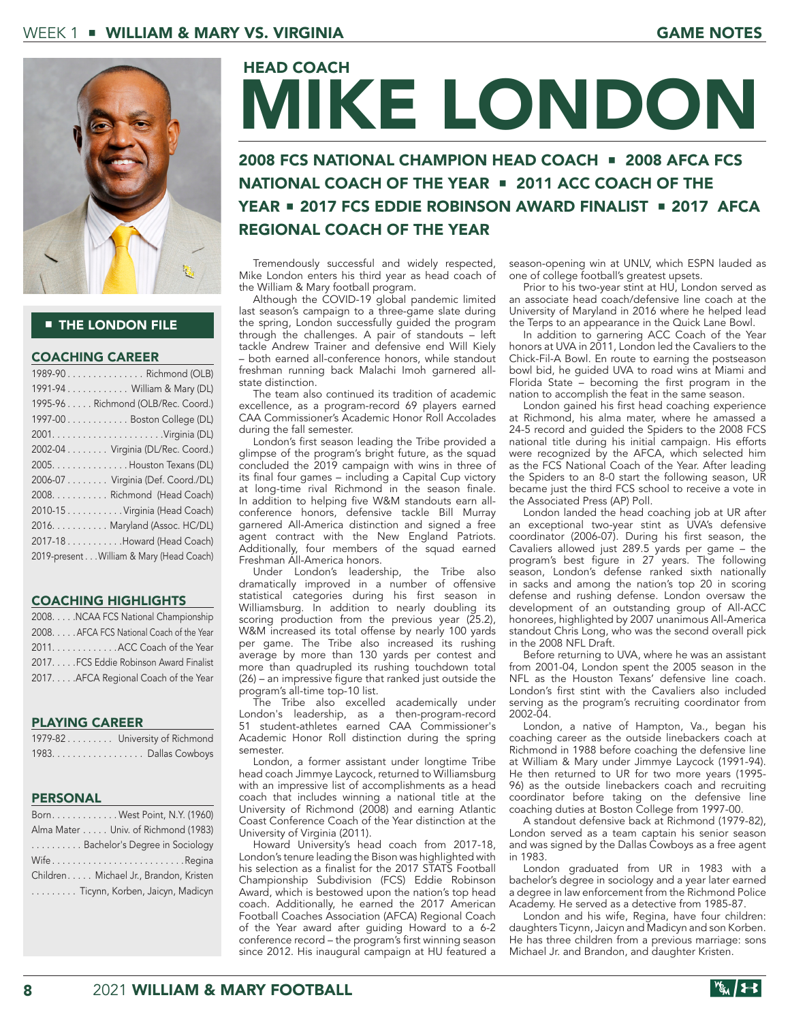

#### **THE LONDON FILE**

#### COACHING CAREER

| 1989-90Richmond (OLB)                    |
|------------------------------------------|
| 1991-94 William & Mary (DL)              |
| 1995-96 Richmond (OLB/Rec. Coord.)       |
| 1997-00 Boston College (DL)              |
|                                          |
| 2002-04 Virginia (DL/Rec. Coord.)        |
| 2005. Houston Texans (DL)                |
| 2006-07 Virginia (Def. Coord./DL)        |
| 2008. Richmond (Head Coach)              |
| 2010-15 Virginia (Head Coach)            |
| 2016. Maryland (Assoc. HC/DL)            |
| 2017-18 Howard (Head Coach)              |
| 2019-present William & Mary (Head Coach) |
|                                          |

#### COACHING HIGHLIGHTS

2008. . . . . NCAA FCS National Championship 2008. . . . .AFCA FCS National Coach of the Year 2011. . . . . . . . . . . . . . ACC Coach of the Year 2017. . . . .FCS Eddie Robinson Award Finalist 2017. . . . .AFCA Regional Coach of the Year

#### PLAYING CAREER

| 1979-82 University of Richmond |
|--------------------------------|
| 1983. Dallas Cowboys           |

#### PERSONAL

| Born. West Point, N.Y. (1960)          |
|----------------------------------------|
| Alma Mater Univ. of Richmond (1983)    |
| Bachelor's Degree in Sociology         |
| WifeRegina                             |
| Children Michael Jr., Brandon, Kristen |
| Ticynn, Korben, Jaicyn, Madicyn        |

# MIKE LONDON HEAD COACH

# 2008 FCS NATIONAL CHAMPION HEAD COACH ■ 2008 AFCA FCS NATIONAL COACH OF THE YEAR ■ 2011 ACC COACH OF THE YEAR ■ 2017 FCS EDDIE ROBINSON AWARD FINALIST ■ 2017 AFCA REGIONAL COACH OF THE YEAR

Tremendously successful and widely respected, Mike London enters his third year as head coach of the William & Mary football program.

Although the COVID-19 global pandemic limited last season's campaign to a three-game slate during the spring, London successfully guided the program through the challenges. A pair of standouts – left tackle Andrew Trainer and defensive end Will Kiely – both earned all-conference honors, while standout freshman running back Malachi Imoh garnered allstate distinction.

The team also continued its tradition of academic excellence, as a program-record 69 players earned CAA Commissioner's Academic Honor Roll Accolades during the fall semester.

London's first season leading the Tribe provided a glimpse of the program's bright future, as the squad concluded the 2019 campaign with wins in three of its final four games – including a Capital Cup victory at long-time rival Richmond in the season finale. In addition to helping five W&M standouts earn allconference honors, defensive tackle Bill Murray garnered All-America distinction and signed a free agent contract with the New England Patriots. Additionally, four members of the squad earned Freshman All-America honors.

Under London's leadership, the Tribe also dramatically improved in a number of offensive statistical categories during his first season in Williamsburg. In addition to nearly doubling its scoring production from the previous year (25.2), W&M increased its total offense by nearly 100 yards per game. The Tribe also increased its rushing average by more than 130 yards per contest and more than quadrupled its rushing touchdown total (26) – an impressive figure that ranked just outside the program's all-time top-10 list.

The Tribe also excelled academically under London's leadership, as a then-program-record 51 student-athletes earned CAA Commissioner's Academic Honor Roll distinction during the spring semester.

London, a former assistant under longtime Tribe head coach Jimmye Laycock, returned to Williamsburg with an impressive list of accomplishments as a head coach that includes winning a national title at the University of Richmond (2008) and earning Atlantic Coast Conference Coach of the Year distinction at the University of Virginia (2011).

Howard University's head coach from 2017-18, London's tenure leading the Bison was highlighted with his selection as a finalist for the 2017 STATS Football Championship Subdivision (FCS) Eddie Robinson Award, which is bestowed upon the nation's top head coach. Additionally, he earned the 2017 American Football Coaches Association (AFCA) Regional Coach of the Year award after guiding Howard to a 6-2 conference record – the program's first winning season since 2012. His inaugural campaign at HU featured a season-opening win at UNLV, which ESPN lauded as one of college football's greatest upsets.

Prior to his two-year stint at HU, London served as an associate head coach/defensive line coach at the University of Maryland in 2016 where he helped lead the Terps to an appearance in the Quick Lane Bowl.

In addition to garnering ACC Coach of the Year honors at UVA in 2011, London led the Cavaliers to the Chick-Fil-A Bowl. En route to earning the postseason bowl bid, he guided UVA to road wins at Miami and Florida State – becoming the first program in the nation to accomplish the feat in the same season.

London gained his first head coaching experience at Richmond, his alma mater, where he amassed a 24-5 record and guided the Spiders to the 2008 FCS national title during his initial campaign. His efforts were recognized by the AFCA, which selected him as the FCS National Coach of the Year. After leading the Spiders to an 8-0 start the following season, UR became just the third FCS school to receive a vote in the Associated Press (AP) Poll.

London landed the head coaching job at UR after an exceptional two-year stint as UVA's defensive coordinator (2006-07). During his first season, the Cavaliers allowed just 289.5 yards per game – the program's best figure in 27 years. The following season, London's defense ranked sixth nationally in sacks and among the nation's top 20 in scoring defense and rushing defense. London oversaw the development of an outstanding group of All-ACC honorees, highlighted by 2007 unanimous All-America standout Chris Long, who was the second overall pick in the 2008 NFL Draft.

Before returning to UVA, where he was an assistant from 2001-04, London spent the 2005 season in the NFL as the Houston Texans' defensive line coach. London's first stint with the Cavaliers also included serving as the program's recruiting coordinator from 2002-04.

London, a native of Hampton, Va., began his coaching career as the outside linebackers coach at Richmond in 1988 before coaching the defensive line at William & Mary under Jimmye Laycock (1991-94). He then returned to UR for two more years (1995- 96) as the outside linebackers coach and recruiting coordinator before taking on the defensive line coaching duties at Boston College from 1997-00.

A standout defensive back at Richmond (1979-82), London served as a team captain his senior season and was signed by the Dallas Cowboys as a free agent in 1983.

London graduated from UR in 1983 with a bachelor's degree in sociology and a year later earned a degree in law enforcement from the Richmond Police Academy. He served as a detective from 1985-87.

London and his wife, Regina, have four children: daughters Ticynn, Jaicyn and Madicyn and son Korben. He has three children from a previous marriage: sons Michael Jr. and Brandon, and daughter Kristen.

|--|--|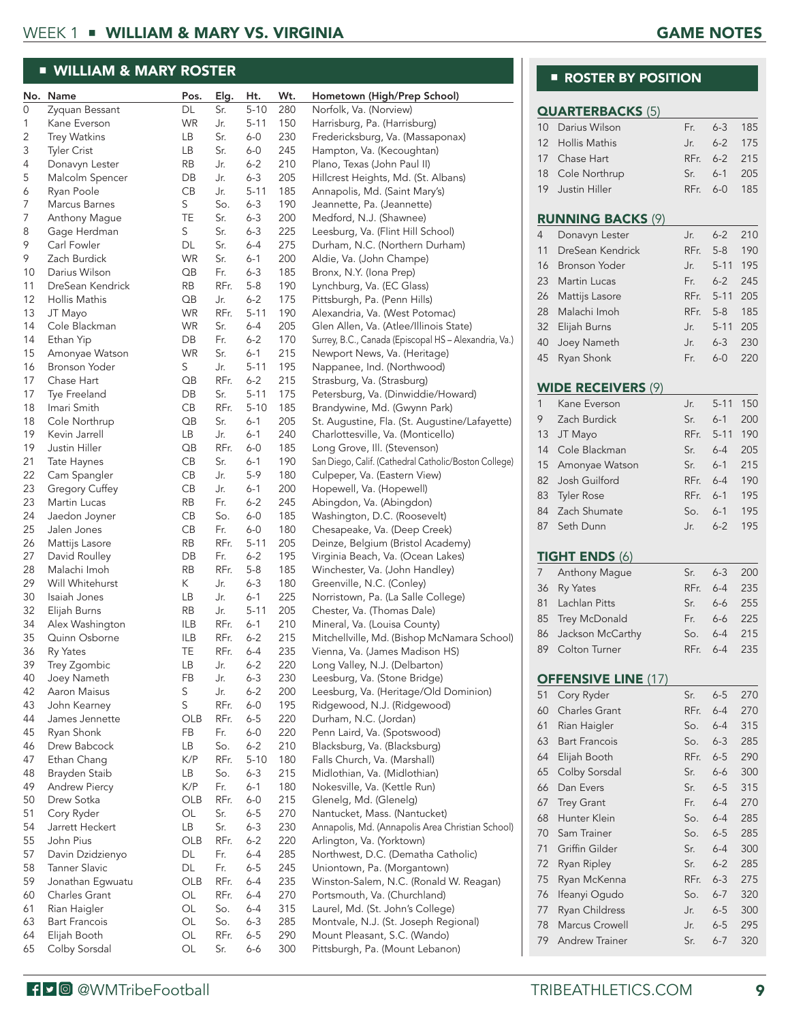# WEEK 1 ■ WILLIAM & MARY VS. VIRGINIA GAME NOTES

# ■ WILLIAM & MARY ROSTER

|          | No. Name                       | Pos.                  | Elg.        | Ht.                | Wt.        | Hometown (High/Prep School)                                                      |
|----------|--------------------------------|-----------------------|-------------|--------------------|------------|----------------------------------------------------------------------------------|
| 0        | Zyquan Bessant                 | DL                    | Sr.         | $5 - 10$           | 280        | Norfolk, Va. (Norview)                                                           |
| 1        | Kane Everson                   | <b>WR</b>             | Jr.         | $5 - 11$           | 150        | Harrisburg, Pa. (Harrisburg)                                                     |
| 2        | <b>Trey Watkins</b>            | LВ                    | Sr.         | $6-0$              | 230        | Fredericksburg, Va. (Massaponax)                                                 |
| 3        | <b>Tyler Crist</b>             | LВ                    | Sr.         | $6-0$              | 245        | Hampton, Va. (Kecoughtan)                                                        |
| 4        | Donavyn Lester                 | RB                    | Jr.         | $6 - 2$            | 210        | Plano, Texas (John Paul II)                                                      |
| 5        | Malcolm Spencer                | DB                    | Jr.         | $6 - 3$            | 205        | Hillcrest Heights, Md. (St. Albans)                                              |
| 6        | Ryan Poole                     | CB                    | Jr.         | $5 - 11$           | 185        | Annapolis, Md. (Saint Mary's)                                                    |
| 7        | Marcus Barnes                  | S                     | So.         | $6 - 3$            | 190        | Jeannette, Pa. (Jeannette)                                                       |
| 7        | Anthony Mague                  | TE                    | Sr.         | $6 - 3$            | 200        | Medford, N.J. (Shawnee)                                                          |
| 8        | Gage Herdman                   | S                     | Sr.         | $6 - 3$            | 225        | Leesburg, Va. (Flint Hill School)                                                |
| 9        | Carl Fowler                    | DL                    | Sr.         | $6-4$              | 275        | Durham, N.C. (Northern Durham)                                                   |
| 9        | Zach Burdick                   | <b>WR</b>             | Sr.         | $6 - 1$            | 200        | Aldie, Va. (John Champe)                                                         |
| 10       | Darius Wilson                  | $\overline{OB}$       | Fr.         | $6 - 3$            | 185        | Bronx, N.Y. (Iona Prep)                                                          |
| 11       | DreSean Kendrick               | RB                    | RFr.        | $5 - 8$            | 190        | Lynchburg, Va. (EC Glass)                                                        |
| 12       | Hollis Mathis                  | $\overline{OB}$       | Jr.         | $6 - 2$            | 175        | Pittsburgh, Pa. (Penn Hills)                                                     |
| 13       | JT Mayo                        | <b>WR</b>             | RFr.        | $5 - 11$           | 190        | Alexandria, Va. (West Potomac)                                                   |
| 14       | Cole Blackman                  | <b>WR</b>             | Sr.         | $6-4$              | 205        | Glen Allen, Va. (Atlee/Illinois State)                                           |
| 14       | Ethan Yip                      | DB                    | Fr.         | $6 - 2$            | 170        | Surrey, B.C., Canada (Episcopal HS - Alexandria, Va.)                            |
| 15       | Amonyae Watson                 | <b>WR</b>             | Sr.         | $6 - 1$            | 215        | Newport News, Va. (Heritage)                                                     |
| 16       | Bronson Yoder                  | S                     | Jr.         | $5 - 11$           | 195        | Nappanee, Ind. (Northwood)                                                       |
| 17       | Chase Hart                     | $\overline{OB}$       | RFr.        | $6 - 2$            | 215        | Strasburg, Va. (Strasburg)                                                       |
| 17       | Tye Freeland                   | DB                    | Sr.         | $5 - 11$           | 175        | Petersburg, Va. (Dinwiddie/Howard)                                               |
| 18       | Imari Smith                    | CB                    | RFr.        | $5 - 10$           | 185        | Brandywine, Md. (Gwynn Park)                                                     |
| 18<br>19 | Cole Northrup                  | $\overline{OB}$       | Sr.         | $6 - 1$<br>$6 - 1$ | 205        | St. Augustine, Fla. (St. Augustine/Lafayette)                                    |
| 19       | Kevin Jarrell<br>Justin Hiller | LВ<br>$\overline{OB}$ | Jr.<br>RFr. | $6-0$              | 240<br>185 | Charlottesville, Va. (Monticello)<br>Long Grove, Ill. (Stevenson)                |
| 21       | Tate Haynes                    | CB                    | Sr.         | $6 - 1$            | 190        | San Diego, Calif. (Cathedral Catholic/Boston College)                            |
| 22       | Cam Spangler                   | CB                    | Jr.         | $5-9$              | 180        | Culpeper, Va. (Eastern View)                                                     |
| 23       | Gregory Cuffey                 | CB                    | Jr.         | $6 - 1$            | 200        | Hopewell, Va. (Hopewell)                                                         |
| 23       | Martin Lucas                   | RB                    | Fr.         | $6 - 2$            | 245        | Abingdon, Va. (Abingdon)                                                         |
| 24       | Jaedon Joyner                  | CВ                    | So.         | $6-0$              | 185        | Washington, D.C. (Roosevelt)                                                     |
| 25       | Jalen Jones                    | CB                    | Fr.         | $6 - 0$            | 180        | Chesapeake, Va. (Deep Creek)                                                     |
| 26       | Mattijs Lasore                 | RB                    | RFr.        | $5 - 11$           | 205        | Deinze, Belgium (Bristol Academy)                                                |
| 27       | David Roulley                  | DB                    | Fr.         | $6 - 2$            | 195        | Virginia Beach, Va. (Ocean Lakes)                                                |
| 28       | Malachi Imoh                   | RB                    | RFr.        | $5-8$              | 185        | Winchester, Va. (John Handley)                                                   |
| 29       | Will Whitehurst                | Κ                     | Jr.         | $6 - 3$            | 180        | Greenville, N.C. (Conley)                                                        |
| 30       | Isaiah Jones                   | LB                    | Jr.         | $6 - 1$            | 225        | Norristown, Pa. (La Salle College)                                               |
| 32       | Elijah Burns                   | RB                    | Jr.         | $5 - 11$           | 205        | Chester, Va. (Thomas Dale)                                                       |
| 34       | Alex Washington                | ILB                   | RFr.        | $6 - 1$            | 210        | Mineral, Va. (Louisa County)                                                     |
| 35       | Quinn Osborne                  | ILB                   | RFr.        | $6 - 2$            | 215        | Mitchellville, Md. (Bishop McNamara School)                                      |
| 36       | Ry Yates                       | TE                    | RFr.        | $6-4$              | 235        | Vienna, Va. (James Madison HS)                                                   |
| 39       | Trey Zgombic                   | LB                    | Jr.         | $6 - 2$            | 220        | Long Valley, N.J. (Delbarton)                                                    |
| 40       | Joey Nameth                    | FB                    | Jr.         | $6 - 3$            | 230        | Leesburg, Va. (Stone Bridge)                                                     |
| 42       | Aaron Maisus                   | S                     | Jr.         | $6 - 2$            | 200        | Leesburg, Va. (Heritage/Old Dominion)                                            |
| 43       | John Kearney                   | $\mathsf S$           | RFr.        | $6 - 0$            | 195        | Ridgewood, N.J. (Ridgewood)                                                      |
| 44       | James Jennette                 | OLB                   | RFr.        | $6-5$              | 220        | Durham, N.C. (Jordan)                                                            |
| 45       | Ryan Shonk                     | FB                    | Fr.         | $6 - 0$            | 220        | Penn Laird, Va. (Spotswood)                                                      |
| 46       | Drew Babcock                   | LB                    | So.         | $6 - 2$            | 210        | Blacksburg, Va. (Blacksburg)                                                     |
| 47       | Ethan Chang                    | K/P                   | RFr.        | $5 - 10$           | 180        | Falls Church, Va. (Marshall)                                                     |
| 48       | Brayden Staib                  | LB                    | So.         | $6 - 3$            | 215        | Midlothian, Va. (Midlothian)                                                     |
| 49       | Andrew Piercy                  | K/P                   | Fr.         | $6 - 1$            | 180        | Nokesville, Va. (Kettle Run)                                                     |
| 50<br>51 | Drew Sotka                     | OLB                   | RFr.<br>Sr. | $6-0$              | 215        | Glenelg, Md. (Glenelg)                                                           |
| 54       | Cory Ryder                     | OL                    | Sr.         | $6-5$              | 270<br>230 | Nantucket, Mass. (Nantucket)<br>Annapolis, Md. (Annapolis Area Christian School) |
| 55       | Jarrett Heckert<br>John Pius   | LB<br>OLB             | RFr.        | $6 - 3$<br>$6 - 2$ | 220        |                                                                                  |
| 57       | Davin Dzidzienyo               | DL                    | Fr.         | $6 - 4$            | 285        | Arlington, Va. (Yorktown)<br>Northwest, D.C. (Dematha Catholic)                  |
| 58       | <b>Tanner Slavic</b>           | DL                    | Fr.         | $6 - 5$            | 245        | Uniontown, Pa. (Morgantown)                                                      |
| 59       | Jonathan Egwuatu               | OLB                   | RFr.        | $6-4$              | 235        | Winston-Salem, N.C. (Ronald W. Reagan)                                           |
| 60       | Charles Grant                  | OL                    | RFr.        | 6-4                | 270        | Portsmouth, Va. (Churchland)                                                     |
| 61       | Rian Haigler                   | OL                    | So.         | $6-4$              | 315        | Laurel, Md. (St. John's College)                                                 |
| 63       | <b>Bart Francois</b>           | OL                    | So.         | $6 - 3$            | 285        | Montvale, N.J. (St. Joseph Regional)                                             |
| 64       | Elijah Booth                   | OL                    | RFr.        | $6-5$              | 290        | Mount Pleasant, S.C. (Wando)                                                     |
| 65       | Colby Sorsdal                  | OL                    | Sr.         | $6 - 6$            | 300        | Pittsburgh, Pa. (Mount Lebanon)                                                  |
|          |                                |                       |             |                    |            |                                                                                  |

## ■ ROSTER BY POSITION

|        | <b>QUARTERBACKS (5)</b>          |      |          |            |
|--------|----------------------------------|------|----------|------------|
| $10-1$ | Darius Wilson                    | Fr.  | $6 - 3$  | 185        |
| 12     | <b>Hollis Mathis</b>             | Jr.  | $6 - 2$  | 175        |
|        |                                  | RFr. |          |            |
| 17     | Chase Hart                       |      | $6 - 2$  | 215        |
| 18     | Cole Northrup                    | Sr.  | $6 - 1$  | 205        |
| 19     | <b>Justin Hiller</b>             | RFr. | $6 - 0$  | 185        |
|        | <b>RUNNING BACKS (9)</b>         |      |          |            |
| 4      | Donavyn Lester                   | Jr.  | $6 - 2$  | 210        |
| 11     | DreSean Kendrick                 | RFr. | $5 - 8$  | 190        |
| 16     | <b>Bronson Yoder</b>             | Jr.  | $5 - 11$ | 195        |
| 23     | <b>Martin Lucas</b>              | Fr.  | $6 - 2$  | 245        |
| 26     | Mattijs Lasore                   | RFr. | $5 - 11$ | 205        |
| 28     | Malachi Imoh                     | RFr. | $5 - 8$  | 185        |
| 32     | Elijah Burns                     | Jr.  | $5 - 11$ | 205        |
| 40     | Joey Nameth                      | Jr.  | $6 - 3$  | 230        |
| 45     | Ryan Shonk                       | Fr.  | $6 - 0$  | 220        |
|        | <b>WIDE RECEIVERS (9)</b>        |      |          |            |
| 1      | Kane Everson                     | Jr.  | $5 - 11$ | 150        |
| 9      | Zach Burdick                     | Sr.  | $6 - 1$  | 200        |
| 13     |                                  | RFr. | $5 - 11$ | 190        |
|        | JT Mayo                          |      |          |            |
| 14     | Cole Blackman                    | Sr.  | $6-4$    | 205        |
| 15     | Amonyae Watson                   | Sr.  | $6 - 1$  | 215        |
| 82     | Josh Guilford                    | RFr. | $6-4$    | 190        |
| 83     | <b>Tyler Rose</b>                | RFr. | $6 - 1$  | 195        |
| 84     | Zach Shumate                     | So.  | $6 - 1$  | 195        |
| 87     | Seth Dunn                        | Jr.  | $6 - 2$  | 195        |
|        | <b>TIGHT ENDS (6)</b>            |      |          |            |
| 7      | Anthony Mague                    | Sr.  | $6 - 3$  | 200        |
| 36     | Ry Yates                         | RFr. | $6 - 4$  | 235        |
| 81     | Lachlan Pitts                    | Sr.  | 6-6      | 255        |
| 85     | Trey McDonald                    | Fr.  | 6-6      | 225        |
| 86     | Jackson McCarthy                 | So.  | $6 - 4$  | 215        |
| 89     | Colton Turner                    | RFr. | $6 - 4$  | 235        |
|        | <b>OFFENSIVE LINE (17)</b>       |      |          |            |
| 51     | Cory Ryder                       | Sr.  | $6 - 5$  | 270        |
| 60     | Charles Grant                    | RFr. | $6 - 4$  | 270        |
| 61     | Rian Haigler                     | So.  | $6 - 4$  | 315        |
| 63     | <b>Bart Francois</b>             | So.  | $6 - 3$  | 285        |
| 64     | Elijah Booth                     | RFr. | $6 - 5$  | 290        |
| 65     | Colby Sorsdal                    | Sr.  | $6 - 6$  | 300        |
| 66     | Dan Evers                        | Sr.  | $6 - 5$  | 315        |
| 67     | <b>Trey Grant</b>                | Fr.  | $6 - 4$  | 270        |
| 68     | Hunter Klein                     | So.  | $6 - 4$  | 285        |
| 70     | Sam Trainer                      | So.  | $6 - 5$  | 285        |
| 71     | Griffin Gilder                   | Sr.  | 6-4      | 300        |
| 72     | Ryan Ripley                      | Sr.  | $6 - 2$  | 285        |
| 75     | Ryan McKenna                     | RFr. | $6 - 3$  | 275        |
| 76     | Ifeanyi Ogudo                    | So.  | 6-7      | 320        |
| 77     |                                  | Jr.  | $6 - 5$  |            |
|        |                                  |      |          |            |
| 78     | Ryan Childress<br>Marcus Crowell | Jr.  | $6 - 5$  | 300<br>295 |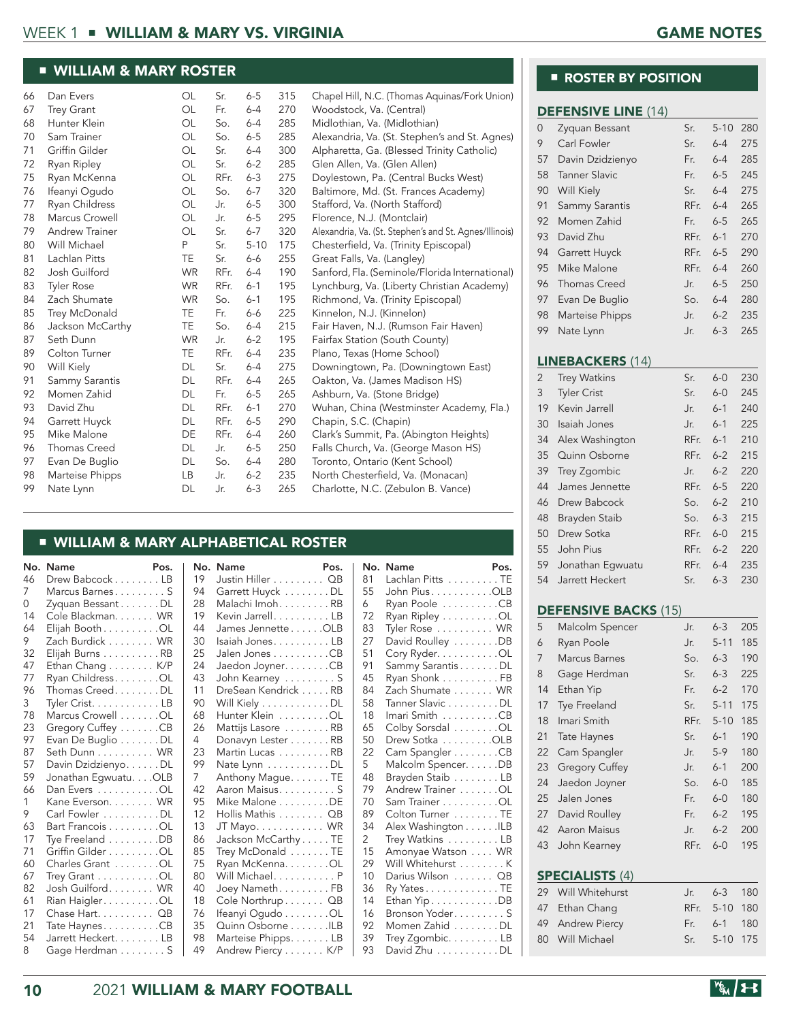# WEEK 1 ■ WILLIAM & MARY VS. VIRGINIA GAME NOTES

#### ■ WILLIAM & MARY ROSTER

| 66 | Dan Evers             | OL        | Sr.  | $6 - 5$  | 315 | Chapel Hill, N.C. (Thomas Aquinas/Fork Union)          |
|----|-----------------------|-----------|------|----------|-----|--------------------------------------------------------|
| 67 | <b>Trey Grant</b>     | OL        | Fr.  | $6 - 4$  | 270 | Woodstock, Va. (Central)                               |
| 68 | Hunter Klein          | OL        | So.  | $6 - 4$  | 285 | Midlothian, Va. (Midlothian)                           |
| 70 | Sam Trainer           | OL        | So.  | $6 - 5$  | 285 | Alexandria, Va. (St. Stephen's and St. Agnes)          |
| 71 | Griffin Gilder        | OL        | Sr.  | $6 - 4$  | 300 | Alpharetta, Ga. (Blessed Trinity Catholic)             |
| 72 | Ryan Ripley           | OL        | Sr.  | $6 - 2$  | 285 | Glen Allen, Va. (Glen Allen)                           |
| 75 | Ryan McKenna          | OL        | RFr. | $6 - 3$  | 275 | Doylestown, Pa. (Central Bucks West)                   |
| 76 | Ifeanyi Oqudo         | OL        | So.  | $6 - 7$  | 320 | Baltimore, Md. (St. Frances Academy)                   |
| 77 | Ryan Childress        | OL        | Jr.  | $6 - 5$  | 300 | Stafford, Va. (North Stafford)                         |
| 78 | Marcus Crowell        | <b>OL</b> | Jr.  | $6 - 5$  | 295 | Florence, N.J. (Montclair)                             |
| 79 | <b>Andrew Trainer</b> | OL        | Sr.  | $6 - 7$  | 320 | Alexandria, Va. (St. Stephen's and St. Agnes/Illinois) |
| 80 | Will Michael          | P         | Sr.  | $5 - 10$ | 175 | Chesterfield, Va. (Trinity Episcopal)                  |
| 81 | Lachlan Pitts         | TE        | Sr.  | $6-6$    | 255 | Great Falls, Va. (Langley)                             |
| 82 | Josh Guilford         | <b>WR</b> | RFr. | $6 - 4$  | 190 | Sanford, Fla. (Seminole/Florida International)         |
| 83 | <b>Tyler Rose</b>     | <b>WR</b> | RFr. | $6 - 1$  | 195 | Lynchburg, Va. (Liberty Christian Academy)             |
| 84 | Zach Shumate          | <b>WR</b> | So.  | $6 - 1$  | 195 | Richmond, Va. (Trinity Episcopal)                      |
| 85 | Trey McDonald         | TE        | Fr.  | $6-6$    | 225 | Kinnelon, N.J. (Kinnelon)                              |
| 86 | Jackson McCarthy      | TE.       | So.  | $6 - 4$  | 215 | Fair Haven, N.J. (Rumson Fair Haven)                   |
| 87 | Seth Dunn             | <b>WR</b> | Jr.  | $6 - 2$  | 195 | Fairfax Station (South County)                         |
| 89 | Colton Turner         | TE        | RFr. | $6 - 4$  | 235 | Plano, Texas (Home School)                             |
| 90 | Will Kiely            | <b>DL</b> | Sr.  | $6 - 4$  | 275 | Downingtown, Pa. (Downingtown East)                    |
| 91 | Sammy Sarantis        | <b>DL</b> | RFr. | $6 - 4$  | 265 | Oakton, Va. (James Madison HS)                         |
| 92 | Momen Zahid           | DL        | Fr.  | $6 - 5$  | 265 | Ashburn, Va. (Stone Bridge)                            |
| 93 | David Zhu             | DL        | RFr. | $6 - 1$  | 270 | Wuhan, China (Westminster Academy, Fla.)               |
| 94 | Garrett Huyck         | DL        | RFr. | $6 - 5$  | 290 | Chapin, S.C. (Chapin)                                  |
| 95 | Mike Malone           | DE        | RFr. | $6 - 4$  | 260 | Clark's Summit, Pa. (Abington Heights)                 |
| 96 | Thomas Creed          | <b>DL</b> | Jr.  | $6 - 5$  | 250 | Falls Church, Va. (George Mason HS)                    |
| 97 | Evan De Buglio        | DL        | So.  | $6 - 4$  | 280 | Toronto, Ontario (Kent School)                         |
| 98 | Marteise Phipps       | LB        | Jr.  | $6 - 2$  | 235 | North Chesterfield, Va. (Monacan)                      |
| 99 | Nate Lynn             | DL        | Jr.  | $6 - 3$  | 265 | Charlotte, N.C. (Zebulon B. Vance)                     |

### ■ WILLIAM & MARY ALPHABETICAL ROSTER

| No. | Name                  | Pos. | No.            | Name           |
|-----|-----------------------|------|----------------|----------------|
| 46  | Drew Babcock LB       |      | 19             | Justin H       |
| 7   | Marcus Barnes S       |      | 94             | Garrett        |
| 0   | Zyquan Bessant DL     |      | 28             | Malachi        |
| 14  | Cole Blackman. WR     |      | 19             | Kevin J        |
| 64  | Elijah Booth OL       |      | 44             | James.         |
| 9   | Zach Burdick WR       |      | 30             | Isaiah J       |
| 32  | Elijah Burns RB       |      | 25             | Jalen Jo       |
| 47  | Ethan Chang K/P       |      | 24             | Jaedon         |
| 77  | Ryan Childress. OL    |      | 43             | John Ke        |
| 96  | Thomas Creed. DL      |      | 11             | DreSea         |
| 3   | Tyler Crist. LB       |      | 90             | Will Kie       |
| 78  | Marcus Crowell OL     |      | 68             | <b>Hunter</b>  |
| 23  | Gregory Cuffey CB     |      | 26             | Mattijs        |
| 97  | Evan De Buglio DL     |      | 4              | Donavy         |
| 87  | Seth Dunn WR          |      | 23             | Martin I       |
| 57  | Davin Dzidzienyo. DL  |      | 99             | Nate Ly        |
| 59  | Jonathan Egwuatu. OLB |      | $\overline{7}$ | Anthon         |
| 66  | Dan Evers OL          |      | 42             | Aaron N        |
| 1   | Kane Everson. WR      |      | 95             | Mike M         |
| 9   | Carl Fowler DL        |      | 12             | Hollis N       |
| 63  | Bart Francois OL      |      | 13             | JT May         |
| 17  | Tye Freeland DB       |      | 86             | Jacksor        |
| 71  | Griffin Gilder OL     |      | 85             | <b>Trey Mo</b> |
| 60  | Charles Grant OL      |      | 75             | Ryan M         |
| 67  | Trey Grant OL         |      | 80             | Will Mio       |
| 82  | Josh Guilford WR      |      | 40             | Joey Na        |
| 61  | Rian Haigler. OL      |      | 18             | Cole No        |
| 17  | Chase Hart. QB        |      | 76             | Ifeanyi (      |
| 21  | Tate Haynes CB        |      | 35             | Quinn (        |
| 54  | Jarrett Heckert. LB   |      | 98             | Marteis        |
| 8   | Gage Herdman S        |      | 49             | Andrew         |
|     |                       |      |                |                |

| No. | Name                | Pos. |
|-----|---------------------|------|
| 19  | Justin Hiller QB    |      |
| 94  | Garrett Huyck DL    |      |
| 28  | Malachi Imoh. RB    |      |
| 19  | Kevin JarrellLB     |      |
| 44  | James Jennette OLB  |      |
| 30  | Isaiah JonesLB      |      |
| 25  | Jalen Jones CB      |      |
| 24  | Jaedon Joyner. CB   |      |
| 43  | John Kearney S      |      |
| 11  | DreSean Kendrick RB |      |
| 90  | Will Kiely DL       |      |
| 68  | Hunter Klein OL     |      |
| 26  | Mattijs Lasore RB   |      |
| 4   | Donavyn Lester RB   |      |
| 23  | Martin Lucas RB     |      |
| 99  | Nate Lynn DL        |      |
| 7   | Anthony Mague. TE   |      |
| 42  | Aaron Maisus. S     |      |
| 95  | Mike Malone DE      |      |
| 12  | Hollis Mathis QB    |      |
| 13  | JT Mayo. WR         |      |
| 86  | Jackson McCarthy TE |      |
| 85  | Trey McDonald TE    |      |
| 75  | Ryan McKenna. OL    |      |
| 80  | Will Michael. P     |      |
| 40  | Joey NamethFB       |      |
| 18  | Cole Northrup QB    |      |
| 76  | Ifeanyi Ogudo OL    |      |
| 35  | Quinn Osborne ILB   |      |
| 98  | Marteise Phipps. LB |      |
| 49  | Andrew Piercy K/P   |      |

| No. | Name                | Pos. |
|-----|---------------------|------|
| 81  | Lachlan Pitts TE    |      |
| 55  | John PiusOLB        |      |
| 6   | Ryan Poole CB       |      |
| 72  | Ryan Ripley OL      |      |
| 83  | Tyler Rose  WR      |      |
| 27  | David Roulley DB    |      |
| 51  | Cory Ryder. OL      |      |
| 91  | Sammy Sarantis DL   |      |
| 45  | Ryan Shonk FB       |      |
| 84  | Zach Shumate WR     |      |
| 58  | Tanner Slavic DL    |      |
| 18  | Imari Smith CB      |      |
| 65  | Colby Sorsdal OL    |      |
| 50  | Drew Sotka OLB      |      |
| 22  | Cam Spangler CB     |      |
| 5   | Malcolm Spencer. DB |      |
| 48  | Brayden Staib LB    |      |
| 79  | Andrew Trainer OL   |      |
| 70  | Sam Trainer OL      |      |
| 89  | Colton Turner TE    |      |
| 34  | Alex Washington ILB |      |
| 2   | Trey Watkins LB     |      |
| 15  | Amonyae Watson WR   |      |
| 29  | Will Whitehurst K   |      |
| 10  | Darius Wilson QB    |      |
| 36  | Ry YatesTE          |      |
| 14  | Ethan Yip DB        |      |
| 16  | Bronson Yoder S     |      |
| 92  | Momen Zahid DL      |      |
| 39  | Trey Zgombic. LB    |      |

93 David Zhu . . . . . . . . . . DL

#### ■ ROSTER BY POSITION

#### DEFENSIVE LINE (14)

| $\Omega$       | Zyquan Bessant          | Sr.  | $5 - 10$ | 280 |
|----------------|-------------------------|------|----------|-----|
| 9              | Carl Fowler             | Sr.  | $6 - 4$  | 275 |
| 57             | Davin Dzidzienyo        | Fr.  | $6 - 4$  | 285 |
| 58             | <b>Tanner Slavic</b>    | Fr.  | $6 - 5$  | 245 |
| 90             | <b>Will Kiely</b>       | Sr.  | 6-4      | 275 |
| 91             | Sammy Sarantis          | RFr. | $6 - 4$  | 265 |
| 92             | Momen Zahid             | Fr.  | $6 - 5$  | 265 |
| 93             | David Zhu               | RFr. | $6 - 1$  | 270 |
| 94             | Garrett Huyck           | RFr. | $6 - 5$  | 290 |
| 95             | Mike Malone             | RFr. | $6 - 4$  | 260 |
| 96             | <b>Thomas Creed</b>     | Jr.  | $6 - 5$  | 250 |
| 97             | Evan De Buglio          | So.  | 6-4      | 280 |
| 98             | Marteise Phipps         | Jr.  | $6 - 2$  | 235 |
| 99             | Nate Lynn               | Jr.  | $6 - 3$  | 265 |
|                |                         |      |          |     |
|                | <b>LINEBACKERS (14)</b> |      |          |     |
| $\overline{2}$ | <b>Trey Watkins</b>     |      |          | 230 |
| 3              |                         | Sr.  | $6-0$    |     |
|                | <b>Tyler Crist</b>      | Sr.  | $6-0$    | 245 |
| 19             | Kevin Jarrell           | Jr.  | $6 - 1$  | 240 |
| 30             | Isaiah Jones            | Jr.  | $6 - 1$  | 225 |
| 34             | Alex Washington         | RFr. | $6 - 1$  | 210 |
| 35             | Quinn Osborne           | RFr. | $6 - 2$  | 215 |
| 39             | Trey Zgombic            | Jr.  | $6 - 2$  | 220 |
| 44             | James Jennette          | RFr. | $6 - 5$  | 220 |
| 46             | Drew Babcock            | So.  | $6 - 2$  | 210 |
| 48             | Brayden Staib           | So.  | $6 - 3$  | 215 |
| 50             | Drew Sotka              | RFr. | $6-0$    | 215 |

 Jonathan Egwuatu RFr. 6-4 235 Jarrett Heckert Sr. 6-3 230

#### DEFENSIVE BACKS (15)

| 5  | Malcolm Spencer        | Jr.  | $6 - 3$  | 205 |
|----|------------------------|------|----------|-----|
| 6  | Ryan Poole             | Jr.  | $5 - 11$ | 185 |
| 7  | <b>Marcus Barnes</b>   | So.  | $6 - 3$  | 190 |
| 8  | Gage Herdman           | Sr.  | $6 - 3$  | 225 |
| 14 | Ethan Yip              | Fr.  | $6 - 2$  | 170 |
| 17 | Tye Freeland           | Sr.  | $5 - 11$ | 175 |
| 18 | Imari Smith            | RFr. | $5 - 10$ | 185 |
| 21 | <b>Tate Haynes</b>     | Sr.  | $6 - 1$  | 190 |
| 22 | Cam Spangler           | Jr.  | $5-9$    | 180 |
| 23 | <b>Gregory Cuffey</b>  | Jr.  | $6-1$    | 200 |
| 24 | Jaedon Joyner          | So.  | $6-0$    | 185 |
| 25 | Jalen Jones            | Fr.  | $6-0$    | 180 |
| 27 | David Roulley          | Fr.  | $6 - 2$  | 195 |
| 42 | <b>Aaron Maisus</b>    | Jr.  | $6 - 2$  | 200 |
| 43 | John Kearney           | RFr. | $6 - 0$  | 195 |
|    |                        |      |          |     |
|    | <b>SPECIALISTS (4)</b> |      |          |     |
| 29 | Will Whitehurst        | Jr.  | $6 - 3$  | 180 |
| 47 | Ethan Chang            | RFr. | $5 - 10$ | 180 |
| 49 | <b>Andrew Piercy</b>   | Fr.  | $6-1$    | 180 |
| 80 | Will Michael           | Sr.  | $5 - 10$ | 175 |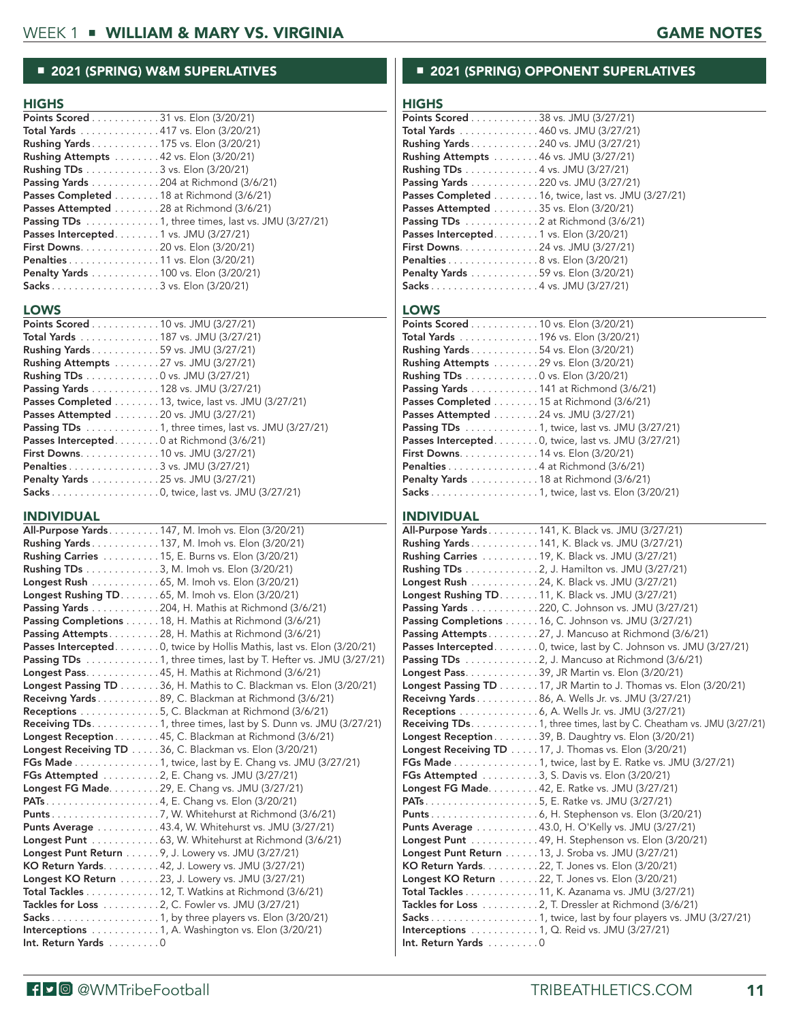# ■ 2021 (SPRING) W&M SUPERLATIVES

#### **HIGHS**

| <b>Points Scored</b> 31 vs. Elon $(3/20/21)$                           |
|------------------------------------------------------------------------|
| <b>Total Yards</b> 417 vs. Elon (3/20/21)                              |
| <b>Rushing Yards</b> 175 vs. Elon (3/20/21)                            |
| <b>Rushing Attempts</b> 42 vs. Elon (3/20/21)                          |
| <b>Rushing TDs</b> 3 vs. Elon (3/20/21)                                |
| Passing Yards 204 at Richmond (3/6/21)                                 |
| <b>Passes Completed</b> $\ldots \ldots \ldots 18$ at Richmond (3/6/21) |
| <b>Passes Attempted</b> 28 at Richmond (3/6/21)                        |
| Passing TDs 1, three times, last vs. JMU (3/27/21)                     |
| Passes Intercepted1 vs. JMU (3/27/21)                                  |
| <b>First Downs.</b> 20 vs. Elon (3/20/21)                              |
| <b>Penalties</b> 11 vs. Elon (3/20/21)                                 |
| <b>Penalty Yards</b> 100 vs. Elon (3/20/21)                            |
|                                                                        |

#### **LOWS**

| <b>Points Scored</b> 10 vs. JMU (3/27/21)                           |
|---------------------------------------------------------------------|
| <b>Total Yards</b> 187 vs. JMU (3/27/21)                            |
| <b>Rushing Yards</b> 59 vs. JMU (3/27/21)                           |
| <b>Rushing Attempts</b> $\ldots \ldots \ldots 27$ vs. JMU (3/27/21) |
| <b>Rushing TDs</b> 0 vs. JMU (3/27/21)                              |
| Passing Yards 128 vs. JMU (3/27/21)                                 |
| Passes Completed 13, twice, last vs. JMU (3/27/21)                  |
| <b>Passes Attempted</b> $\ldots \ldots \ldots 20$ vs. JMU (3/27/21) |
| <b>Passing TDs</b> 1, three times, last vs. JMU (3/27/21)           |
| Passes Intercepted. 0 at Richmond (3/6/21)                          |
| <b>First Downs.</b> 10 vs. JMU $(3/27/21)$                          |
| <b>Penalties</b> 3 vs. JMU $(3/27/21)$                              |
| Penalty Yards 25 vs. JMU (3/27/21)                                  |
|                                                                     |

#### INDIVIDUAL

| <b>All-Purpose Yards147, M. Imoh vs. Elon (3/20/21)</b>                                                 |
|---------------------------------------------------------------------------------------------------------|
| Rushing Yards 137, M. Imoh vs. Elon (3/20/21)                                                           |
| <b>Rushing Carries</b> 15, E. Burns vs. Elon (3/20/21)                                                  |
| Rushing TDs 3, M. Imoh vs. Elon (3/20/21)                                                               |
| Longest Rush 65, M. Imoh vs. Elon (3/20/21)                                                             |
| <b>Longest Rushing TD 65, M. Imoh vs. Elon (3/20/21)</b>                                                |
| Passing Yards 204, H. Mathis at Richmond (3/6/21)                                                       |
| Passing Completions 18, H. Mathis at Richmond (3/6/21)                                                  |
| Passing Attempts. 28, H. Mathis at Richmond (3/6/21)                                                    |
| <b>Passes Intercepted</b> 0, twice by Hollis Mathis, last vs. Elon (3/20/21)                            |
| Passing TDs 1, three times, last by T. Hefter vs. JMU (3/27/21)                                         |
| Longest Pass. 45, H. Mathis at Richmond (3/6/21)                                                        |
| Longest Passing TD 36, H. Mathis to C. Blackman vs. Elon (3/20/21)                                      |
| Receivng Yards 89, C. Blackman at Richmond (3/6/21)                                                     |
| Receptions 5, C. Blackman at Richmond (3/6/21)                                                          |
| <b>Receiving TDs.</b> $\dots$ $\dots$ $\dots$ $\dots$ 1, three times, last by S. Dunn vs. JMU (3/27/21) |
| Longest Reception 45, C. Blackman at Richmond (3/6/21)                                                  |
| Longest Receiving TD 36, C. Blackman vs. Elon (3/20/21)                                                 |
| <b>FGs Made</b> 1, twice, last by E. Chang vs. JMU (3/27/21)                                            |
| FGs Attempted 2, E. Chang vs. JMU (3/27/21)                                                             |
| <b>Longest FG Made29, E. Chang vs. JMU (3/27/21)</b>                                                    |
|                                                                                                         |
|                                                                                                         |
| <b>Punts Average</b> 43.4, W. Whitehurst vs. JMU (3/27/21)                                              |
| <b>Longest Punt</b> 63, W. Whitehurst at Richmond $(3/6/21)$                                            |
| Longest Punt Return 9, J. Lowery vs. JMU (3/27/21)                                                      |
| KO Return Yards. 42, J. Lowery vs. JMU (3/27/21)                                                        |
| <b>Longest KO Return</b> 23, J. Lowery vs. JMU (3/27/21)                                                |
| <b>Total Tackles</b> 12, T. Watkins at Richmond $(3/6/21)$                                              |
| Tackles for Loss 2, C. Fowler vs. JMU (3/27/21)                                                         |
|                                                                                                         |
| Interceptions $\ldots \ldots \ldots 1$ , A. Washington vs. Elon (3/20/21)                               |
| Int. Return Yards 0                                                                                     |
|                                                                                                         |

### ■ 2021 (SPRING) OPPONENT SUPERLATIVES

# **HIGHS**

| .                                                  |
|----------------------------------------------------|
| <b>Points Scored</b> 38 vs. JMU (3/27/21)          |
| <b>Total Yards</b> 460 vs. JMU (3/27/21)           |
| <b>Rushing Yards</b> 240 vs. JMU (3/27/21)         |
| <b>Rushing Attempts</b> 46 vs. JMU (3/27/21)       |
| <b>Rushing TDs</b> 4 vs. JMU (3/27/21)             |
| Passing Yards 220 vs. JMU (3/27/21)                |
| Passes Completed 16, twice, last vs. JMU (3/27/21) |
| <b>Passes Attempted</b> 35 vs. Elon (3/20/21)      |
| Passing TDs 2 at Richmond (3/6/21)                 |
| Passes Intercepted. 1 vs. Elon (3/20/21)           |
| <b>First Downs.</b> 24 vs. JMU (3/27/21)           |
| <b>Penalties</b> 8 vs. Elon (3/20/21)              |
| <b>Penalty Yards</b> 59 vs. Elon (3/20/21)         |
|                                                    |

#### LOWS

| <b>Points Scored</b> 10 vs. Elon $(3/20/21)$                            |
|-------------------------------------------------------------------------|
| <b>Total Yards</b> 196 vs. Elon (3/20/21)                               |
| <b>Rushing Yards</b> 54 vs. Elon (3/20/21)                              |
| Rushing Attempts 29 vs. Elon (3/20/21)                                  |
| <b>Rushing TDs</b> 0 vs. Elon (3/20/21)                                 |
| <b>Passing Yards</b> $\dots \dots \dots \dots 141$ at Richmond (3/6/21) |
| <b>Passes Completed</b> 15 at Richmond (3/6/21)                         |
| <b>Passes Attempted</b> $\ldots \ldots \ldots 24$ vs. JMU (3/27/21)     |
| <b>Passing TDs</b> 1, twice, last vs. JMU (3/27/21)                     |
| <b>Passes Intercepted</b> 0, twice, last vs. JMU $(3/27/21)$            |
| <b>First Downs.</b> 14 vs. Elon $(3/20/21)$                             |
| <b>Penalties</b> 4 at Richmond $(3/6/21)$                               |
| <b>Penalty Yards</b> 18 at Richmond (3/6/21)                            |
|                                                                         |

#### INDIVIDUAL

|                                            | <b>All-Purpose Yards141, K. Black vs. JMU (3/27/21)</b>                      |
|--------------------------------------------|------------------------------------------------------------------------------|
|                                            | Rushing Yards 141, K. Black vs. JMU (3/27/21)                                |
|                                            | Rushing Carries 19, K. Black vs. JMU (3/27/21)                               |
|                                            | Rushing TDs 2, J. Hamilton vs. JMU (3/27/21)                                 |
|                                            | Longest Rush 24, K. Black vs. JMU (3/27/21)                                  |
|                                            | Longest Rushing TD. 11, K. Black vs. JMU (3/27/21)                           |
|                                            | Passing Yards 220, C. Johnson vs. JMU (3/27/21)                              |
|                                            | Passing Completions 16, C. Johnson vs. JMU (3/27/21)                         |
|                                            | Passing Attempts 27, J. Mancuso at Richmond (3/6/21)                         |
|                                            | Passes Intercepted. 0, twice, last by C. Johnson vs. JMU (3/27/21)           |
|                                            | Passing TDs 2, J. Mancuso at Richmond (3/6/21)                               |
|                                            | Longest Pass. 39, JR Martin vs. Elon (3/20/21)                               |
|                                            | <b>Longest Passing TD</b> 17, JR Martin to J. Thomas vs. Elon $(3/20/21)$    |
|                                            | <b>Receivng Yards</b> 86, A. Wells Jr. vs. JMU (3/27/21)                     |
|                                            | <b>Receptions</b> 6, A. Wells Jr. vs. JMU (3/27/21)                          |
|                                            | Receiving TDs. 1, three times, last by C. Cheatham vs. JMU (3/27/21)         |
|                                            | Longest Reception 39, B. Daughtry vs. Elon (3/20/21)                         |
|                                            | <b>Longest Receiving TD</b> 17, J. Thomas vs. Elon $(3/20/21)$               |
|                                            | <b>FGs Made</b> 1, twice, last by E. Ratke vs. JMU (3/27/21)                 |
|                                            | FGs Attempted 3, S. Davis vs. Elon (3/20/21)                                 |
|                                            | <b>Longest FG Made42, E. Ratke vs. JMU (3/27/21)</b>                         |
|                                            |                                                                              |
|                                            |                                                                              |
|                                            | Punts Average 43.0, H. O'Kelly vs. JMU (3/27/21)                             |
|                                            | Longest Punt 49, H. Stephenson vs. Elon (3/20/21)                            |
|                                            | Longest Punt Return 13, J. Sroba vs. JMU (3/27/21)                           |
|                                            | KO Return Yards. 22, T. Jones vs. Elon (3/20/21)                             |
|                                            | <b>Longest KO Return</b> 22, T. Jones vs. Elon (3/20/21)                     |
|                                            | <b>Total Tackles</b> 11, K. Azanama vs. JMU (3/27/21)                        |
|                                            | Tackles for Loss $\ldots \ldots \ldots 2$ , T. Dressler at Richmond (3/6/21) |
|                                            | Sacks 1, twice, last by four players vs. JMU (3/27/21)                       |
|                                            | <b>Interceptions</b> 1, Q. Reid vs. JMU (3/27/21)                            |
| $Int.$ Return Yards $\ldots \ldots \ldots$ |                                                                              |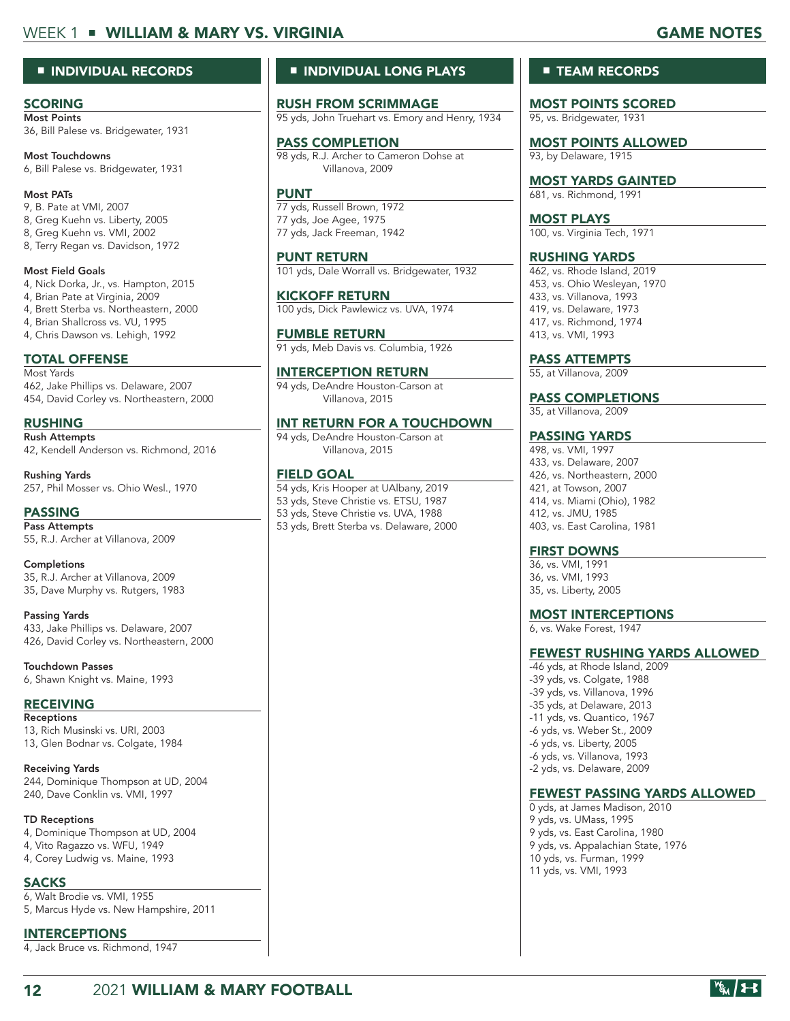# WEEK 1 ■ WILLIAM & MARY VS. VIRGINIA GAME NOTES GAME NOTES

#### ■ INDIVIDUAL RECORDS

#### **SCORING**

Most Points 36, Bill Palese vs. Bridgewater, 1931

Most Touchdowns 6, Bill Palese vs. Bridgewater, 1931

Most PATs 9, B. Pate at VMI, 2007 8, Greg Kuehn vs. Liberty, 2005 8, Greg Kuehn vs. VMI, 2002 8, Terry Regan vs. Davidson, 1972

Most Field Goals 4, Nick Dorka, Jr., vs. Hampton, 2015 4, Brian Pate at Virginia, 2009 4, Brett Sterba vs. Northeastern, 2000 4, Brian Shallcross vs. VU, 1995 4, Chris Dawson vs. Lehigh, 1992

# TOTAL OFFENSE

Most Yards 462, Jake Phillips vs. Delaware, 2007 454, David Corley vs. Northeastern, 2000

RUSHING

Rush Attempts 42, Kendell Anderson vs. Richmond, 2016

Rushing Yards 257, Phil Mosser vs. Ohio Wesl., 1970

PASSING Pass Attempts 55, R.J. Archer at Villanova, 2009

Completions 35, R.J. Archer at Villanova, 2009 35, Dave Murphy vs. Rutgers, 1983

Passing Yards 433, Jake Phillips vs. Delaware, 2007 426, David Corley vs. Northeastern, 2000

Touchdown Passes 6, Shawn Knight vs. Maine, 1993

#### RECEIVING

Receptions 13, Rich Musinski vs. URI, 2003 13, Glen Bodnar vs. Colgate, 1984

Receiving Yards 244, Dominique Thompson at UD, 2004 240, Dave Conklin vs. VMI, 1997

TD Receptions 4, Dominique Thompson at UD, 2004

- 4, Vito Ragazzo vs. WFU, 1949
- 4, Corey Ludwig vs. Maine, 1993

SACKS 6, Walt Brodie vs. VMI, 1955 5, Marcus Hyde vs. New Hampshire, 2011

INTERCEPTIONS

4, Jack Bruce vs. Richmond, 1947

## ■ INDIVIDUAL LONG PLAYS

RUSH FROM SCRIMMAGE 95 yds, John Truehart vs. Emory and Henry, 1934

#### PASS COMPLETION

98 yds, R.J. Archer to Cameron Dohse at Villanova, 2009

#### PUNT

77 yds, Russell Brown, 1972 77 yds, Joe Agee, 1975 77 yds, Jack Freeman, 1942

PUNT RETURN 101 yds, Dale Worrall vs. Bridgewater, 1932

KICKOFF RETURN 100 yds, Dick Pawlewicz vs. UVA, 1974

FUMBLE RETURN 91 yds, Meb Davis vs. Columbia, 1926

INTERCEPTION RETURN 94 yds, DeAndre Houston-Carson at Villanova, 2015

INT RETURN FOR A TOUCHDOWN

94 yds, DeAndre Houston-Carson at Villanova, 2015

#### FIELD GOAL

54 yds, Kris Hooper at UAlbany, 2019 53 yds, Steve Christie vs. ETSU, 1987 53 yds, Steve Christie vs. UVA, 1988 53 yds, Brett Sterba vs. Delaware, 2000

#### ■ **TEAM RECORDS**

MOST POINTS SCORED 95, vs. Bridgewater, 1931

MOST POINTS ALLOWED 93, by Delaware, 1915

MOST YARDS GAINTED 681, vs. Richmond, 1991

MOST PLAYS 100, vs. Virginia Tech, 1971

RUSHING YARDS 462, vs. Rhode Island, 2019 453, vs. Ohio Wesleyan, 1970 433, vs. Villanova, 1993 419, vs. Delaware, 1973 417, vs. Richmond, 1974 413, vs. VMI, 1993

PASS ATTEMPTS

55, at Villanova, 2009

PASS COMPLETIONS

35, at Villanova, 2009

#### PASSING YARDS

498, vs. VMI, 1997 433, vs. Delaware, 2007 426, vs. Northeastern, 2000 421, at Towson, 2007 414, vs. Miami (Ohio), 1982 412, vs. JMU, 1985 403, vs. East Carolina, 1981

#### FIRST DOWNS

36, vs. VMI, 1991 36, vs. VMI, 1993 35, vs. Liberty, 2005

#### MOST INTERCEPTIONS

6, vs. Wake Forest, 1947

#### FEWEST RUSHING YARDS ALLOWED

-46 yds, at Rhode Island, 2009 -39 yds, vs. Colgate, 1988 -39 yds, vs. Villanova, 1996 -35 yds, at Delaware, 2013 -11 yds, vs. Quantico, 1967 -6 yds, vs. Weber St., 2009 -6 yds, vs. Liberty, 2005 -6 yds, vs. Villanova, 1993 -2 yds, vs. Delaware, 2009

#### FEWEST PASSING YARDS ALLOWED

0 yds, at James Madison, 2010 9 yds, vs. UMass, 1995 9 yds, vs. East Carolina, 1980 9 yds, vs. Appalachian State, 1976 10 yds, vs. Furman, 1999 11 yds, vs. VMI, 1993

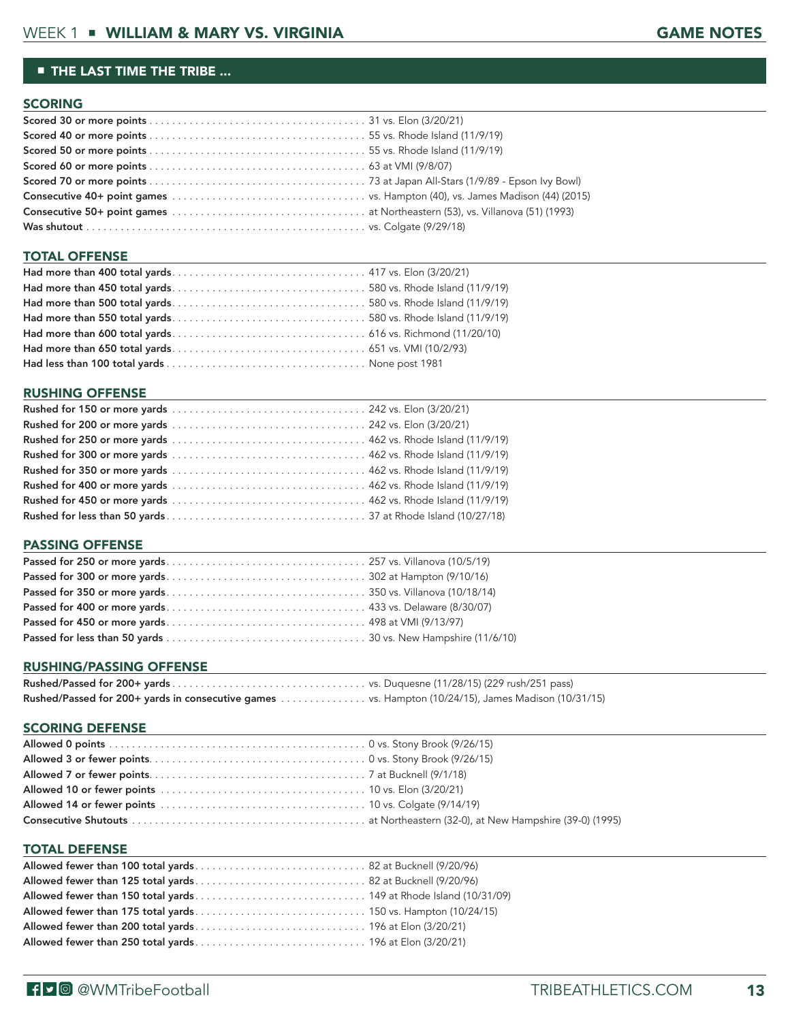#### ■ THE LAST TIME THE TRIBE ...

#### **SCORING**

#### TOTAL OFFENSE

#### RUSHING OFFENSE

#### PASSING OFFENSE

#### RUSHING/PASSING OFFENSE

| Rushed/Passed for 200+ yards in consecutive games vs. Hampton (10/24/15), James Madison (10/31/15) |  |
|----------------------------------------------------------------------------------------------------|--|

#### SCORING DEFENSE

#### TOTAL DEFENSE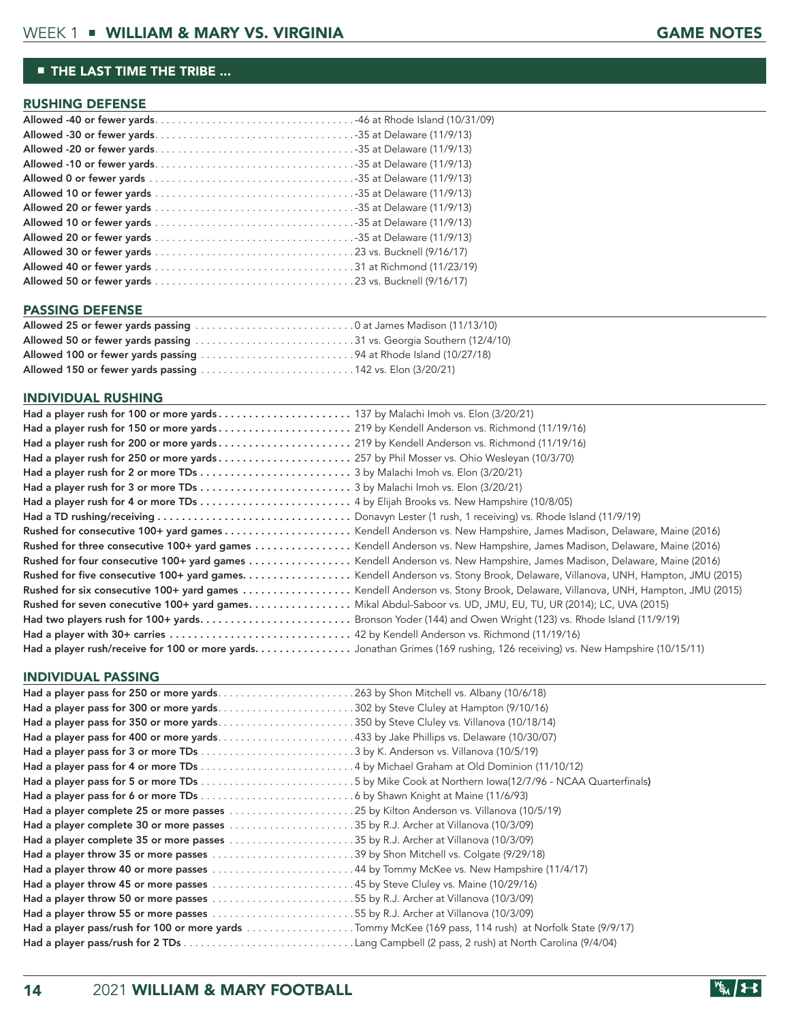#### ■ THE LAST TIME THE TRIBE ...

#### RUSHING DEFENSE

#### PASSING DEFENSE **Example 20** PASSING DEFENSE

| Allowed 100 or fewer yards passing 94 at Rhode Island (10/27/18) |  |
|------------------------------------------------------------------|--|
|                                                                  |  |

#### INDIVIDUAL RUSHING

|                                                                                                               | Rushed for three consecutive 100+ yard games Kendell Anderson vs. New Hampshire, James Madison, Delaware, Maine (2016)     |
|---------------------------------------------------------------------------------------------------------------|----------------------------------------------------------------------------------------------------------------------------|
|                                                                                                               | Rushed for four consecutive 100+ yard games Kendell Anderson vs. New Hampshire, James Madison, Delaware, Maine (2016)      |
|                                                                                                               |                                                                                                                            |
|                                                                                                               |                                                                                                                            |
| Rushed for seven conecutive 100+ yard games Mikal Abdul-Saboor vs. UD, JMU, EU, TU, UR (2014); LC, UVA (2015) |                                                                                                                            |
|                                                                                                               | Had two players rush for 100+ yardsBronson Yoder (144) and Owen Wright (123) vs. Rhode Island (11/9/19)                    |
|                                                                                                               |                                                                                                                            |
|                                                                                                               | Had a player rush/receive for 100 or more yards. Jonathan Grimes (169 rushing, 126 receiving) vs. New Hampshire (10/15/11) |

#### INDIVIDUAL PASSING

| Had a player pass for 250 or more yards263 by Shon Mitchell vs. Albany (10/6/18)                        |  |
|---------------------------------------------------------------------------------------------------------|--|
|                                                                                                         |  |
| Had a player pass for 350 or more yards350 by Steve Cluley vs. Villanova (10/18/14)                     |  |
| Had a player pass for 400 or more yards433 by Jake Phillips vs. Delaware (10/30/07)                     |  |
|                                                                                                         |  |
|                                                                                                         |  |
|                                                                                                         |  |
|                                                                                                         |  |
| Had a player complete 25 or more passes 25 by Kilton Anderson vs. Villanova (10/5/19)                   |  |
| Had a player complete 30 or more passes 35 by R.J. Archer at Villanova (10/3/09)                        |  |
| Had a player complete 35 or more passes 35 by R.J. Archer at Villanova (10/3/09)                        |  |
|                                                                                                         |  |
|                                                                                                         |  |
| Had a player throw 45 or more passes 45 by Steve Cluley vs. Maine (10/29/16)                            |  |
|                                                                                                         |  |
| Had a player throw 55 or more passes 55 by R.J. Archer at Villanova (10/3/09)                           |  |
| Had a player pass/rush for 100 or more yards Tommy McKee (169 pass, 114 rush) at Norfolk State (9/9/17) |  |
|                                                                                                         |  |

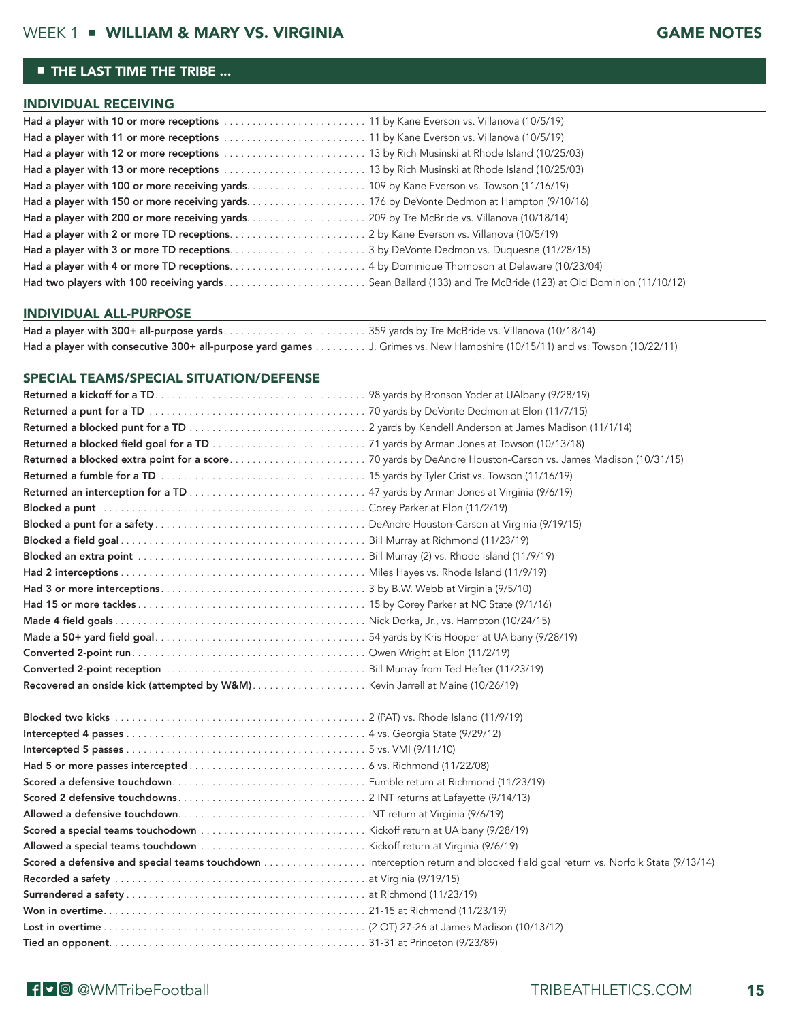# ■ THE LAST TIME THE TRIBE ...

#### INDIVIDUAL RECEIVING

#### INDIVIDUAL ALL-PURPOSE

| Had a player with consecutive 300+ all-purpose yard games J. Grimes vs. New Hampshire (10/15/11) and vs. Towson (10/22/11) |  |
|----------------------------------------------------------------------------------------------------------------------------|--|

#### SPECIAL TEAMS/SPECIAL SITUATION/DEFENSE

| Scored a defensive and special teams touchdown Interception return and blocked field goal return vs. Norfolk State (9/13/14) |
|------------------------------------------------------------------------------------------------------------------------------|
|                                                                                                                              |
|                                                                                                                              |
|                                                                                                                              |
|                                                                                                                              |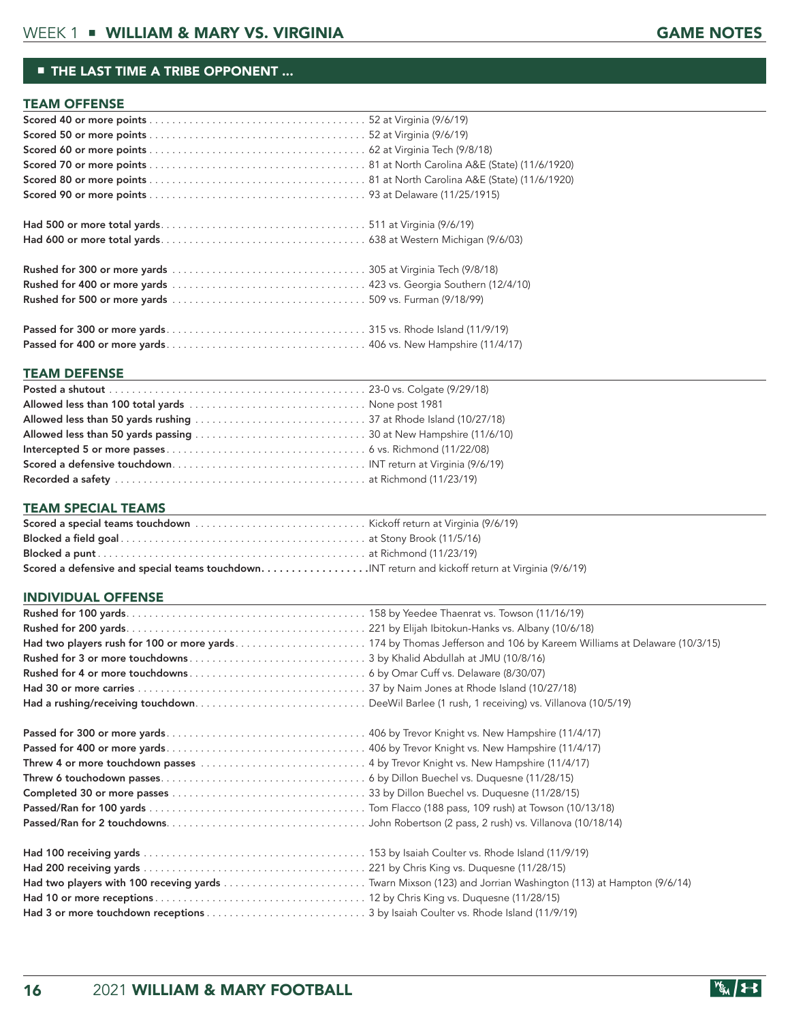#### ■ THE LAST TIME A TRIBE OPPONENT ...

#### TEAM OFFENSE

#### Passed for 400 or more yards . . . . . . . . . . . . . . . . . . . . . . . . . . . . . . . . . . . 406 vs. New Hampshire (11/4/17)

#### TEAM DEFENSE

#### TEAM SPECIAL TEAMS

| Scored a defensive and special teams touchdown. INT return and kickoff return at Virginia (9/6/19) |  |
|----------------------------------------------------------------------------------------------------|--|

#### INDIVIDUAL OFFENSE

| Had a rushing/receiving touchdownDeeWil Barlee (1 rush, 1 receiving) vs. Villanova (10/5/19)                 |  |
|--------------------------------------------------------------------------------------------------------------|--|
|                                                                                                              |  |
|                                                                                                              |  |
|                                                                                                              |  |
|                                                                                                              |  |
|                                                                                                              |  |
|                                                                                                              |  |
|                                                                                                              |  |
|                                                                                                              |  |
|                                                                                                              |  |
| Had two players with 100 receving yards  Twarn Mixson (123) and Jorrian Washington (113) at Hampton (9/6/14) |  |
|                                                                                                              |  |
|                                                                                                              |  |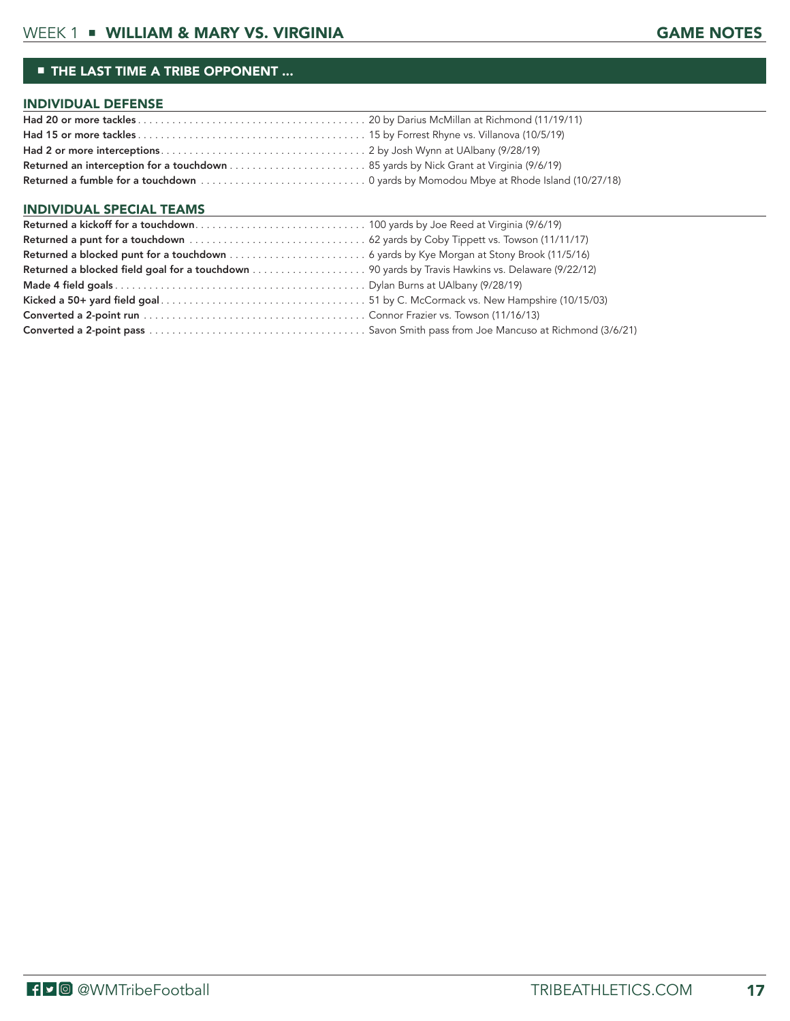#### ■ THE LAST TIME A TRIBE OPPONENT ...

#### INDIVIDUAL DEFENSE

#### INDIVIDUAL SPECIAL TEAMS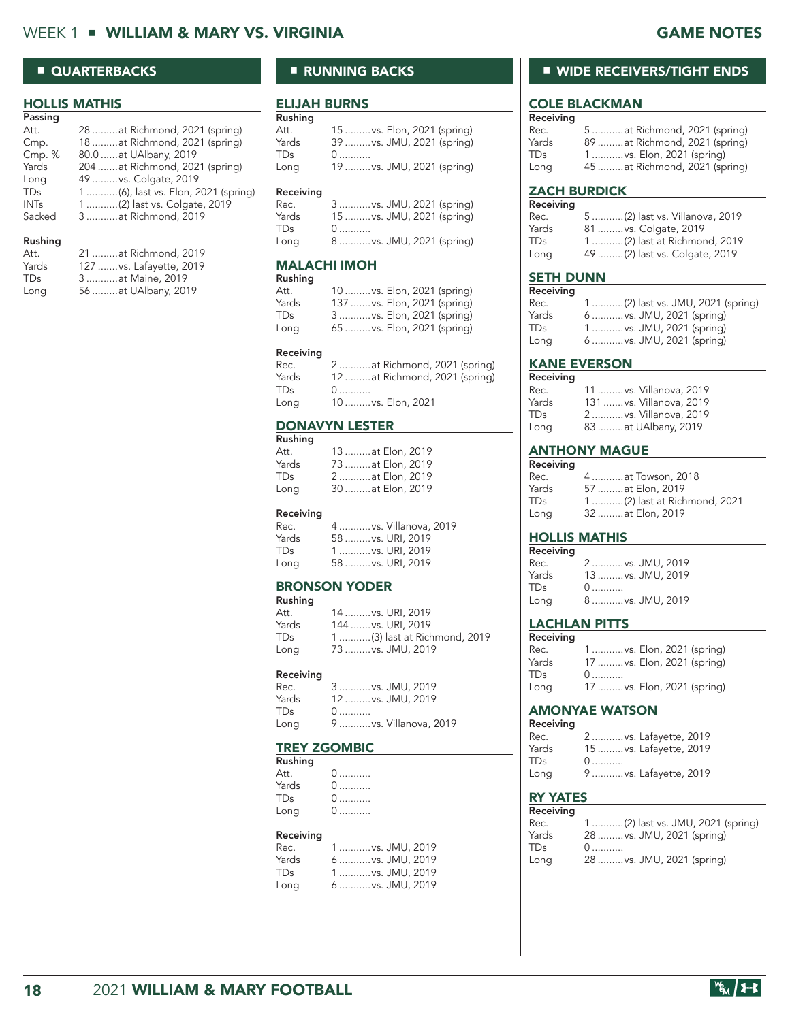## ■ QUARTERBACKS

#### HOLLIS MATHIS

| 28 at Richmond, 2021 (spring)       |
|-------------------------------------|
| 18  at Richmond, 2021 (spring)      |
| 80.0  at UAlbany, 2019              |
| 204  at Richmond, 2021 (spring)     |
| 49 vs. Colgate, 2019                |
| 1 (6), last vs. Elon, 2021 (spring) |
| 1 (2) last vs. Colgate, 2019        |
| 3 at Richmond, 2019                 |
|                                     |
|                                     |

| Att.  | 21  at Richmond, 2019    |
|-------|--------------------------|
| Yards | 127  vs. Lafayette, 2019 |
| TDs.  | 3  at Maine, 2019        |
| Long  | 56 at UAlbany, 2019      |
|       |                          |

## ■ RUNNING BACKS

#### ELIJAH BURNS  $\overline{R}$

| Rusning   |                                 |
|-----------|---------------------------------|
| Att.      | 15  vs. Elon, 2021 (spring)     |
| Yards     | 39  vs. JMU, 2021 (spring)      |
| TDs       | 0                               |
| Long      | 19 vs. JMU, 2021 (spring)       |
|           |                                 |
| Receiving |                                 |
|           |                                 |
| Rec.      | 3 vs. JMU, 2021 (spring)        |
| Yards     |                                 |
| TDs       | 15  vs. JMU, 2021 (spring)<br>0 |

#### MALACHI IMOH

| Rushing    |                              |
|------------|------------------------------|
| Att.       | 10  vs. Elon, 2021 (spring)  |
| Yards      | 137  vs. Elon, 2021 (spring) |
| <b>TDs</b> | 3 vs. Elon, 2021 (spring)    |
| Long       | 65  vs. Elon, 2021 (spring)  |

#### Receiving

| Rec.  | 2  at Richmond, 2021 (spring) |
|-------|-------------------------------|
| Yards | 12 at Richmond, 2021 (spring) |
| TDs   | 0                             |
| Long  | 10  vs. Elon, 2021            |
|       |                               |

#### DONAVYN LESTER Rushing

| rusning |                   |
|---------|-------------------|
| Att.    | 13 at Elon, 2019  |
| Yards   | 73 at Elon, 2019  |
| TDs.    | 2at Elon, 2019    |
| Long    | 30  at Elon, 2019 |

#### Receiving

| Rec.  | 4  vs. Villanova, 2019 |
|-------|------------------------|
| Yards | 58  vs. URI, 2019      |
| TDs.  | 1  vs. URI, 2019       |
| Long  | 58  vs. URI, 2019      |

#### BRONSON YODER

| Rushing    |                              |
|------------|------------------------------|
| Att.       | 14  vs. URI, 2019            |
| Yards      | 144  vs. URI, 2019           |
| <b>TDs</b> | 1 (3) last at Richmond, 2019 |
| Long       | 73  vs. JMU, 2019            |

#### Receiving

| Rec.  | 3  vs. JMU, 2019       |
|-------|------------------------|
| Yards | 12  vs. JMU, 2019      |
| TDs   | $0 \dots 0$            |
| Long  | 9  vs. Villanova, 2019 |

#### TREY ZGOMBIC  $\mathsf{R}$

| Rusning |     |
|---------|-----|
| Att.    | 0   |
| Yards   | 0.  |
| TDs     | $0$ |
| Long    | $0$ |

#### Receiving

| Rec.            | 1  vs. JMU, 2019 |  |
|-----------------|------------------|--|
| Yards           | 6  vs. JMU, 2019 |  |
| TD <sub>S</sub> | 1  vs. JMU, 2019 |  |
| Long            | 6  vs. JMU, 2019 |  |

# ■ WIDE RECEIVERS/TIGHT ENDS

# COLE BLACKMAN

| Receiving  |                                |
|------------|--------------------------------|
| Rec.       | 5  at Richmond, 2021 (spring)  |
| Yards      | 89 at Richmond, 2021 (spring)  |
| <b>TDs</b> | 1  vs. Elon, 2021 (spring)     |
| Long       | 45  at Richmond, 2021 (spring) |

### ZACH BURDICK

| Receiving  |                                |
|------------|--------------------------------|
| Rec.       | 5 (2) last vs. Villanova, 2019 |
| Yards      | 81  vs. Colgate, 2019          |
| <b>TDs</b> | 1 (2) last at Richmond, 2019   |
| Long       | 49 (2) last vs. Colgate, 2019  |

#### SETH DUNN

| Receiving |                                   |
|-----------|-----------------------------------|
| Rec.      | 1 (2) last vs. JMU, 2021 (spring) |
| Yards     | 6  vs. JMU, 2021 (spring)         |
| TDs       | 1 vs. JMU, 2021 (spring)          |
| Long      | 6  vs. JMU, 2021 (spring)         |

#### KANE EVERSON

| Receiving |                          |
|-----------|--------------------------|
| Rec.      | 11  vs. Villanova, 2019  |
| Yards     | 131  vs. Villanova, 2019 |
| TDs.      | 2vs. Villanova, 2019     |
| Long      | 83 at UAlbany, 2019      |

# **ANTHONY MAGUE**<br>Receiving

| 4 at Towson, 2018           |
|-----------------------------|
| 57 at Elon, 2019            |
| 1(2) last at Richmond, 2021 |
| 32 at Elon, 2019            |
|                             |

#### HOLLIS MATHIS

| Receiving  |                  |
|------------|------------------|
| Rec.       | 2  vs. JMU, 2019 |
| Yards      | 13 vs. JMU, 2019 |
| <b>TDs</b> | $0$              |
| Long       | 8  vs. JMU, 2019 |

# **LACHLAN PITTS**<br>Receiving

| Receiving  |                             |
|------------|-----------------------------|
| Rec.       | 1 vs. Elon, 2021 (spring)   |
| Yards      | 17  vs. Elon, 2021 (spring) |
| <b>TDs</b> | 0                           |
| Long       | 17  vs. Elon, 2021 (spring) |

#### AMONYAE WATSON

| 2  vs. Lafayette, 2019  |
|-------------------------|
| 15  vs. Lafayette, 2019 |
| $0 \ldots \ldots$       |
| 9  vs. Lafayette, 2019  |
|                         |

#### RY YATES

| Receiving  |                                   |
|------------|-----------------------------------|
| Rec.       | 1 (2) last vs. JMU, 2021 (spring) |
| Yards      | 28  vs. JMU, 2021 (spring)        |
| <b>TDs</b> | 0                                 |
| Long       | 28  vs. JMU, 2021 (spring)        |

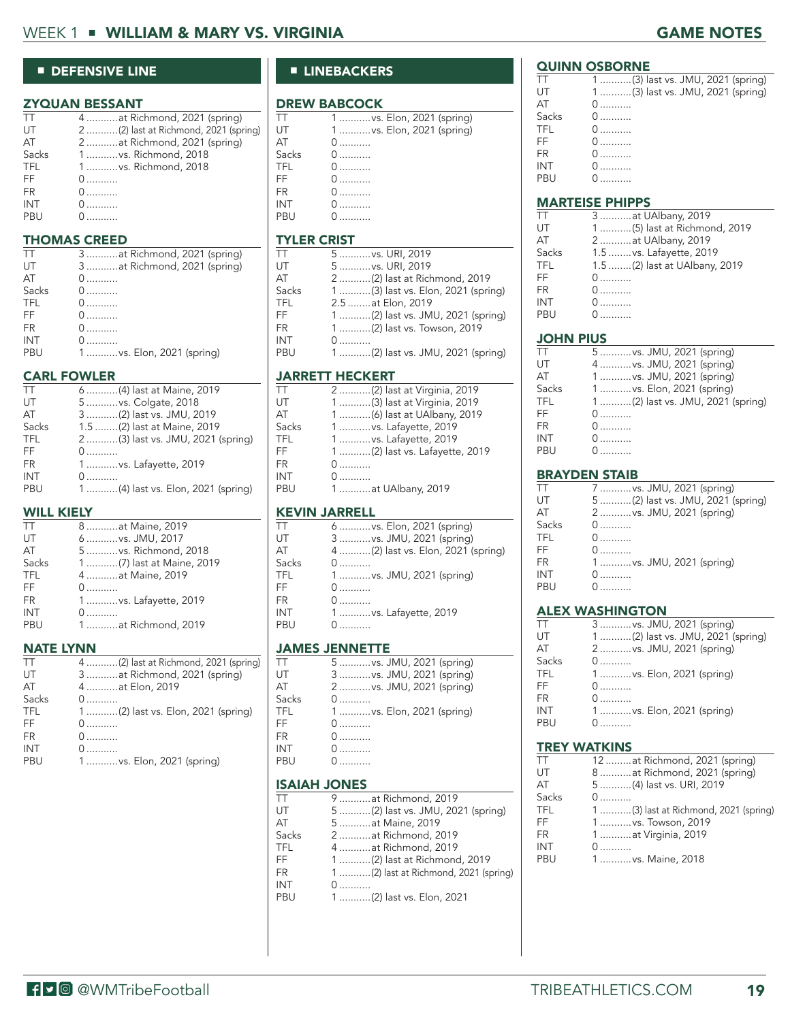# WEEK 1 ■ WILLIAM & MARY VS. VIRGINIA GAME NOTES

#### ■ DEFENSIVE LINE

#### ZYQUAN BESSANT

| TТ    | 4  at Richmond, 2021 (spring)         |
|-------|---------------------------------------|
| UT    | 2 (2) last at Richmond, 2021 (spring) |
| AT    | 2  at Richmond, 2021 (spring)         |
| Sacks | 1vs. Richmond, 2018                   |
| TFL   | 1  vs. Richmond, 2018                 |
| FF    | 0                                     |
| FR.   | 0                                     |
| INT   | 0                                     |
| PBU   |                                       |
|       |                                       |

#### THOMAS CREED

| TТ    | 3  at Richmond, 2021 (spring) |
|-------|-------------------------------|
| UT    | 3at Richmond, 2021 (spring)   |
| AT    | $0$                           |
| Sacks | $0$                           |
| TFL   | 0                             |
| FF.   | 0.                            |
| FR.   | 0.                            |
| INT   | 0.                            |
| PBU   | 1 vs. Elon, 2021 (spring)     |

#### CARL FOWLER

| TT         | 6 (4) last at Maine, 2019          |
|------------|------------------------------------|
| UT         | 5  vs. Colgate, 2018               |
| AT         | 3 (2) last vs. JMU, 2019           |
| Sacks      | 1.5 (2) last at Maine, 2019        |
| <b>TFL</b> | 2 (3) last vs. JMU, 2021 (spring)  |
| FF         | $\mathbf{0}$                       |
| FR.        | 1vs. Lafayette, 2019               |
| <b>INT</b> | $\mathbf{0}$                       |
| PBU        | 1 (4) last vs. Elon, 2021 (spring) |
|            |                                    |

#### WILL KIELY

| <b>TT</b>  | 8  at Maine, 2019         |
|------------|---------------------------|
| UT         | 6  vs. JMU, 2017          |
| AT         | 5  vs. Richmond, 2018     |
| Sacks      | 1 (7) last at Maine, 2019 |
| <b>TFL</b> | 4  at Maine, 2019         |
| FF         |                           |
| FR.        | 1vs. Lafayette, 2019      |
| <b>INT</b> |                           |
| PRU        | 1at Richmond, 2019        |
|            |                           |

#### NATE LYNN

| TT         | 4 (2) last at Richmond, 2021 (spring) |
|------------|---------------------------------------|
| UT         | 3  at Richmond, 2021 (spring)         |
| AT         | 4  at Elon, 2019                      |
| Sacks      | $\mathbf{0}$                          |
| <b>TFL</b> | 1(2) last vs. Elon, 2021 (spring)     |
| FF         | 0                                     |
| <b>FR</b>  | 0                                     |
| INT        | 0.                                    |
| PBU        | 1 vs. Elon, 2021 (spring)             |
|            |                                       |

# ■ LINEBACKERS

# **DREW BABCOCK**

| π          | 1vs. Elon, 2021 (spring)   |
|------------|----------------------------|
| UT         | 1  vs. Elon, 2021 (spring) |
| AT         | $0 \ldots \ldots$          |
| Sacks      | 0.                         |
| TFL        | 0. 0                       |
| FF         | $0$                        |
| <b>FR</b>  | 0                          |
| <b>INT</b> | $0 \dots \dots \dots$      |
|            | $0$                        |

# $T$ TYLER CRIST

| ТT    | 5  vs. URI, 2019                  |
|-------|-----------------------------------|
| UT    | 5  vs. URI, 2019                  |
| AT    | 2 (2) last at Richmond, 2019      |
| Sacks | 1(3) last vs. Elon, 2021 (spring) |
| TFL   | 2.5  at Elon, 2019                |
| FF    | 1 (2) last vs. JMU, 2021 (spring) |
| FR    | 1 (2) last vs. Towson, 2019       |
| INT   | $\mathbf{0}$                      |
| PBU   | 1 (2) last vs. JMU, 2021 (spring) |
|       |                                   |

#### JARRETT HECKERT

| TТ    | 2 (2) last at Virginia, 2019   |
|-------|--------------------------------|
| UT    | 1 (3) last at Virginia, 2019   |
| AТ    | 1 (6) last at UAlbany, 2019    |
| Sacks | 1  vs. Lafayette, 2019         |
| TFL   | 1  vs. Lafayette, 2019         |
| FF    | 1 (2) last vs. Lafayette, 2019 |
| FR    | 0                              |
| INT   | 0                              |
| PBU   | 1  at UAlbany, 2019            |
|       |                                |

#### KEVIN JARRELL

| ТT    | 6  vs. Elon, 2021 (spring)         |
|-------|------------------------------------|
| UT    | 3  vs. JMU, 2021 (spring)          |
| AT    | 4 (2) last vs. Elon, 2021 (spring) |
| Sacks | $0 \dots 0$                        |
| TFL   | 1 vs. JMU, 2021 (spring)           |
| FF    | $0$                                |
| FR    |                                    |
| INT   | 1vs. Lafayette, 2019               |
| PBU   | $\Omega$                           |
|       |                                    |

#### JAMES JENNETTE

| TT                  | 5 vs. JMU, 2021 (spring)  |
|---------------------|---------------------------|
| UT                  | 3  vs. JMU, 2021 (spring) |
| AT                  | 2  vs. JMU, 2021 (spring) |
| Sacks               | $0 \dots 0$               |
| TFL                 | 1vs. Elon, 2021 (spring)  |
| FF                  | $0$                       |
| FR                  | $\Omega$ and $\Omega$     |
| <b>INT</b>          | 0.                        |
| PBU                 |                           |
|                     |                           |
| <b>ISAIAH JONES</b> |                           |

| TТ    | 9  at Richmond, 2019                  |
|-------|---------------------------------------|
| UT    | 5 (2) last vs. JMU, 2021 (spring)     |
| AΤ    | 5  at Maine, 2019                     |
| Sacks | 2 at Richmond, 2019                   |
| TFL   | 4  at Richmond, 2019                  |
| FF    | 1 (2) last at Richmond, 2019          |
| FR    | 1 (2) last at Richmond, 2021 (spring) |
| INT   | $0$                                   |
| PBU   | 1 (2) last vs. Elon, 2021             |
|       |                                       |

# **QUINN OSBORNE**

#### TT 1 ...........(3) last vs. JMU, 2021 (spring)<br>UT 1 ...........(3) last vs. JMU, 2021 (spring) UT 1 ...........(3) last vs. JMU, 2021 (spring)<br>AT 0 ........... AT 0...........<br>Sacks 0........... Sacks 0 ...........<br>TFL 0 ........... TFL 0...........<br>FF 0........... FF 0...........<br>FR 0........... FR 0 ........... INT 0...........<br>PBU 0...........  $0$  ............

#### MARTEISE PHIPPS

| ТT    | 3  at UAlbany, 2019           |
|-------|-------------------------------|
| UT    | 1 (5) last at Richmond, 2019  |
| AT    | 2at UAlbany, 2019             |
| Sacks | 1.5  vs. Lafayette, 2019      |
| TFL   | 1.5 (2) last at UAlbany, 2019 |
| FF    | $0$                           |
| FR    | 0                             |
| INT   | 0                             |
| PBU   | $0$                           |
|       |                               |

#### JOHN PIUS

| TТ    | 5 vs. JMU, 2021 (spring)          |
|-------|-----------------------------------|
| UT    | 4 vs. JMU, 2021 (spring)          |
| AТ    | 1 vs. JMU, 2021 (spring)          |
| Sacks | 1  vs. Elon, 2021 (spring)        |
| TFL   | 1 (2) last vs. JMU, 2021 (spring) |
| FF    | 0                                 |
| FR    | 0                                 |
| INT   | 0                                 |
| PBU   | $0$                               |
|       |                                   |

#### BRAYDEN STAIB

| TT         | 7  vs. JMU, 2021 (spring)         |
|------------|-----------------------------------|
| UT         | 5 (2) last vs. JMU, 2021 (spring) |
| AT         | 2  vs. JMU, 2021 (spring)         |
| Sacks      | $0$                               |
| <b>TFL</b> | $0$                               |
| FF         | $0$                               |
| <b>FR</b>  | 1 vs. JMU, 2021 (spring)          |
| INT        | $0$                               |
| PBU        | $\Omega$                          |
|            |                                   |

#### ALEX WASHINGTON

| TТ         | 3 vs. JMU, 2021 (spring)          |
|------------|-----------------------------------|
| UT         | 1 (2) last vs. JMU, 2021 (spring) |
| AT         | 2 vs. JMU, 2021 (spring)          |
| Sacks      | $0 \ldots \ldots$                 |
| <b>TFL</b> | 1vs. Elon, 2021 (spring)          |
| FF         | 0.                                |
| <b>FR</b>  | $0 \ldots \ldots$                 |
| INT        | 1  vs. Elon, 2021 (spring)        |
| PBU        |                                   |

#### TREY WATKINS

| ТT    | 12  at Richmond, 2021 (spring)        |
|-------|---------------------------------------|
| UT    | 8  at Richmond, 2021 (spring)         |
| AT    | 5 (4) last vs. URI, 2019              |
| Sacks | 0                                     |
| TFL   | 1 (3) last at Richmond, 2021 (spring) |
| FF    | 1  vs. Towson, 2019                   |
| FR    | 1  at Virginia, 2019                  |
| INT   | $0$                                   |
| PBU   | 1  vs. Maine, 2018                    |
|       |                                       |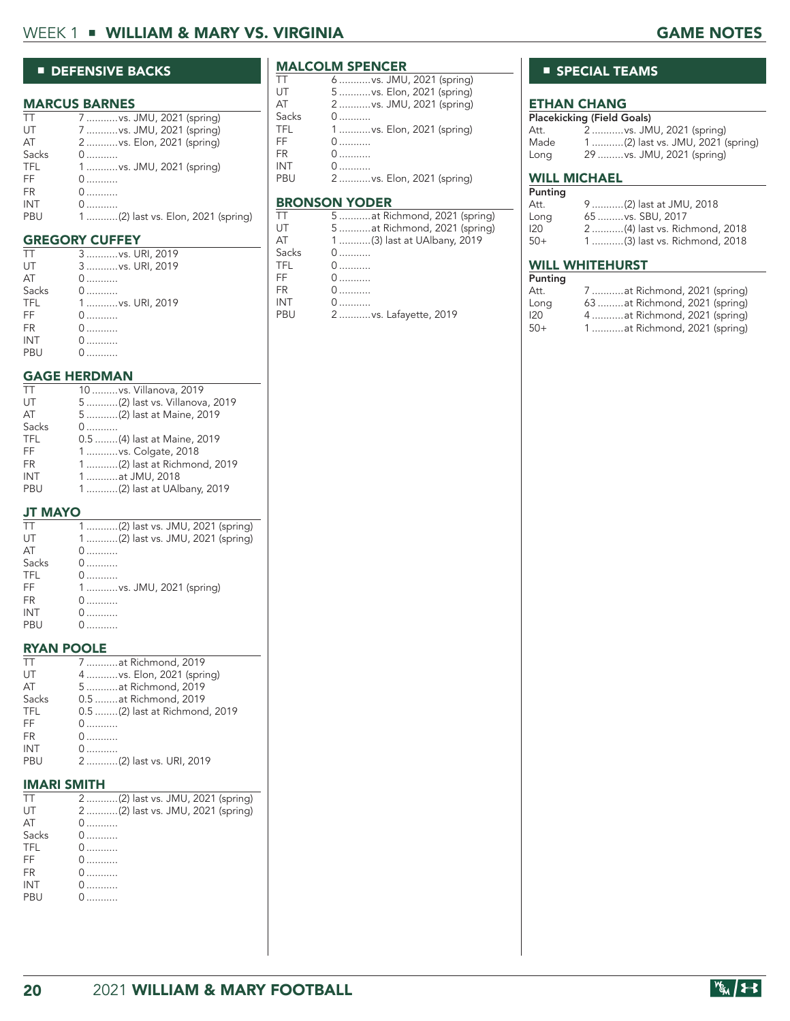# WEEK 1 ■ WILLIAM & MARY VS. VIRGINIA GAME NOTES

#### ■ DEFENSIVE BACKS

#### MARCUS BARNES

| TT         | 7  vs. JMU, 2021 (spring)          |
|------------|------------------------------------|
| UT         | 7  vs. JMU, 2021 (spring)          |
| AT         | 2  vs. Elon, 2021 (spring)         |
| Sacks      | 0                                  |
| <b>TFL</b> | 1  vs. JMU, 2021 (spring)          |
| FF.        | $0$                                |
| <b>FR</b>  | $0$                                |
| INT        | 0.                                 |
| PBU        | 1 (2) last vs. Elon, 2021 (spring) |
|            |                                    |

#### GREGORY CUFFEY

|            | 3  vs. URI, 2019 | Sa |
|------------|------------------|----|
| UT         | 3  vs. URI, 2019 | ΤF |
| AT         | 0                | FF |
| Sacks      | $0$              | FR |
| <b>TFL</b> | 1 vs. URI, 2019  | IN |
| FF.        |                  | РE |
| <b>FR</b>  |                  |    |
| <b>INT</b> |                  |    |
| PBU        |                  |    |
|            |                  |    |

# GAGE HERDMAN

| TT         | 10  vs. Villanova, 2019        |
|------------|--------------------------------|
| UT         | 5 (2) last vs. Villanova, 2019 |
| AT         | 5 (2) last at Maine, 2019      |
| Sacks      | $\mathbf{0}$                   |
| <b>TFL</b> | 0.5 (4) last at Maine, 2019    |
| FF.        | 1  vs. Colgate, 2018           |
| FR.        | 1 (2) last at Richmond, 2019   |
| <b>INT</b> | 1  at JMU, 2018                |
| PBU        | 1 (2) last at UAlbany, 2019    |
|            |                                |

#### JT MAYO

| TT         | 1 (2) last vs. JMU, 2021 (spring) |
|------------|-----------------------------------|
| UT         | 1 (2) last vs. JMU, 2021 (spring) |
| AT         | $\Omega$                          |
| Sacks      | $0$                               |
| <b>TFL</b> |                                   |
| FF.        | 1 vs. JMU, 2021 (spring)          |
| <b>FR</b>  | 0                                 |
| <b>INT</b> | 0                                 |
| PBU        | 0.                                |
|            |                                   |

#### RYAN POOLE

| $\perp$    | 7  at Richmond, 2019           |
|------------|--------------------------------|
| UT         | 4  vs. Elon, 2021 (spring)     |
| AT         | 5  at Richmond, 2019           |
| Sacks      | 0.5  at Richmond, 2019         |
| <b>TFL</b> | 0.5 (2) last at Richmond, 2019 |
| FF         | $0$                            |
| FR         | $0$                            |
| INT        | 0.                             |
| PBU        | 2 (2) last vs. URI, 2019       |
|            |                                |

#### IMARI SMITH

| TT.        | 2 (2) last vs. JMU, 2021 (spring) |
|------------|-----------------------------------|
| UT         | 2 (2) last vs. JMU, 2021 (spring) |
| AT         | $0, \ldots, \ldots$               |
| Sacks      | 0.                                |
| <b>TFL</b> | 0.                                |
| FF         | 0.                                |
| FR.        | 0.                                |
| <b>INT</b> | $0 \ldots \ldots$                 |
| PBU        | $\mathbf{0}$                      |
|            |                                   |

# **MALCOLM SPENCER**

| TТ    | 6  vs. JMU, 2021 (spring)  |
|-------|----------------------------|
| UT    | 5  vs. Elon, 2021 (spring) |
| AТ    | 2  vs. JMU, 2021 (spring)  |
| Sacks |                            |
| TFL   | 1  vs. Elon, 2021 (spring) |
| FF    | $0$                        |
| FR    | $0$                        |
| INT   |                            |
| PBU   | 2  vs. Elon, 2021 (spring) |
|       |                            |

#### BRONSON YODER

| TT    | 5 at Richmond, 2021 (spring) |
|-------|------------------------------|
| UT    | 5 at Richmond, 2021 (spring) |
| AТ    | 1 (3) last at UAlbany, 2019  |
| Sacks | $0$                          |
| TFL   | $0$                          |
| FF    | $0$                          |
| FR    | $0$                          |
| INT   |                              |
| PBU   | 2vs. Lafayette, 2019         |
|       |                              |

## ■ SPECIAL TEAMS

# **ETHAN CHANG**<br>Placekicking (Field Gr

|      | Placekicking (Field Goals)        |
|------|-----------------------------------|
| Att. | 2vs. JMU, 2021 (spring)           |
| Made | 1 (2) last vs. JMU, 2021 (spring) |
| Long | 29  vs. JMU, 2021 (spring)        |

#### WILL MICHAEL

| Punting |                              |
|---------|------------------------------|
| Att.    | 9 (2) last at JMU, 2018      |
| Long    | 65  vs. SBU, 2017            |
| 120     | 2(4) last vs. Richmond, 2018 |
| $50+$   | 1(3) last vs. Richmond, 2018 |

#### WILL WHITEHURST

| Punting |                               |
|---------|-------------------------------|
| Att.    | 7  at Richmond, 2021 (spring) |
| Long    | 63 at Richmond, 2021 (spring) |
| 120     | 4  at Richmond, 2021 (spring) |
| $50+$   | 1at Richmond, 2021 (spring)   |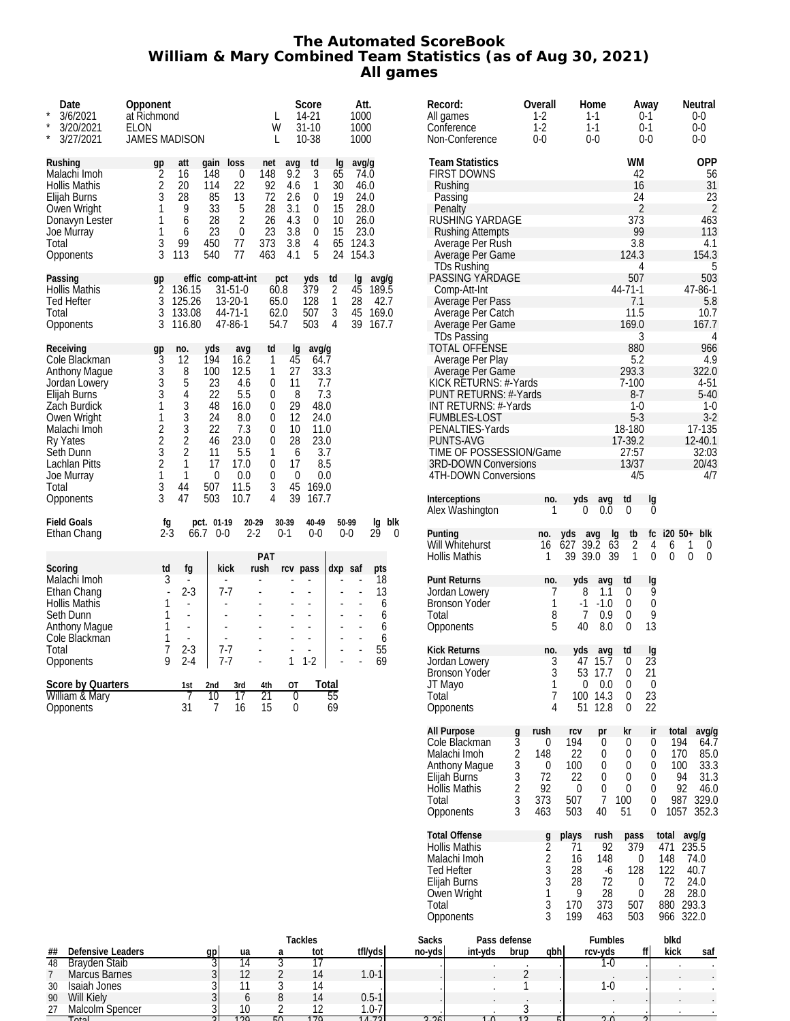#### **The Automated ScoreBook William & Mary Combined Team Statistics (as of Aug 30, 2021) All games**

| $\star$<br>$\star$<br>$\star$ | Date<br>3/6/2021<br>3/20/2021<br>3/27/2021                                                                                                                                                              | Opponent<br>at Richmond<br>ELON<br><b>JAMES MADISON</b>                                                 |                                                                                                                  |                                                                                      |                                                                                                       | L<br>W<br>L                                                         |                                                                               | Score<br>14-21<br>$31 - 10$<br>10-38                                    |                                                    | Att.<br>1000<br>1000<br>1000                                            |                                                 |          |
|-------------------------------|---------------------------------------------------------------------------------------------------------------------------------------------------------------------------------------------------------|---------------------------------------------------------------------------------------------------------|------------------------------------------------------------------------------------------------------------------|--------------------------------------------------------------------------------------|-------------------------------------------------------------------------------------------------------|---------------------------------------------------------------------|-------------------------------------------------------------------------------|-------------------------------------------------------------------------|----------------------------------------------------|-------------------------------------------------------------------------|-------------------------------------------------|----------|
|                               | Rushing<br>Malachi Imoh<br><b>Hollis Mathis</b><br>Elijah Burns<br>Owen Wright<br>Donavyn Lester<br>Joe Murray<br>Total<br>Opponents                                                                    | gp<br>$\overline{2}$<br>$\overline{c}$<br>$\bar{3}$<br>1<br>1<br>1<br>3<br>3                            | att<br>16<br>20<br>28<br>9<br>6<br>6<br>99<br>113                                                                | qain<br>148<br>114<br>85<br>33<br>28<br>23<br>450<br>540                             | $\log$<br>0<br>22<br>13<br>5<br>2<br>0<br>77<br>77                                                    | net<br>148<br>92<br>72<br>28<br>26<br>23<br>373<br>463              | avq<br>9.2<br>4.6<br>2.6<br>3.1<br>4.3<br>3.8<br>3.8<br>4.1                   | td<br>3<br>1<br>0<br>0<br>0<br>0<br>4<br>5                              | la<br>65<br>30<br>19<br>15<br>10<br>15<br>65<br>24 | avg/g<br>74.0<br>46.0<br>24.0<br>28.0<br>26.0<br>23.0<br>124.3<br>154.3 |                                                 |          |
| Total                         | Passing<br><b>Hollis Mathis</b><br><b>Ted Hefter</b><br>Opponents                                                                                                                                       | gp<br>2<br>3<br>3<br>3                                                                                  | effic<br>136.15<br>125.26<br>133.08<br>116.80                                                                    |                                                                                      | comp-att-int<br>$31 - 51 - 0$<br>13-20-1<br>44-71-1<br>47-86-1                                        | pct<br>60.8<br>65.0<br>62.0<br>54.7                                 |                                                                               | yds<br>379<br>128<br>507<br>503                                         | td<br>$\overline{2}$<br>$\mathbf{1}$<br>3<br>4     | lg<br>45<br>28<br>45<br>39                                              | avg/g<br>189.5<br>42.7<br>169.0<br>167.7        |          |
| Total                         | Receiving<br>Cole Blackman<br><b>Anthony Mague</b><br>Jordan Lowery<br>Elijah Burns<br>Zach Burdick<br>Owen Wright<br>Malachi Imoh<br>Ry Yates<br>Seth Dunn<br>Lachlan Pitts<br>Joe Murray<br>Opponents | gp<br>3<br>3<br>$\overline{3}$<br>3<br>$\overline{1}$<br>$\mathbf{1}$<br>$223$<br>$23$<br>$1$<br>3<br>3 | no.<br>12<br>8<br>5<br>$\overline{4}$<br>3<br>$\frac{3}{3}$<br>$\overline{c}$<br>$\bar{2}$<br>1<br>1<br>44<br>47 | yds<br>194<br>100<br>23<br>22<br>48<br>24<br>22<br>46<br>11<br>17<br>0<br>507<br>503 | avg<br>16.2<br>12.5<br>4.6<br>5.5<br>16.0<br>8.0<br>7.3<br>23.0<br>5.5<br>17.0<br>0.0<br>11.5<br>10.7 | td<br>1<br>1<br>0<br>0<br>0<br>0<br>0<br>0<br>1<br>0<br>0<br>3<br>4 | lq<br>45<br>27<br>11<br>8<br>29<br>12<br>10<br>28<br>6<br>17<br>0<br>45<br>39 | avg/g<br>64.7<br>33.3<br>48.0<br>24.0<br>11.0<br>23.0<br>169.0<br>167.7 | 7.7<br>7.3<br>3.7<br>8.5<br>0.0                    |                                                                         |                                                 |          |
|                               | <b>Field Goals</b><br>Ethan Chang                                                                                                                                                                       | fg<br>$2-3$                                                                                             | pct.<br>66.7                                                                                                     | $01-19$<br>$0-0$                                                                     | 20-29<br>$2 - 2$                                                                                      |                                                                     | 30-39<br>$0-1$                                                                | 40-49<br>$0-0$                                                          | $0-0$                                              | 50-99                                                                   | Ig<br>29                                        | blk<br>0 |
|                               | Scoring<br>Malachi Imoh<br>Ethan Chang<br>Hollis Mathis<br>Seth Dunn<br><b>Anthony Mague</b><br>Cole Blackman<br>Total<br>Opponents                                                                     | td<br>3<br>÷,<br>1<br>1<br>1<br>1<br>$\overline{7}$<br>9                                                | fg<br>٠<br>$2-3$<br>÷,<br>ä,<br>÷,<br>$\frac{1}{2}$<br>$2-3$<br>$2 - 4$                                          | ä,<br>L.                                                                             | kick<br>7-7<br>7-7<br>7-7                                                                             | PAT<br>rush<br>ä,<br>L.<br>L<br>L<br>L<br>$\overline{a}$<br>L       | rcv pass<br>ä,<br>ä,<br>ä,<br>$\overline{a}$<br>÷,<br>1                       | L<br>ä,<br>L,<br>$\overline{a}$<br>L<br>$1-2$                           | dxp saf<br>L<br>$\overline{a}$<br>$\overline{a}$   | Ĭ.<br>$\overline{a}$<br>L<br>ä,<br>$\overline{a}$<br>L,<br>÷,<br>÷,     | pts<br>18<br>13<br>6<br>6<br>6<br>6<br>55<br>69 |          |
|                               | <b>Score by Quarters</b><br>William & Mary<br>Opponents                                                                                                                                                 |                                                                                                         | 1st<br>7<br>31                                                                                                   | 2nd<br>10<br>7                                                                       | 3rd<br>17<br>16                                                                                       | 4th<br>21<br>15                                                     | OT<br>0<br>0                                                                  |                                                                         | Total<br>55<br>69                                  |                                                                         |                                                 |          |

| Record:<br>All games<br>Conference<br>Non-Conference                                                                                                          |                                                   | Overall<br>$1-2$<br>$1-2$<br>$0-0$                  |                                                  | Home<br>$1 - 1$<br>$1-1$<br>0-0 |                                                   |                                                             | Away<br>$0-1$<br>$0-1$<br>$0-0$       |                                                      |                | Neutral<br>0-0<br>$0-0$<br>0-0                                  |
|---------------------------------------------------------------------------------------------------------------------------------------------------------------|---------------------------------------------------|-----------------------------------------------------|--------------------------------------------------|---------------------------------|---------------------------------------------------|-------------------------------------------------------------|---------------------------------------|------------------------------------------------------|----------------|-----------------------------------------------------------------|
| <b>Team Statistics</b><br><b>FIRST DOWNS</b><br>Rushing<br>Passing                                                                                            |                                                   |                                                     |                                                  |                                 |                                                   | WM<br>42<br>16<br>24                                        |                                       |                                                      |                | <b>OPP</b><br>56<br>31<br>23                                    |
| Penalty<br>RUSHING YARDAGE<br><b>Rushing Attempts</b><br>Average Per Rush<br>Average Per Game                                                                 |                                                   |                                                     |                                                  |                                 |                                                   | $\overline{2}$<br>373<br>99<br>3.8<br>124.3                 |                                       |                                                      |                | $\overline{2}$<br>463<br>113<br>4.1<br>154.3                    |
| <b>TDs Rushing</b><br>PASSING YARDAGE<br>Comp-Att-Int<br>Average Per Pass<br>Average Per Catch<br>Average Per Game<br><b>TDs Passing</b>                      |                                                   |                                                     |                                                  |                                 |                                                   | 4<br>507<br>44-71-1<br>7.1<br>11.5<br>169.0<br>3            |                                       |                                                      |                | 5<br>503<br>47-86-1<br>5.8<br>10.7<br>167.7<br>4                |
| <b>TOTAL OFFENSE</b><br>Average Per Play<br>Average Per Game<br>KICK RETURNS: #-Yards<br>PUNT RETURNS: #-Yards<br>INT RETURNS: #-Yards<br><b>FUMBLES-LOST</b> |                                                   |                                                     |                                                  |                                 |                                                   | 880<br>5.2<br>293.3<br>7-100<br>$8 - 7$<br>$1 - 0$<br>$5-3$ |                                       |                                                      |                | 966<br>4.9<br>322.0<br>4-51<br>$5-40$<br>1-0<br>$3-2$           |
| PENALTIES-Yards<br>PUNTS-AVG<br>TIME OF POSSESSION/Game<br><b>3RD-DOWN Conversions</b><br>4TH-DOWN Conversions                                                |                                                   |                                                     |                                                  |                                 |                                                   | 18-180<br>17-39.2<br>27:57<br>13/37<br>4/5                  |                                       |                                                      |                | 17-135<br>12-40.1<br>32:03<br>20/43<br>4/7                      |
| Interceptions<br>Alex Washington                                                                                                                              |                                                   | no.<br>1                                            |                                                  | yds<br>0                        | avq<br>0.0                                        | td<br>$\theta$                                              | Ig<br>0                               |                                                      |                |                                                                 |
| Punting<br>Will Whitehurst<br>Hollis Mathis                                                                                                                   |                                                   | no.<br>16<br>1                                      | yds<br>627<br>39                                 | avq<br>39.2<br>39.0             | 39                                                | Ig<br>tb<br>$6\bar{3}$<br>2<br>$\mathbf{1}$                 | fc<br>4<br>0                          | $i20 \ 50+$<br>6<br>0                                | 1<br>0         | blk<br>0<br>0                                                   |
| Punt Returns<br>Jordan Lowery<br>Bronson Yoder<br>Total<br>Opponents                                                                                          |                                                   | no.<br>7<br>1<br>8<br>5                             |                                                  | yds<br>8<br>$-1$<br>7<br>40     | avq<br>1.1<br>$-1.0$<br>0.9<br>8.0                | td<br>0<br>0<br>0<br>0                                      | lg<br>9<br>0<br>9<br>13               |                                                      |                |                                                                 |
| Kick Returns<br>Jordan Lowery<br>Bronson Yoder<br>JT Mayo<br>Total<br>Opponents                                                                               |                                                   | no.<br>3<br>3<br>1<br>7<br>4                        |                                                  | yds<br>47<br>0<br>100<br>51     | avg<br>15.7<br>53 17.7<br>0.0<br>14.3<br>12.8     | td<br>0<br>- 0<br>0<br>0<br>0                               | lg<br>23<br>21<br>0<br>23<br>22       |                                                      |                |                                                                 |
| All Purpose<br>Cole Blackman<br>Malachi Imoh<br>Anthony Mague<br>Elijah Burns<br>Hollis Mathis<br>Total<br>Opponents                                          | g<br>3<br>2<br>3<br>3<br>$\overline{2}$<br>3<br>3 | rush<br>0<br>148<br>0<br>72<br>92<br>373<br>463     | rcv<br>194<br>22<br>100<br>22<br>0<br>507<br>503 |                                 | pr<br>0<br>0<br>0<br>0<br>0<br>7<br>40            | kr<br>0<br>0<br>0<br>0<br>0<br>100<br>51                    | ir<br>0<br>0<br>0<br>0<br>0<br>0<br>0 | total<br>194<br>170<br>100<br>987<br>1057            | 94<br>92       | avg/g<br>64.7<br>85.0<br>33.3<br>31.3<br>46.0<br>329.0<br>352.3 |
| Total Offense<br>Hollis Mathis<br>Malachi Imoh<br>Ted Hefter<br>Elijah Burns<br>Owen Wright<br>Total<br>Opponents                                             |                                                   | $\frac{9}{2}$<br>3<br>$\overline{3}$<br>1<br>3<br>3 | plays<br>71<br>16<br>28<br>28<br>9<br>170<br>199 |                                 | rush<br>92<br>148<br>-6<br>72<br>28<br>373<br>463 | pass<br>379<br>0<br>128<br>0<br>0<br>507<br>503             |                                       | total<br>471<br>148<br>122<br>72<br>28<br>880<br>966 | 235.5<br>322.0 | avg/g<br>74.0<br>40.7<br>24.0<br>28.0<br>293.3                  |
| ıcks<br>Pass defense<br>vdsl int-vds hrun ahhl                                                                                                                |                                                   |                                                     |                                                  |                                 | Fumbles<br>shv-vrh                                |                                                             |                                       | blkd<br>ff kick                                      |                | saf                                                             |

|    |                      |    |     |    | Tackles |           | <b>Sacks</b> |         | Pass defense |      | <b>Fumbles</b> | blkd |     |
|----|----------------------|----|-----|----|---------|-----------|--------------|---------|--------------|------|----------------|------|-----|
| ## | Defensive Leaders    | gp | ua  |    | tot     | tfl/yds   | no-yds       | int-yds | brup         | gbhi | rcv-vds        | kick | saf |
| 48 | <b>Brayden Staib</b> |    | ۱4  |    |         |           |              |         |              |      | l-U            |      |     |
|    | <b>Marcus Barnes</b> |    | 1 า |    | 14      | $.0 - 1$  |              |         |              |      |                |      |     |
| 30 | Isaiah Jones         |    |     |    | ۱4      |           |              |         |              |      | 1-0            |      |     |
| 90 | Will Kiely           |    |     |    | 14      | $0.5 - 1$ |              |         |              |      |                |      |     |
| 27 | Malcolm Spencer      |    | 10  |    |         | .0-7      |              |         |              |      |                |      |     |
|    | Total                |    | 100 | EΩ | 170     | 1170      | <b>CCC</b>   |         |              |      | $\Omega$       |      |     |
|    |                      |    |     |    |         |           |              |         |              |      |                |      |     |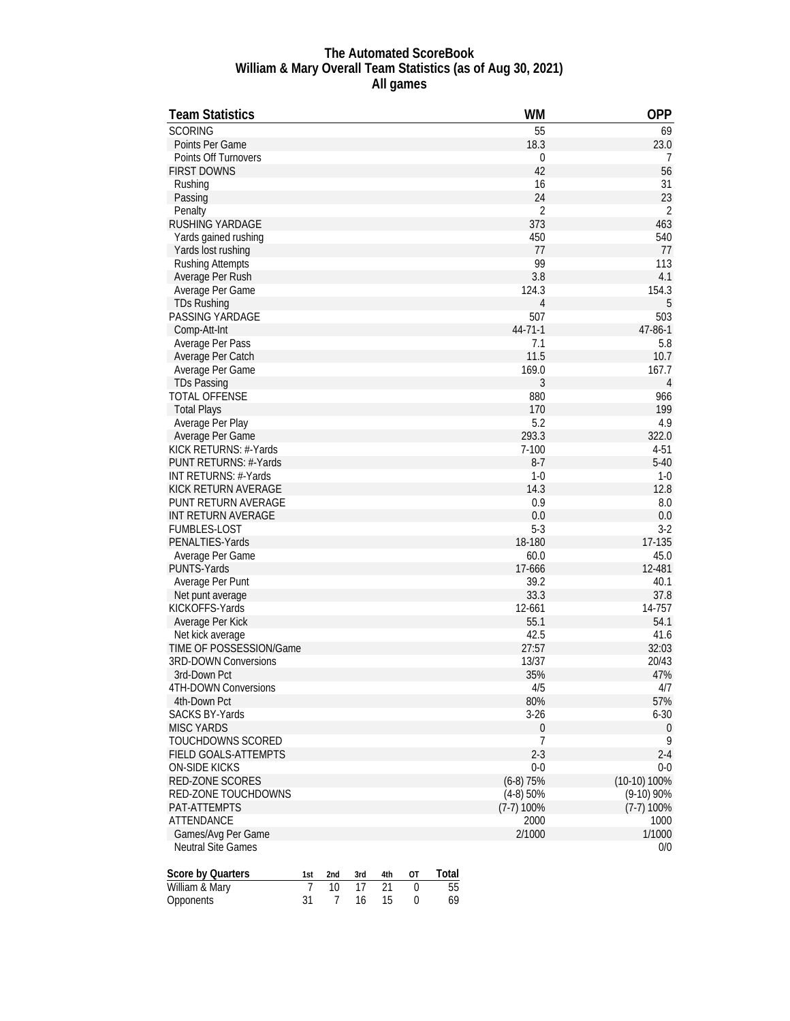#### **The Automated ScoreBook William & Mary Overall Team Statistics (as of Aug 30, 2021) All games**

| <b>Team Statistics</b>      |                |                |     |     |                  |                 | <b>WM</b>      | <b>OPP</b>     |
|-----------------------------|----------------|----------------|-----|-----|------------------|-----------------|----------------|----------------|
| <b>SCORING</b>              |                |                |     |     |                  |                 | 55             | 69             |
| Points Per Game             |                |                |     |     |                  |                 | 18.3           | 23.0           |
| <b>Points Off Turnovers</b> |                |                |     |     |                  |                 | $\mathbf{0}$   | 7              |
| <b>FIRST DOWNS</b>          |                |                |     |     |                  |                 | 42             | 56             |
| Rushing                     |                |                |     |     |                  |                 | 16             | 31             |
| Passing                     |                |                |     |     |                  |                 | 24             | 23             |
| Penalty                     |                |                |     |     |                  |                 | $\overline{2}$ | $\overline{2}$ |
| RUSHING YARDAGE             |                |                |     |     |                  |                 | 373            | 463            |
| Yards gained rushing        |                |                |     |     |                  |                 | 450            | 540            |
| Yards lost rushing          |                |                |     |     |                  |                 | 77             | 77             |
| <b>Rushing Attempts</b>     |                |                |     |     |                  |                 | 99             | 113            |
| Average Per Rush            |                |                |     |     |                  |                 | 3.8            | 4.1            |
| Average Per Game            |                |                |     |     |                  |                 | 124.3          | 154.3          |
| <b>TDs Rushing</b>          |                |                |     |     |                  |                 | 4              | 5              |
| PASSING YARDAGE             |                |                |     |     |                  |                 | 507            | 503            |
| Comp-Att-Int                |                |                |     |     |                  |                 | 44-71-1        | 47-86-1        |
|                             |                |                |     |     |                  |                 | 7.1            | 5.8            |
| Average Per Pass            |                |                |     |     |                  |                 | 11.5           | 10.7           |
| Average Per Catch           |                |                |     |     |                  |                 | 169.0          | 167.7          |
| Average Per Game            |                |                |     |     |                  |                 |                |                |
| <b>TDs Passing</b>          |                |                |     |     |                  |                 | 3              | 4              |
| <b>TOTAL OFFENSE</b>        |                |                |     |     |                  |                 | 880            | 966            |
| <b>Total Plays</b>          |                |                |     |     |                  |                 | 170            | 199            |
| Average Per Play            |                |                |     |     |                  |                 | 5.2            | 4.9            |
| Average Per Game            |                |                |     |     |                  |                 | 293.3          | 322.0          |
| KICK RETURNS: #-Yards       |                |                |     |     |                  |                 | $7 - 100$      | $4 - 51$       |
| PUNT RETURNS: #-Yards       |                |                |     |     |                  |                 | $8-7$          | $5 - 40$       |
| INT RETURNS: #-Yards        |                |                |     |     |                  |                 | $1 - 0$        | $1 - 0$        |
| KICK RETURN AVERAGE         |                |                |     |     |                  |                 | 14.3           | 12.8           |
| PUNT RETURN AVERAGE         |                |                |     |     |                  |                 | 0.9            | 8.0            |
| INT RETURN AVERAGE          |                |                |     |     |                  |                 | 0.0            | 0.0            |
| <b>FUMBLES-LOST</b>         |                |                |     |     |                  |                 | $5 - 3$        | $3-2$          |
| PENALTIES-Yards             |                |                |     |     |                  |                 | 18-180         | 17-135         |
| Average Per Game            |                |                |     |     |                  |                 | 60.0           | 45.0           |
| PUNTS-Yards                 |                |                |     |     |                  |                 | 17-666         | 12-481         |
| Average Per Punt            |                |                |     |     |                  |                 | 39.2           | 40.1           |
| Net punt average            |                |                |     |     |                  |                 | 33.3           | 37.8           |
| KICKOFFS-Yards              |                |                |     |     |                  |                 | 12-661         | 14-757         |
| Average Per Kick            |                |                |     |     |                  |                 | 55.1           | 54.1           |
| Net kick average            |                |                |     |     |                  |                 | 42.5           | 41.6           |
| TIME OF POSSESSION/Game     |                |                |     |     |                  |                 | 27:57          | 32:03          |
| <b>3RD-DOWN Conversions</b> |                |                |     |     |                  |                 | 13/37          | 20/43          |
| 3rd-Down Pct                |                |                |     |     |                  |                 | 35%            | 47%            |
| 4TH-DOWN Conversions        |                |                |     |     |                  |                 | 4/5            | 4/7            |
| 4th-Down Pct                |                |                |     |     |                  |                 | 80%            | 57%            |
| <b>SACKS BY-Yards</b>       |                |                |     |     |                  |                 | $3 - 26$       | $6 - 30$       |
| <b>MISC YARDS</b>           |                |                |     |     |                  |                 | 0              | $\bf{0}$       |
| TOUCHDOWNS SCORED           |                |                |     |     |                  |                 | $\overline{7}$ | 9              |
| FIELD GOALS-ATTEMPTS        |                |                |     |     |                  |                 | $2-3$          | $2 - 4$        |
| <b>ON-SIDE KICKS</b>        |                |                |     |     |                  |                 | $0-0$          | $0 - 0$        |
| RED-ZONE SCORES             |                |                |     |     |                  |                 | $(6-8)$ 75%    | (10-10) 100%   |
| <b>RED-ZONE TOUCHDOWNS</b>  |                |                |     |     |                  |                 | $(4-8)$ 50%    | $(9-10)$ 90%   |
| PAT-ATTEMPTS                |                |                |     |     |                  |                 | $(7-7)$ 100%   | $(7-7)$ 100%   |
| ATTENDANCE                  |                |                |     |     |                  |                 | 2000           | 1000           |
| Games/Avg Per Game          |                |                |     |     |                  |                 | 2/1000         | 1/1000         |
| <b>Neutral Site Games</b>   |                |                |     |     |                  |                 |                | 0/0            |
|                             |                |                |     |     |                  |                 |                |                |
| Score by Quarters           | 1st            | 2nd            | 3rd | 4th | ОT               | Total           |                |                |
| William & Mary              | $\overline{7}$ | 10             | 17  | 21  | 0                | $\overline{55}$ |                |                |
| Opponents                   | 31             | $\overline{7}$ | 16  | 15  | $\boldsymbol{0}$ | 69              |                |                |
|                             |                |                |     |     |                  |                 |                |                |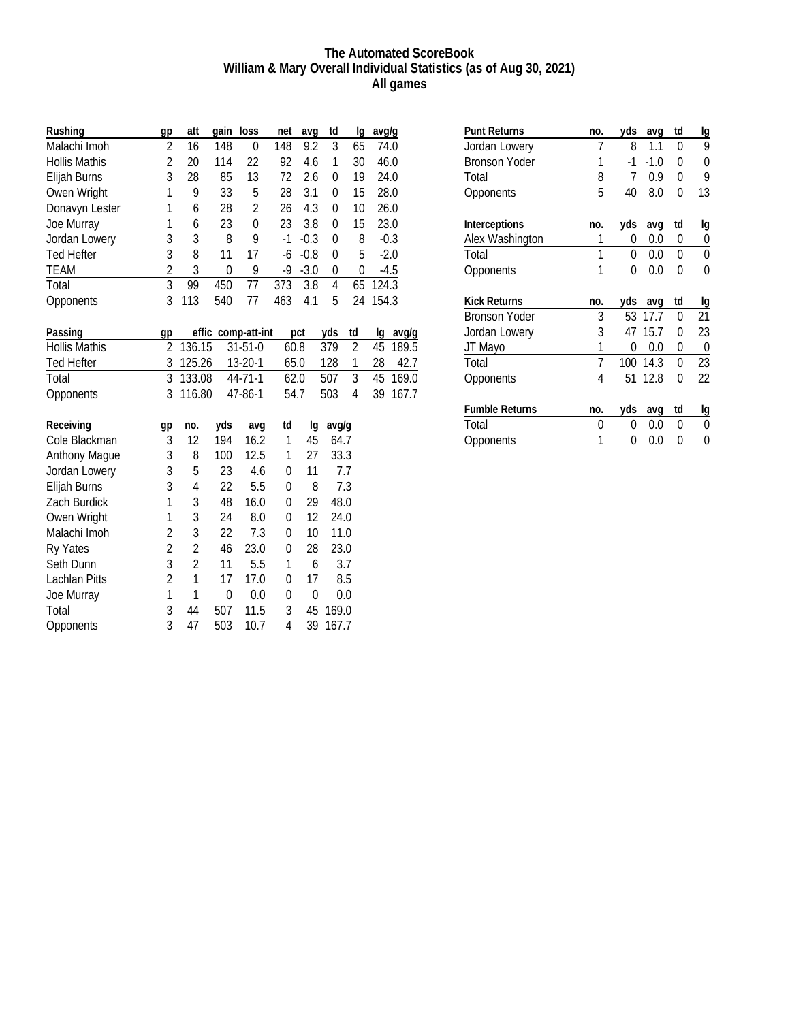#### **The Automated ScoreBook William & Mary Overall Individual Statistics (as of Aug 30, 2021) All games**

| Rushing              | gp             | att            | gain           | loss               | net              | avq          | td               | lg               | avg/g |        |
|----------------------|----------------|----------------|----------------|--------------------|------------------|--------------|------------------|------------------|-------|--------|
| Malachi Imoh         | $\overline{2}$ | 16             | 148            | $\mathbf 0$        | 148              | 9.2          | 3                | 65               | 74.0  |        |
| <b>Hollis Mathis</b> | $\overline{2}$ | 20             | 114            | 22                 | 92               | 4.6          | 1                | 30               | 46.0  |        |
| Elijah Burns         | 3              | 28             | 85             | 13                 | 72               | 2.6          | 0                | 19               | 24.0  |        |
| Owen Wright          | 1              | 9              | 33             | 5                  | 28               | 3.1          | 0                | 15               | 28.0  |        |
| Donavyn Lester       | 1              | 6              | 28             | $\overline{2}$     | 26               | 4.3          | 0                | 10               | 26.0  |        |
| Joe Murray           | 1              | 6              | 23             | $\overline{0}$     | 23               | 3.8          | 0                | 15               | 23.0  |        |
| Jordan Lowery        | 3              | 3              | 8              | 9                  | $-1$             | $-0.3$       | 0                | 8                |       | $-0.3$ |
| <b>Ted Hefter</b>    | $\overline{3}$ | 8              | 11             | 17                 | -6               | $-0.8$       | 0                | 5                |       | $-2.0$ |
| <b>TEAM</b>          | $\overline{2}$ | 3              | $\overline{0}$ | 9                  | -9               | $-3.0$       | $\boldsymbol{0}$ | $\boldsymbol{0}$ |       | $-4.5$ |
| Total                | $\overline{3}$ | 99             | 450            | 77                 | 373              | 3.8          | 4                | 65               | 124.3 |        |
| Opponents            | 3              | 113            | 540            | 77                 | 463              | 4.1          | 5                | 24               | 154.3 |        |
| Passing              | gp             |                |                | effic comp-att-int |                  | pct          | yds              | td               | lq    | avg/g  |
| <b>Hollis Mathis</b> | $\overline{2}$ | 136.15         |                | $31 - 51 - 0$      | 60.8             |              | 379              | $\overline{2}$   | 45    | 189.5  |
| <b>Ted Hefter</b>    | 3              | 125.26         |                | $13 - 20 - 1$      | 65.0             |              | 128              | 1                | 28    | 42.7   |
| Total                | 3              | 133.08         |                | 44-71-1            | 62.0             |              | 507              | $\overline{3}$   | 45    | 169.0  |
| Opponents            | 3              | 116.80         |                | 47-86-1            | 54.7             |              | 503              | 4                | 39    | 167.7  |
| Receiving            | gp             | no.            | yds            | avq                | td               | lq           | avg/g            |                  |       |        |
| Cole Blackman        | 3              | 12             | 194            | 16.2               | $\mathbf{1}$     | 45           | 64.7             |                  |       |        |
| <b>Anthony Mague</b> | 3              | 8              | 100            | 12.5               | $\mathbf{1}$     | 27           | 33.3             |                  |       |        |
| Jordan Lowery        | 3              | 5              | 23             | 4.6                | 0                | 11           | 7.7              |                  |       |        |
| Elijah Burns         | 3              | 4              | 22             | 5.5                | 0                | 8            | 7.3              |                  |       |        |
| Zach Burdick         | 1              | 3              | 48             | 16.0               | 0                | 29           | 48.0             |                  |       |        |
| Owen Wright          | 1              | 3              | 24             | 8.0                | 0                | 12           | 24.0             |                  |       |        |
| Malachi Imoh         | $\overline{2}$ | 3              | 22             | 7.3                | $\boldsymbol{0}$ | 10           | 11.0             |                  |       |        |
| Ry Yates             | $\overline{2}$ | $\overline{2}$ | 46             | 23.0               | 0                | 28           | 23.0             |                  |       |        |
| Seth Dunn            | 3              | $\overline{2}$ | 11             | 5.5                | 1                | 6            | 3.7              |                  |       |        |
| Lachlan Pitts        | $\overline{2}$ | $\mathbf{1}$   | 17             | 17.0               | 0                | 17           | 8.5              |                  |       |        |
| Joe Murray           | $\mathbf{1}$   | $\mathbf{1}$   | $\mathbf 0$    | 0.0                | 0                | $\mathbf{0}$ | 0.0              |                  |       |        |
| Total                | $\overline{3}$ | 44             | 507            | 11.5               | 3                | 45           | 169.0            |                  |       |        |
| Opponents            | 3              | 47             | 503            | 10.7               | 4                | 39           | 167.7            |                  |       |        |

| <b>Punt Returns</b>   | no. | yds | avq    | td | lg        |
|-----------------------|-----|-----|--------|----|-----------|
| Jordan Lowery         | 7   | 8   | 1.1    | 0  | 9         |
| <b>Bronson Yoder</b>  | 1   | -1  | $-1.0$ | 0  | 0         |
| Total                 | 8   | 7   | 0.9    | 0  | 9         |
| Opponents             | 5   | 40  | 8.0    | 0  | 13        |
| Interceptions         | no. | yds | avq    | td | <u>lg</u> |
| Alex Washington       | 1   | 0   | 0.0    | 0  | 0         |
| Total                 | 1   | 0   | 0.0    | 0  | 0         |
| Opponents             | 1   | 0   | 0.0    | 0  | 0         |
|                       |     |     |        |    |           |
| <b>Kick Returns</b>   | no. | yds | avq    | td | lg        |
| <b>Bronson Yoder</b>  | 3   | 53  | 17.7   | 0  | 21        |
| Jordan Lowery         | 3   | 47  | 15.7   | 0  | 23        |
| JT Mayo               | 1   | 0   | 0.0    | 0  | 0         |
| Total                 | 7   | 100 | 14.3   | 0  | 23        |
| Opponents             | 4   | 51  | 12.8   | 0  | 22        |
|                       |     |     |        |    |           |
| <b>Fumble Returns</b> | no. | yds | avq    | td | lg        |
| Total                 | 0   | 0   | 0.0    | 0  | 0         |
| Opponents             | 1   | 0   | 0.0    | 0  | 0         |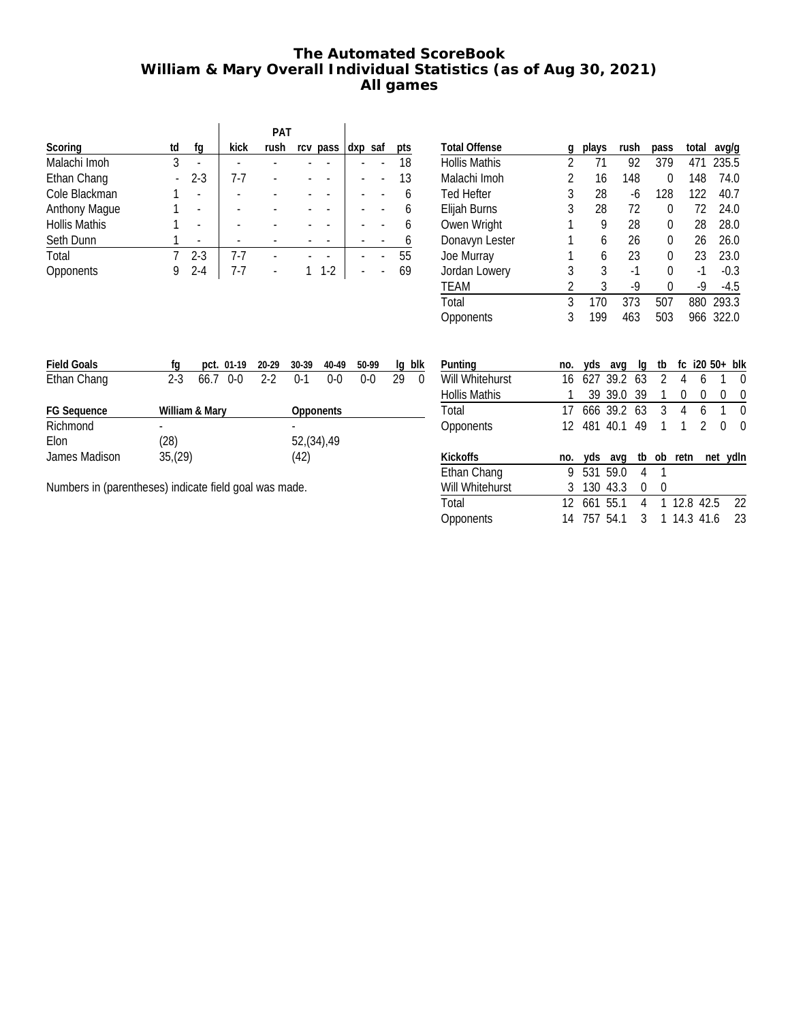# **The Automated ScoreBook William & Mary Overall Individual Statistics (as of Aug 30, 2021) All games**

|                      |    |         |       | PAT  |          |         |     |
|----------------------|----|---------|-------|------|----------|---------|-----|
| Scoring              | td | fq      | kick  | rush | rcv pass | dxp saf | pts |
| Malachi Imoh         | 3  |         |       |      |          |         | 18  |
| Ethan Chang          |    | $2 - 3$ | 7-7   |      |          |         | 13  |
| Cole Blackman        |    |         |       |      |          |         | 6   |
| Anthony Mague        |    |         |       |      |          |         | 6   |
| <b>Hollis Mathis</b> |    |         |       |      |          |         | 6   |
| Seth Dunn            |    |         |       |      |          |         |     |
| Total                |    | $2 - 3$ | $7-7$ |      |          |         | 55  |
| Opponents            |    | $2 - 4$ | 7-7   |      | $1-2$    |         | 69  |

| <b>Total Offense</b> | g | plays | rush | pass | total | avg/g  |
|----------------------|---|-------|------|------|-------|--------|
| <b>Hollis Mathis</b> | 2 | 71    | 92   | 379  | 471   | 235.5  |
| Malachi Imoh         | 2 | 16    | 148  | 0    | 148   | 74.0   |
| <b>Ted Hefter</b>    | 3 | 28    | -6   | 128  | 122   | 40.7   |
| Elijah Burns         | 3 | 28    | 72   | 0    | 72    | 24.0   |
| Owen Wright          | 1 | 9     | 28   | 0    | 28    | 28.0   |
| Donavyn Lester       | 1 | 6     | 26   | 0    | 26    | 26.0   |
| Joe Murray           |   | 6     | 23   | 0    | 23    | 23.0   |
| Jordan Lowery        | 3 | 3     | -1   | 0    | $-1$  | $-0.3$ |
| <b>TEAM</b>          | 2 | 3     | -9   | N    | $-9$  | $-4.5$ |
| Total                | 3 | 170   | 373  | 507  | 880   | 293.3  |
| Opponents            | 3 | 199   | 463  | 503  | 966   | 322.0  |
|                      |   |       |      |      |       |        |

| <b>Field Goals</b> | tα      | pct. 01-19 20-29 30-39 |         |            | 40-49   | 50-99   | la | blk      |  |  |  |
|--------------------|---------|------------------------|---------|------------|---------|---------|----|----------|--|--|--|
| Ethan Chang        | $2 - 3$ | 66.7 0-0               | $2 - 2$ | $0-1$      | $0 - 0$ | $0 - 0$ | 29 | $\Omega$ |  |  |  |
| <b>FG Sequence</b> |         | William & Mary         |         | Opponents  |         |         |    |          |  |  |  |
| Richmond           |         |                        |         |            |         |         |    |          |  |  |  |
| Elon               | (28)    |                        |         | 52,(34),49 |         |         |    |          |  |  |  |
| James Madison      | 35,(29) |                        |         | (42)       |         |         |    |          |  |  |  |

Numbers in (parentheses) indicate field goal was made.

| Punting              | no. |     | yds avg        | lq  | tb           |            | fc $i20\,50+10k$ |   |          |
|----------------------|-----|-----|----------------|-----|--------------|------------|------------------|---|----------|
| Will Whitehurst      | 16  |     | 627 39.2 63    |     | 2            | 4          | 6                |   | 0        |
| <b>Hollis Mathis</b> |     |     | 39 39.0        | -39 | 1            | 0          | 0                | 0 | 0        |
| Total                |     |     | 666 39.2 63    |     | 3            | 4          | 6                | 1 | 0        |
| <b>Opponents</b>     |     |     | 12 481 40.1 49 |     | 1            |            | $\mathfrak{D}$   | 0 | 0        |
| <b>Kickoffs</b>      | no. |     | yds avg        |     |              | tb ob retn |                  |   | net ydln |
| Ethan Chang          | 9   |     | 531 59.0       | 4   | $\mathbf{1}$ |            |                  |   |          |
| Will Whitehurst      | 3   | 130 | 43.3           | 0   | 0            |            |                  |   |          |
| Total                | 12  |     | 661 55.1       | 4   |              |            | 1 12.8 42.5      |   | 22       |
| Opponents            | 14  | 757 | 54.1           | 3   |              |            | 1 14.3 41.6      |   | 23       |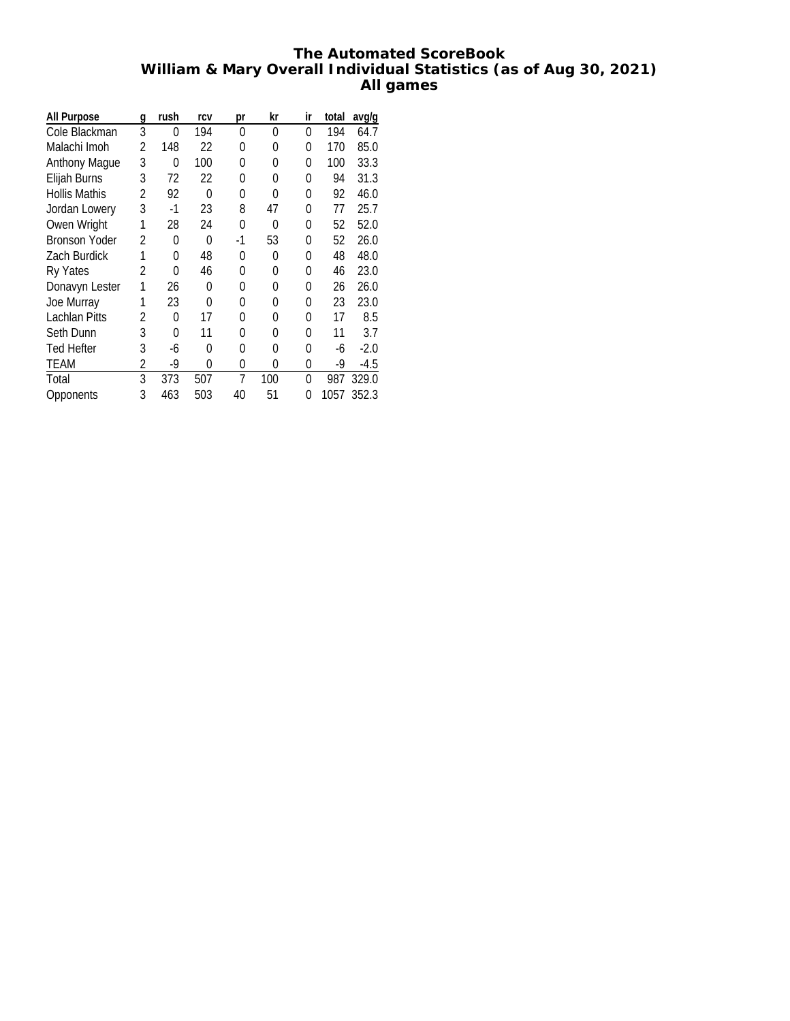## **The Automated ScoreBook William & Mary Overall Individual Statistics (as of Aug 30, 2021) All games**

| All Purpose          | g | rush | rcv      | рr | kr  | ir | total | avg/g  |
|----------------------|---|------|----------|----|-----|----|-------|--------|
| Cole Blackman        | 3 | 0    | 194      | 0  | 0   | 0  | 194   | 64.7   |
| Malachi Imoh         | 2 | 148  | 22       | 0  | 0   | 0  | 170   | 85.0   |
| <b>Anthony Mague</b> | 3 | 0    | 100      | 0  | 0   | 0  | 100   | 33.3   |
| Elijah Burns         | 3 | 72   | 22       | 0  | 0   | 0  | 94    | 31.3   |
| <b>Hollis Mathis</b> | 2 | 92   | $\Omega$ | 0  | 0   | 0  | 92    | 46.0   |
| Jordan Lowery        | 3 | -1   | 23       | 8  | 47  | 0  | 77    | 25.7   |
| Owen Wright          |   | 28   | 24       | 0  | O   | 0  | 52    | 52.0   |
| <b>Bronson Yoder</b> | 2 | 0    | 0        | -1 | 53  | 0  | 52    | 26.0   |
| Zach Burdick         |   | 0    | 48       | 0  | 0   | 0  | 48    | 48.0   |
| Ry Yates             | 2 | 0    | 46       | 0  | 0   | 0  | 46    | 23.0   |
| Donavyn Lester       | 1 | 26   | 0        | 0  | 0   | 0  | 26    | 26.0   |
| Joe Murray           |   | 23   | $\Omega$ | 0  | 0   | 0  | 23    | 23.0   |
| Lachlan Pitts        | 2 | 0    | 17       | 0  | 0   | 0  | 17    | 8.5    |
| Seth Dunn            | 3 | 0    | 11       | 0  | 0   | 0  | 11    | 3.7    |
| <b>Ted Hefter</b>    | 3 | -6   | 0        | 0  | 0   | N  | -6    | $-2.0$ |
| TEAM                 | 2 | -9   | 0        | 0  | 0   | 0  | -9    | -4.5   |
| Total                | 3 | 373  | 507      | 7  | 100 | N  | 987   | 329.0  |
| Opponents            | 3 | 463  | 503      | 40 | 51  | 0  | 1057  | 352.3  |